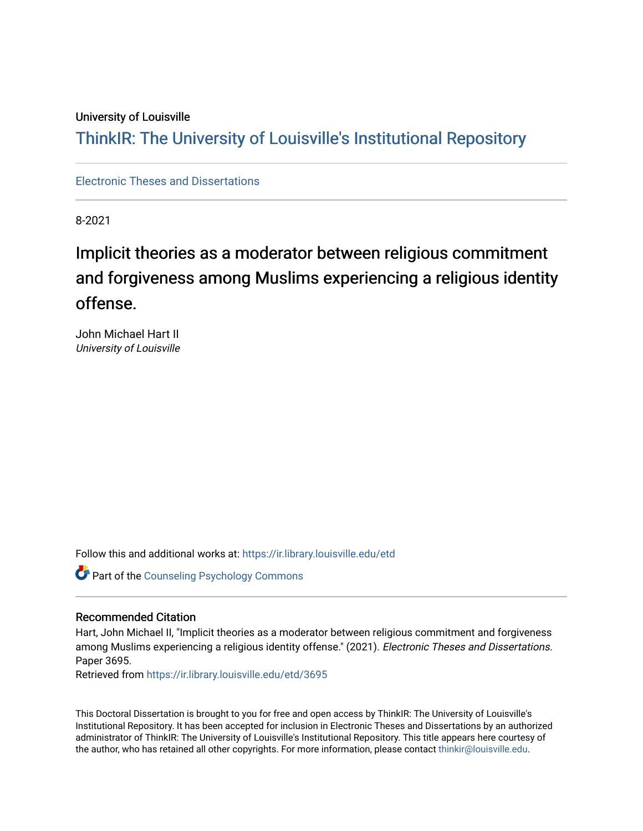### University of Louisville

## ThinkIR: The Univ[ersity of Louisville's Institutional Reposit](https://ir.library.louisville.edu/)ory

[Electronic Theses and Dissertations](https://ir.library.louisville.edu/etd)

8-2021

# Implicit theories as a moderator between religious commitment and forgiveness among Muslims experiencing a religious identity offense.

John Michael Hart II University of Louisville

Follow this and additional works at: [https://ir.library.louisville.edu/etd](https://ir.library.louisville.edu/etd?utm_source=ir.library.louisville.edu%2Fetd%2F3695&utm_medium=PDF&utm_campaign=PDFCoverPages) 

Part of the [Counseling Psychology Commons](https://network.bepress.com/hgg/discipline/1044?utm_source=ir.library.louisville.edu%2Fetd%2F3695&utm_medium=PDF&utm_campaign=PDFCoverPages) 

### Recommended Citation

Hart, John Michael II, "Implicit theories as a moderator between religious commitment and forgiveness among Muslims experiencing a religious identity offense." (2021). Electronic Theses and Dissertations. Paper 3695.

Retrieved from [https://ir.library.louisville.edu/etd/3695](https://ir.library.louisville.edu/etd/3695?utm_source=ir.library.louisville.edu%2Fetd%2F3695&utm_medium=PDF&utm_campaign=PDFCoverPages) 

This Doctoral Dissertation is brought to you for free and open access by ThinkIR: The University of Louisville's Institutional Repository. It has been accepted for inclusion in Electronic Theses and Dissertations by an authorized administrator of ThinkIR: The University of Louisville's Institutional Repository. This title appears here courtesy of the author, who has retained all other copyrights. For more information, please contact [thinkir@louisville.edu.](mailto:thinkir@louisville.edu)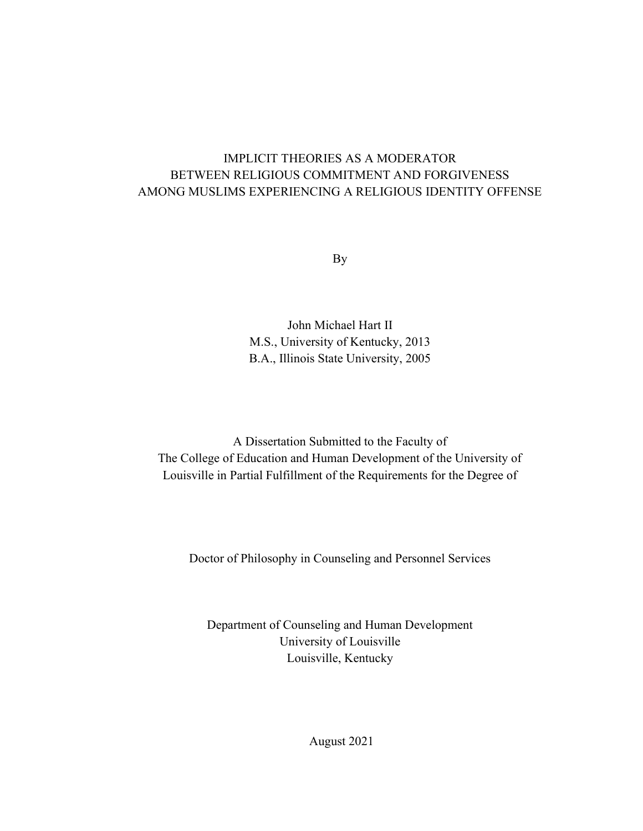### IMPLICIT THEORIES AS A MODERATOR BETWEEN RELIGIOUS COMMITMENT AND FORGIVENESS AMONG MUSLIMS EXPERIENCING A RELIGIOUS IDENTITY OFFENSE

By

John Michael Hart II M.S., University of Kentucky, 2013 B.A., Illinois State University, 2005

A Dissertation Submitted to the Faculty of The College of Education and Human Development of the University of Louisville in Partial Fulfillment of the Requirements for the Degree of

Doctor of Philosophy in Counseling and Personnel Services

Department of Counseling and Human Development University of Louisville Louisville, Kentucky

August 2021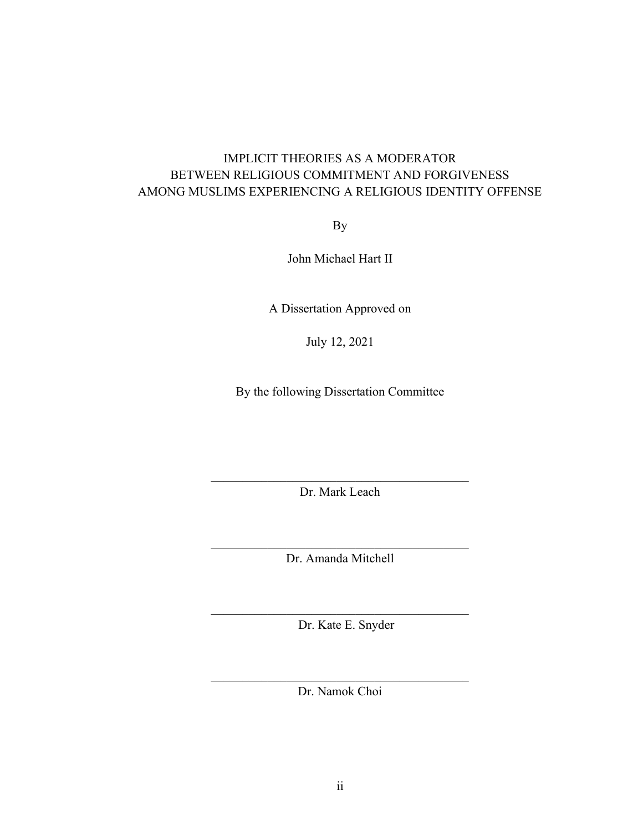### IMPLICIT THEORIES AS A MODERATOR BETWEEN RELIGIOUS COMMITMENT AND FORGIVENESS AMONG MUSLIMS EXPERIENCING A RELIGIOUS IDENTITY OFFENSE

By

John Michael Hart II

A Dissertation Approved on

July 12, 2021

By the following Dissertation Committee

Dr. Mark Leach

 $\mathcal{L}_\text{max}$  and  $\mathcal{L}_\text{max}$  and  $\mathcal{L}_\text{max}$  and  $\mathcal{L}_\text{max}$ Dr. Amanda Mitchell

Dr. Kate E. Snyder

Dr. Namok Choi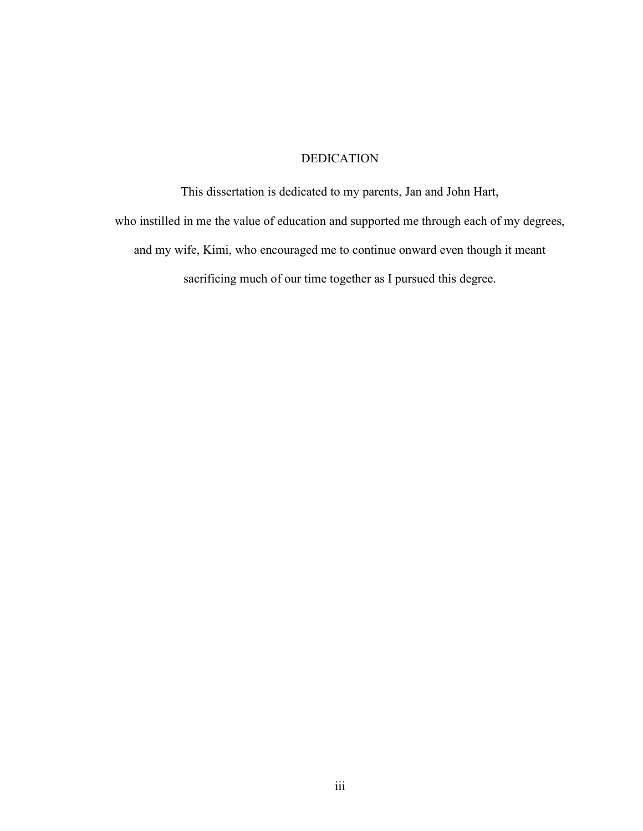### DEDICATION

This dissertation is dedicated to my parents, Jan and John Hart, who instilled in me the value of education and supported me through each of my degrees, and my wife, Kimi, who encouraged me to continue onward even though it meant sacrificing much of our time together as I pursued this degree.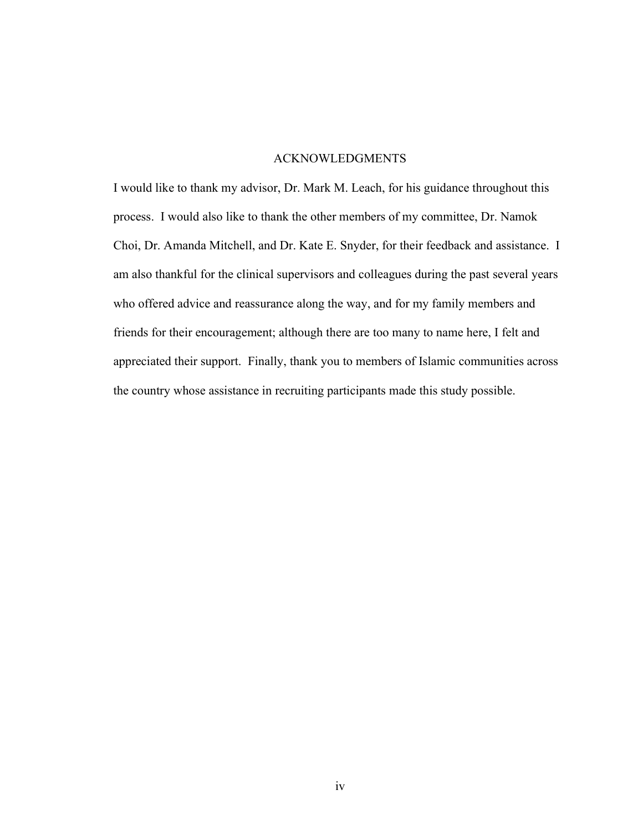### ACKNOWLEDGMENTS

I would like to thank my advisor, Dr. Mark M. Leach, for his guidance throughout this process. I would also like to thank the other members of my committee, Dr. Namok Choi, Dr. Amanda Mitchell, and Dr. Kate E. Snyder, for their feedback and assistance. I am also thankful for the clinical supervisors and colleagues during the past several years who offered advice and reassurance along the way, and for my family members and friends for their encouragement; although there are too many to name here, I felt and appreciated their support. Finally, thank you to members of Islamic communities across the country whose assistance in recruiting participants made this study possible.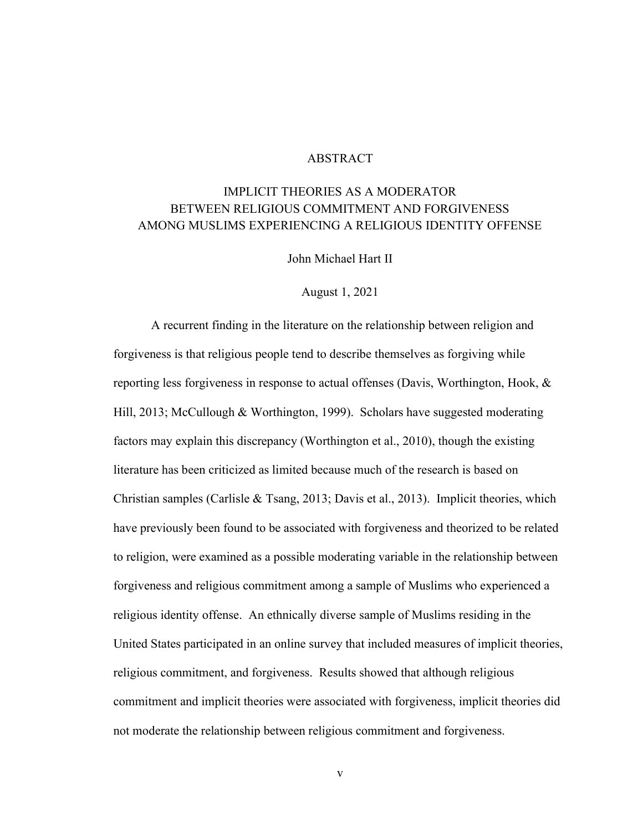### ABSTRACT

### IMPLICIT THEORIES AS A MODERATOR BETWEEN RELIGIOUS COMMITMENT AND FORGIVENESS AMONG MUSLIMS EXPERIENCING A RELIGIOUS IDENTITY OFFENSE

John Michael Hart II

August 1, 2021

A recurrent finding in the literature on the relationship between religion and forgiveness is that religious people tend to describe themselves as forgiving while reporting less forgiveness in response to actual offenses (Davis, Worthington, Hook, & Hill, 2013; McCullough & Worthington, 1999). Scholars have suggested moderating factors may explain this discrepancy (Worthington et al., 2010), though the existing literature has been criticized as limited because much of the research is based on Christian samples (Carlisle & Tsang, 2013; Davis et al., 2013). Implicit theories, which have previously been found to be associated with forgiveness and theorized to be related to religion, were examined as a possible moderating variable in the relationship between forgiveness and religious commitment among a sample of Muslims who experienced a religious identity offense. An ethnically diverse sample of Muslims residing in the United States participated in an online survey that included measures of implicit theories, religious commitment, and forgiveness. Results showed that although religious commitment and implicit theories were associated with forgiveness, implicit theories did not moderate the relationship between religious commitment and forgiveness.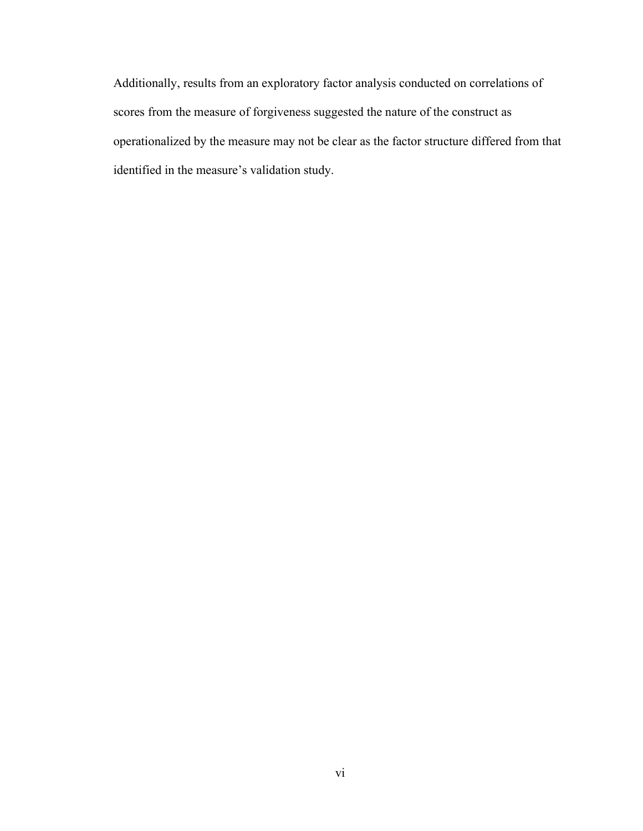Additionally, results from an exploratory factor analysis conducted on correlations of scores from the measure of forgiveness suggested the nature of the construct as operationalized by the measure may not be clear as the factor structure differed from that identified in the measure's validation study.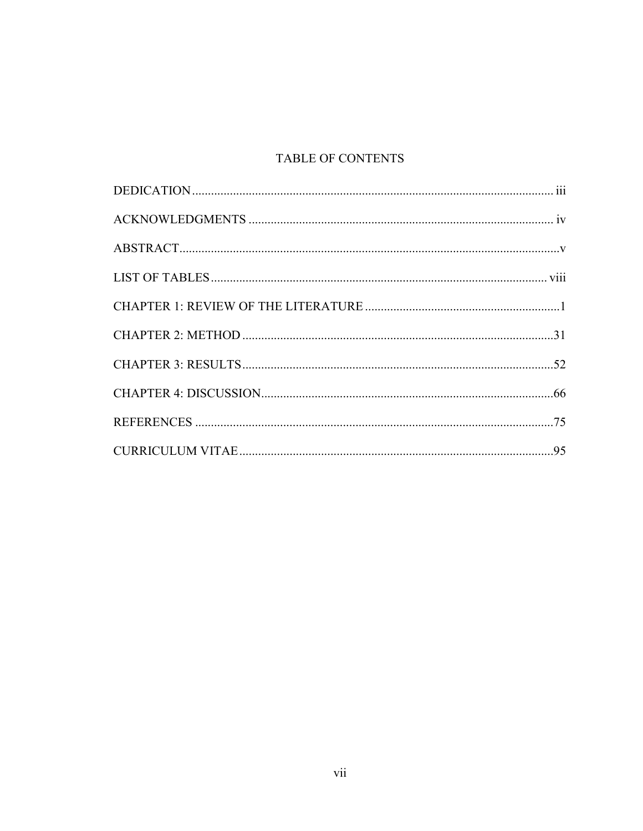### TABLE OF CONTENTS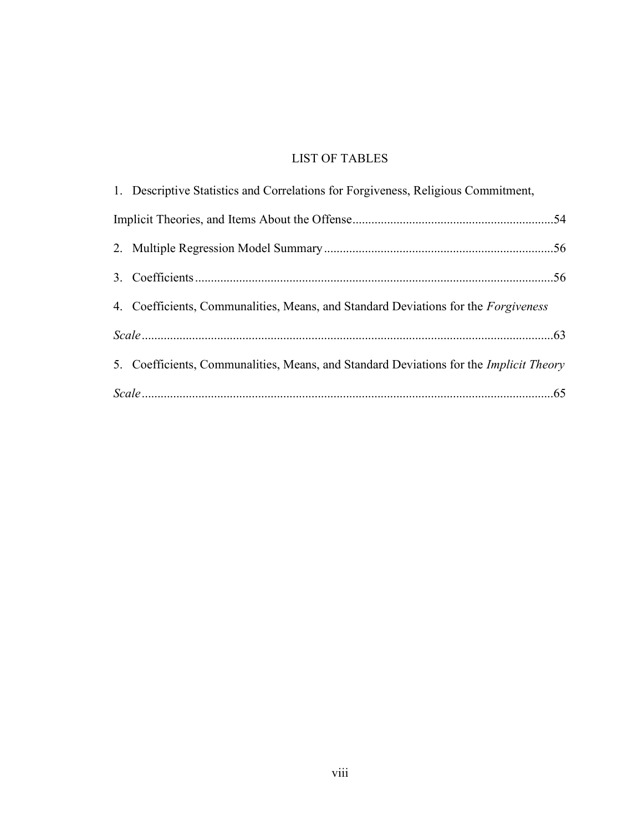### LIST OF TABLES

| 1. Descriptive Statistics and Correlations for Forgiveness, Religious Commitment,             |
|-----------------------------------------------------------------------------------------------|
|                                                                                               |
|                                                                                               |
|                                                                                               |
| 4. Coefficients, Communalities, Means, and Standard Deviations for the <i>Forgiveness</i>     |
|                                                                                               |
| 5. Coefficients, Communalities, Means, and Standard Deviations for the <i>Implicit Theory</i> |
| $Scale \dots 65$                                                                              |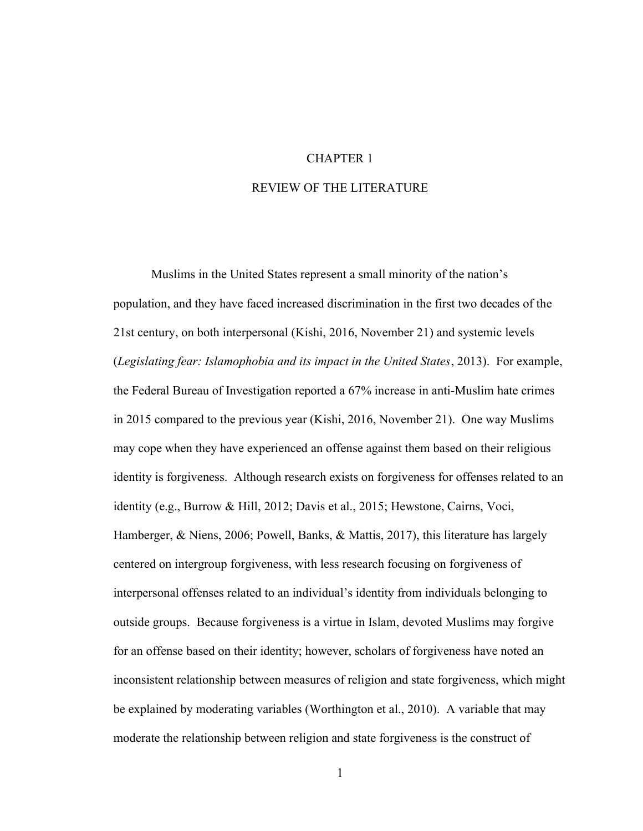### CHAPTER 1

### REVIEW OF THE LITERATURE

 Muslims in the United States represent a small minority of the nation's population, and they have faced increased discrimination in the first two decades of the 21st century, on both interpersonal (Kishi, 2016, November 21) and systemic levels (Legislating fear: Islamophobia and its impact in the United States, 2013). For example, the Federal Bureau of Investigation reported a 67% increase in anti-Muslim hate crimes in 2015 compared to the previous year (Kishi, 2016, November 21). One way Muslims may cope when they have experienced an offense against them based on their religious identity is forgiveness. Although research exists on forgiveness for offenses related to an identity (e.g., Burrow & Hill, 2012; Davis et al., 2015; Hewstone, Cairns, Voci, Hamberger, & Niens, 2006; Powell, Banks, & Mattis, 2017), this literature has largely centered on intergroup forgiveness, with less research focusing on forgiveness of interpersonal offenses related to an individual's identity from individuals belonging to outside groups. Because forgiveness is a virtue in Islam, devoted Muslims may forgive for an offense based on their identity; however, scholars of forgiveness have noted an inconsistent relationship between measures of religion and state forgiveness, which might be explained by moderating variables (Worthington et al., 2010). A variable that may moderate the relationship between religion and state forgiveness is the construct of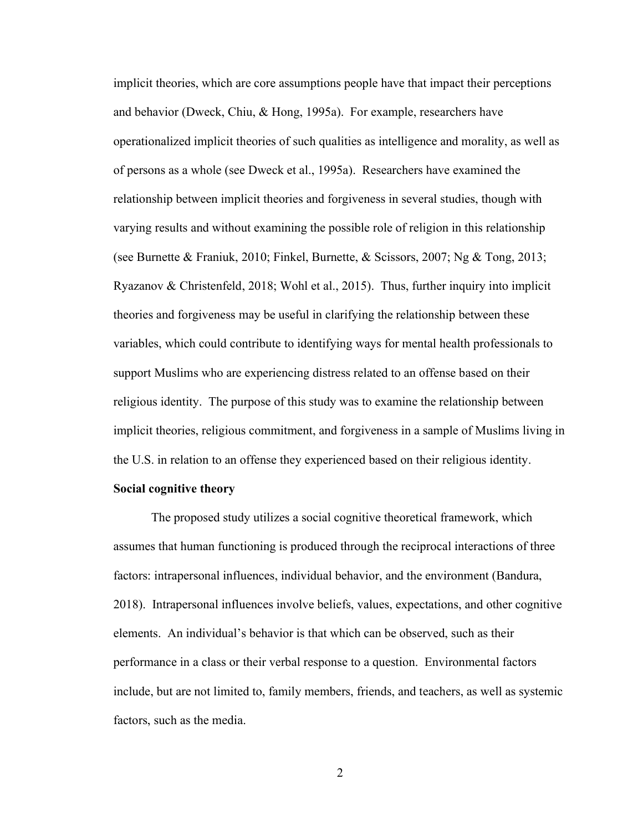implicit theories, which are core assumptions people have that impact their perceptions and behavior (Dweck, Chiu, & Hong, 1995a). For example, researchers have operationalized implicit theories of such qualities as intelligence and morality, as well as of persons as a whole (see Dweck et al., 1995a). Researchers have examined the relationship between implicit theories and forgiveness in several studies, though with varying results and without examining the possible role of religion in this relationship (see Burnette & Franiuk, 2010; Finkel, Burnette, & Scissors, 2007; Ng & Tong, 2013; Ryazanov & Christenfeld, 2018; Wohl et al., 2015). Thus, further inquiry into implicit theories and forgiveness may be useful in clarifying the relationship between these variables, which could contribute to identifying ways for mental health professionals to support Muslims who are experiencing distress related to an offense based on their religious identity. The purpose of this study was to examine the relationship between implicit theories, religious commitment, and forgiveness in a sample of Muslims living in the U.S. in relation to an offense they experienced based on their religious identity.

#### Social cognitive theory

 The proposed study utilizes a social cognitive theoretical framework, which assumes that human functioning is produced through the reciprocal interactions of three factors: intrapersonal influences, individual behavior, and the environment (Bandura, 2018). Intrapersonal influences involve beliefs, values, expectations, and other cognitive elements. An individual's behavior is that which can be observed, such as their performance in a class or their verbal response to a question. Environmental factors include, but are not limited to, family members, friends, and teachers, as well as systemic factors, such as the media.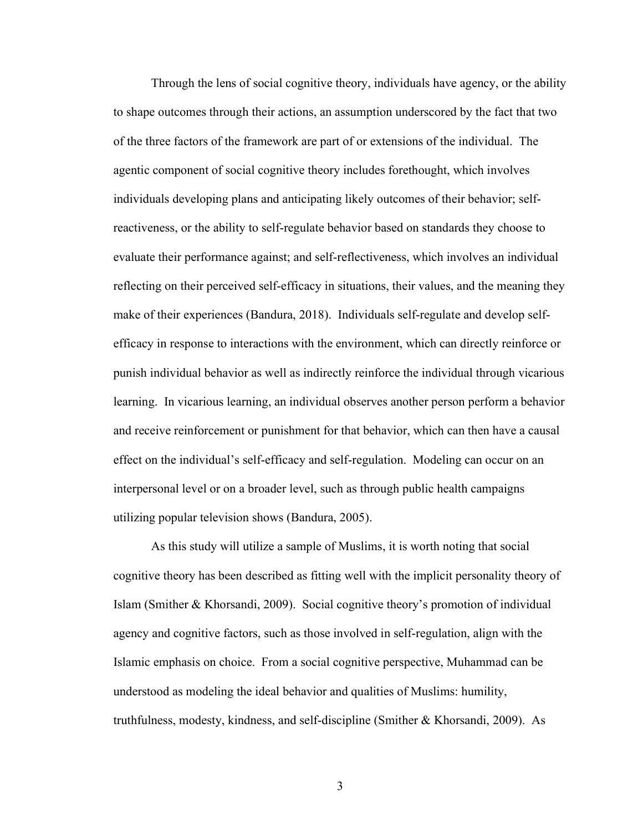Through the lens of social cognitive theory, individuals have agency, or the ability to shape outcomes through their actions, an assumption underscored by the fact that two of the three factors of the framework are part of or extensions of the individual. The agentic component of social cognitive theory includes forethought, which involves individuals developing plans and anticipating likely outcomes of their behavior; selfreactiveness, or the ability to self-regulate behavior based on standards they choose to evaluate their performance against; and self-reflectiveness, which involves an individual reflecting on their perceived self-efficacy in situations, their values, and the meaning they make of their experiences (Bandura, 2018). Individuals self-regulate and develop selfefficacy in response to interactions with the environment, which can directly reinforce or punish individual behavior as well as indirectly reinforce the individual through vicarious learning. In vicarious learning, an individual observes another person perform a behavior and receive reinforcement or punishment for that behavior, which can then have a causal effect on the individual's self-efficacy and self-regulation. Modeling can occur on an interpersonal level or on a broader level, such as through public health campaigns utilizing popular television shows (Bandura, 2005).

As this study will utilize a sample of Muslims, it is worth noting that social cognitive theory has been described as fitting well with the implicit personality theory of Islam (Smither & Khorsandi, 2009). Social cognitive theory's promotion of individual agency and cognitive factors, such as those involved in self-regulation, align with the Islamic emphasis on choice. From a social cognitive perspective, Muhammad can be understood as modeling the ideal behavior and qualities of Muslims: humility, truthfulness, modesty, kindness, and self-discipline (Smither & Khorsandi, 2009). As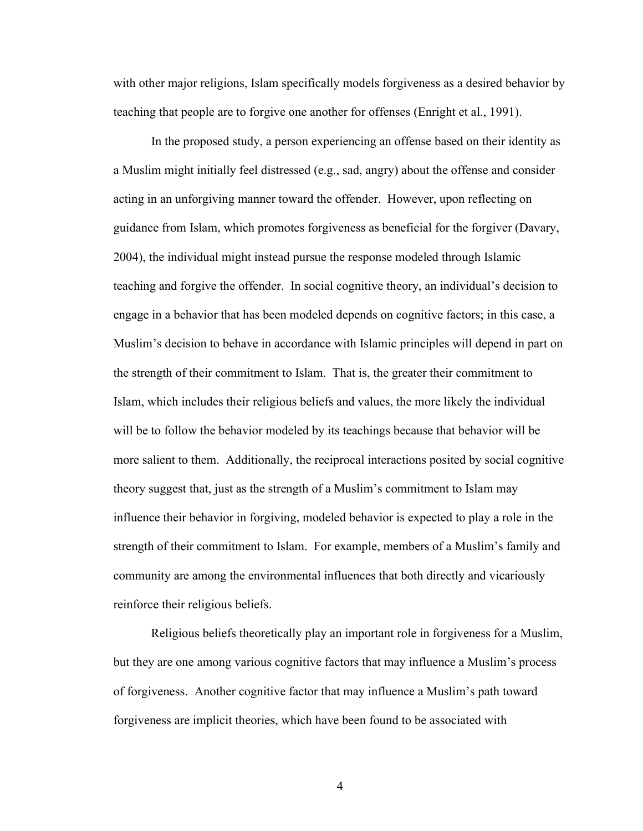with other major religions, Islam specifically models forgiveness as a desired behavior by teaching that people are to forgive one another for offenses (Enright et al., 1991).

 In the proposed study, a person experiencing an offense based on their identity as a Muslim might initially feel distressed (e.g., sad, angry) about the offense and consider acting in an unforgiving manner toward the offender. However, upon reflecting on guidance from Islam, which promotes forgiveness as beneficial for the forgiver (Davary, 2004), the individual might instead pursue the response modeled through Islamic teaching and forgive the offender. In social cognitive theory, an individual's decision to engage in a behavior that has been modeled depends on cognitive factors; in this case, a Muslim's decision to behave in accordance with Islamic principles will depend in part on the strength of their commitment to Islam. That is, the greater their commitment to Islam, which includes their religious beliefs and values, the more likely the individual will be to follow the behavior modeled by its teachings because that behavior will be more salient to them. Additionally, the reciprocal interactions posited by social cognitive theory suggest that, just as the strength of a Muslim's commitment to Islam may influence their behavior in forgiving, modeled behavior is expected to play a role in the strength of their commitment to Islam. For example, members of a Muslim's family and community are among the environmental influences that both directly and vicariously reinforce their religious beliefs.

Religious beliefs theoretically play an important role in forgiveness for a Muslim, but they are one among various cognitive factors that may influence a Muslim's process of forgiveness. Another cognitive factor that may influence a Muslim's path toward forgiveness are implicit theories, which have been found to be associated with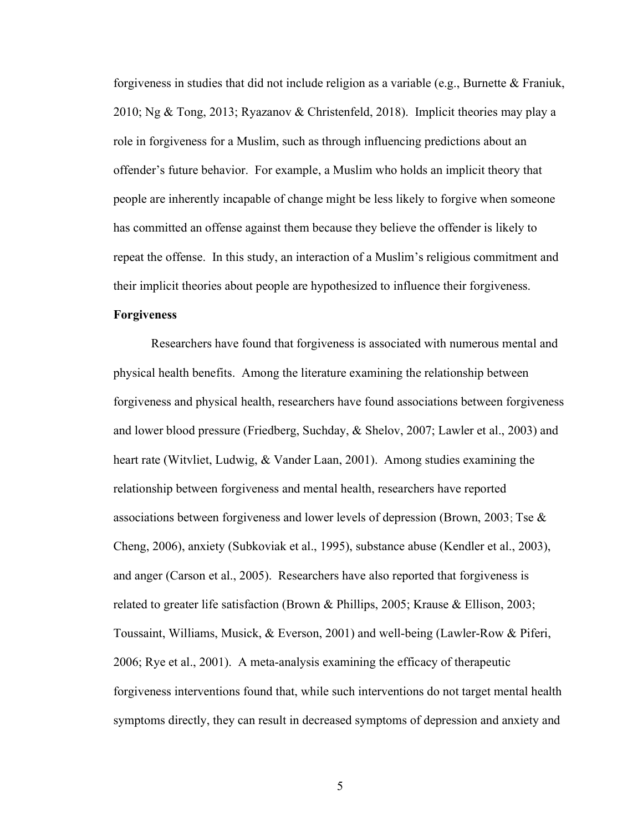forgiveness in studies that did not include religion as a variable (e.g., Burnette & Franiuk, 2010; Ng & Tong, 2013; Ryazanov & Christenfeld, 2018). Implicit theories may play a role in forgiveness for a Muslim, such as through influencing predictions about an offender's future behavior. For example, a Muslim who holds an implicit theory that people are inherently incapable of change might be less likely to forgive when someone has committed an offense against them because they believe the offender is likely to repeat the offense. In this study, an interaction of a Muslim's religious commitment and their implicit theories about people are hypothesized to influence their forgiveness.

#### Forgiveness

Researchers have found that forgiveness is associated with numerous mental and physical health benefits. Among the literature examining the relationship between forgiveness and physical health, researchers have found associations between forgiveness and lower blood pressure (Friedberg, Suchday, & Shelov, 2007; Lawler et al., 2003) and heart rate (Witvliet, Ludwig, & Vander Laan, 2001). Among studies examining the relationship between forgiveness and mental health, researchers have reported associations between forgiveness and lower levels of depression (Brown, 2003; Tse  $\&$ Cheng, 2006), anxiety (Subkoviak et al., 1995), substance abuse (Kendler et al., 2003), and anger (Carson et al., 2005). Researchers have also reported that forgiveness is related to greater life satisfaction (Brown & Phillips, 2005; Krause & Ellison, 2003; Toussaint, Williams, Musick, & Everson, 2001) and well-being (Lawler-Row & Piferi, 2006; Rye et al., 2001). A meta-analysis examining the efficacy of therapeutic forgiveness interventions found that, while such interventions do not target mental health symptoms directly, they can result in decreased symptoms of depression and anxiety and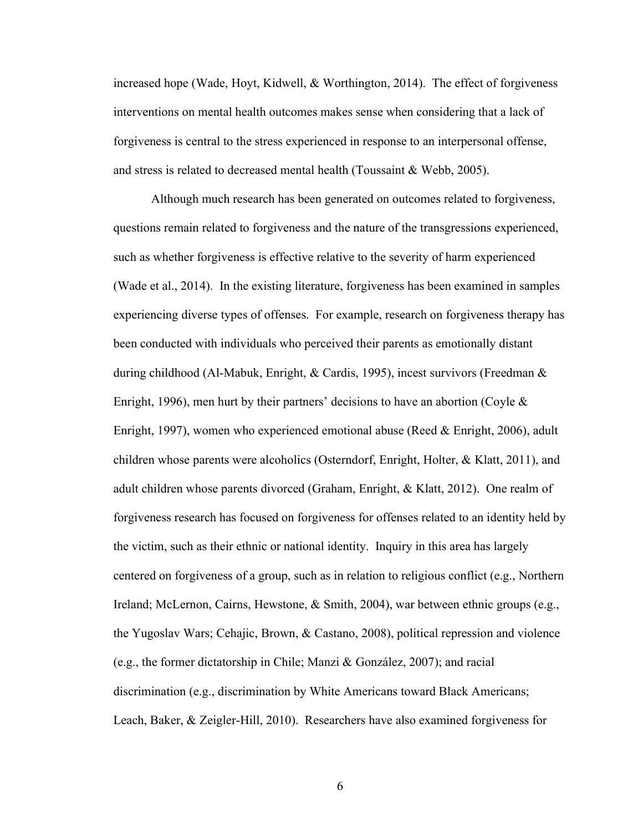increased hope (Wade, Hoyt, Kidwell, & Worthington, 2014). The effect of forgiveness interventions on mental health outcomes makes sense when considering that a lack of forgiveness is central to the stress experienced in response to an interpersonal offense, and stress is related to decreased mental health (Toussaint & Webb, 2005).

Although much research has been generated on outcomes related to forgiveness, questions remain related to forgiveness and the nature of the transgressions experienced, such as whether forgiveness is effective relative to the severity of harm experienced (Wade et al., 2014). In the existing literature, forgiveness has been examined in samples experiencing diverse types of offenses. For example, research on forgiveness therapy has been conducted with individuals who perceived their parents as emotionally distant during childhood (Al‐Mabuk, Enright, & Cardis, 1995), incest survivors (Freedman & Enright, 1996), men hurt by their partners' decisions to have an abortion (Coyle  $\&$ Enright, 1997), women who experienced emotional abuse (Reed & Enright, 2006), adult children whose parents were alcoholics (Osterndorf, Enright, Holter, & Klatt, 2011), and adult children whose parents divorced (Graham, Enright, & Klatt, 2012). One realm of forgiveness research has focused on forgiveness for offenses related to an identity held by the victim, such as their ethnic or national identity. Inquiry in this area has largely centered on forgiveness of a group, such as in relation to religious conflict (e.g., Northern Ireland; McLernon, Cairns, Hewstone, & Smith, 2004), war between ethnic groups (e.g., the Yugoslav Wars; Cehajic, Brown, & Castano, 2008), political repression and violence (e.g., the former dictatorship in Chile; Manzi & González, 2007); and racial discrimination (e.g., discrimination by White Americans toward Black Americans; Leach, Baker, & Zeigler-Hill, 2010). Researchers have also examined forgiveness for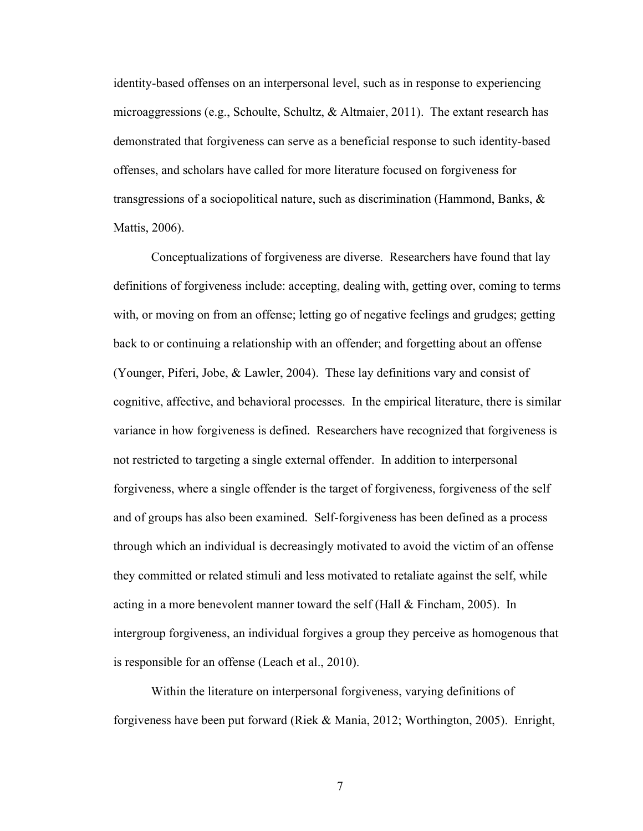identity-based offenses on an interpersonal level, such as in response to experiencing microaggressions (e.g., Schoulte, Schultz, & Altmaier, 2011). The extant research has demonstrated that forgiveness can serve as a beneficial response to such identity-based offenses, and scholars have called for more literature focused on forgiveness for transgressions of a sociopolitical nature, such as discrimination (Hammond, Banks, & Mattis, 2006).

 Conceptualizations of forgiveness are diverse. Researchers have found that lay definitions of forgiveness include: accepting, dealing with, getting over, coming to terms with, or moving on from an offense; letting go of negative feelings and grudges; getting back to or continuing a relationship with an offender; and forgetting about an offense (Younger, Piferi, Jobe, & Lawler, 2004). These lay definitions vary and consist of cognitive, affective, and behavioral processes. In the empirical literature, there is similar variance in how forgiveness is defined. Researchers have recognized that forgiveness is not restricted to targeting a single external offender. In addition to interpersonal forgiveness, where a single offender is the target of forgiveness, forgiveness of the self and of groups has also been examined. Self-forgiveness has been defined as a process through which an individual is decreasingly motivated to avoid the victim of an offense they committed or related stimuli and less motivated to retaliate against the self, while acting in a more benevolent manner toward the self (Hall & Fincham, 2005). In intergroup forgiveness, an individual forgives a group they perceive as homogenous that is responsible for an offense (Leach et al., 2010).

Within the literature on interpersonal forgiveness, varying definitions of forgiveness have been put forward (Riek & Mania, 2012; Worthington, 2005). Enright,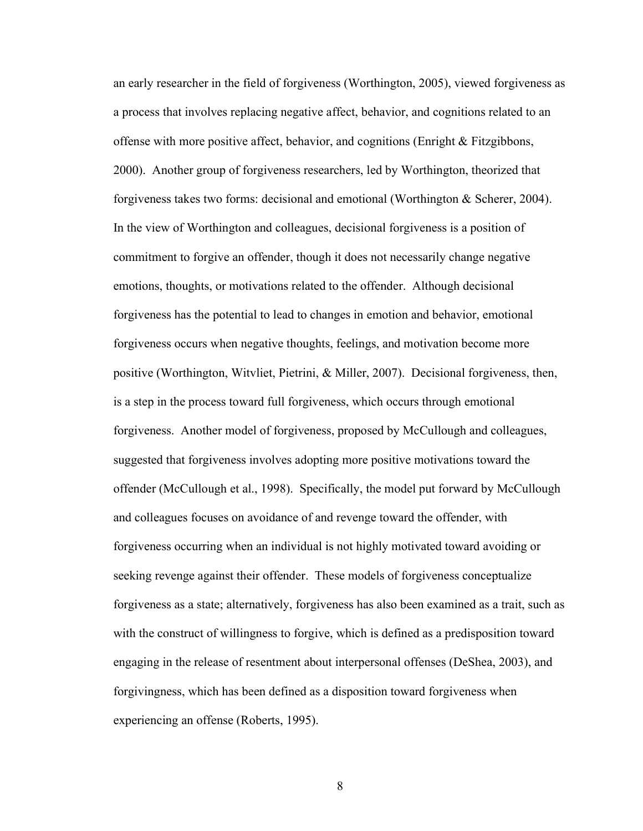an early researcher in the field of forgiveness (Worthington, 2005), viewed forgiveness as a process that involves replacing negative affect, behavior, and cognitions related to an offense with more positive affect, behavior, and cognitions (Enright & Fitzgibbons, 2000). Another group of forgiveness researchers, led by Worthington, theorized that forgiveness takes two forms: decisional and emotional (Worthington & Scherer, 2004). In the view of Worthington and colleagues, decisional forgiveness is a position of commitment to forgive an offender, though it does not necessarily change negative emotions, thoughts, or motivations related to the offender. Although decisional forgiveness has the potential to lead to changes in emotion and behavior, emotional forgiveness occurs when negative thoughts, feelings, and motivation become more positive (Worthington, Witvliet, Pietrini, & Miller, 2007). Decisional forgiveness, then, is a step in the process toward full forgiveness, which occurs through emotional forgiveness. Another model of forgiveness, proposed by McCullough and colleagues, suggested that forgiveness involves adopting more positive motivations toward the offender (McCullough et al., 1998). Specifically, the model put forward by McCullough and colleagues focuses on avoidance of and revenge toward the offender, with forgiveness occurring when an individual is not highly motivated toward avoiding or seeking revenge against their offender. These models of forgiveness conceptualize forgiveness as a state; alternatively, forgiveness has also been examined as a trait, such as with the construct of willingness to forgive, which is defined as a predisposition toward engaging in the release of resentment about interpersonal offenses (DeShea, 2003), and forgivingness, which has been defined as a disposition toward forgiveness when experiencing an offense (Roberts, 1995).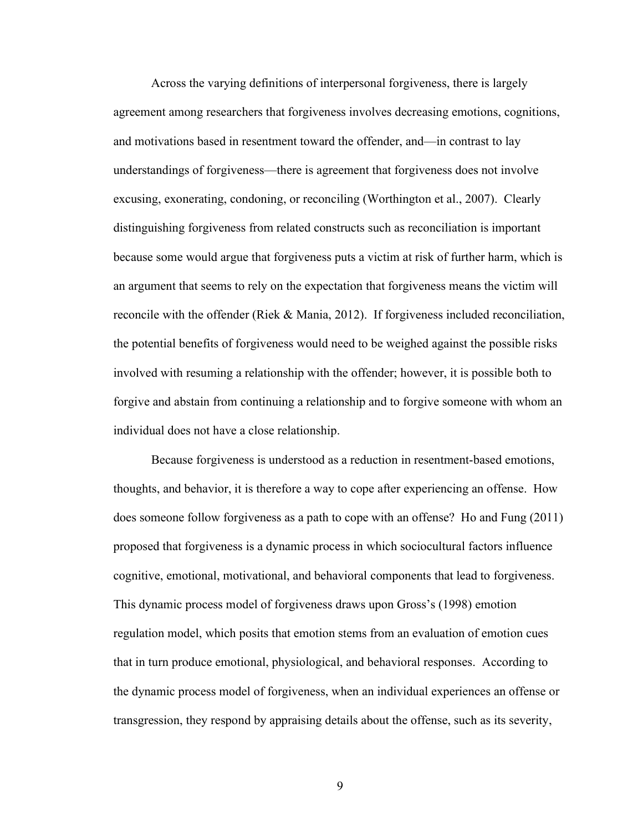Across the varying definitions of interpersonal forgiveness, there is largely agreement among researchers that forgiveness involves decreasing emotions, cognitions, and motivations based in resentment toward the offender, and—in contrast to lay understandings of forgiveness—there is agreement that forgiveness does not involve excusing, exonerating, condoning, or reconciling (Worthington et al., 2007). Clearly distinguishing forgiveness from related constructs such as reconciliation is important because some would argue that forgiveness puts a victim at risk of further harm, which is an argument that seems to rely on the expectation that forgiveness means the victim will reconcile with the offender (Riek & Mania, 2012). If forgiveness included reconciliation, the potential benefits of forgiveness would need to be weighed against the possible risks involved with resuming a relationship with the offender; however, it is possible both to forgive and abstain from continuing a relationship and to forgive someone with whom an individual does not have a close relationship.

 Because forgiveness is understood as a reduction in resentment-based emotions, thoughts, and behavior, it is therefore a way to cope after experiencing an offense. How does someone follow forgiveness as a path to cope with an offense? Ho and Fung (2011) proposed that forgiveness is a dynamic process in which sociocultural factors influence cognitive, emotional, motivational, and behavioral components that lead to forgiveness. This dynamic process model of forgiveness draws upon Gross's (1998) emotion regulation model, which posits that emotion stems from an evaluation of emotion cues that in turn produce emotional, physiological, and behavioral responses. According to the dynamic process model of forgiveness, when an individual experiences an offense or transgression, they respond by appraising details about the offense, such as its severity,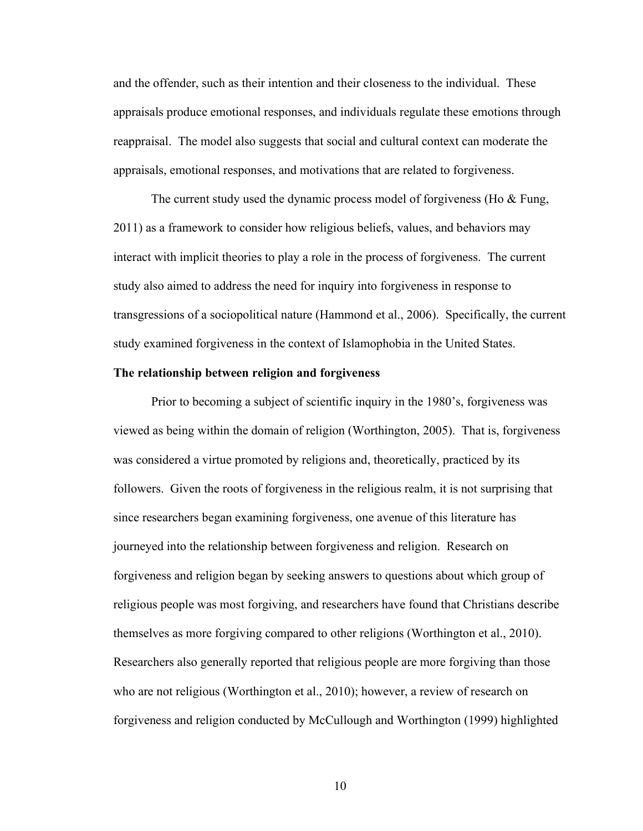and the offender, such as their intention and their closeness to the individual. These appraisals produce emotional responses, and individuals regulate these emotions through reappraisal. The model also suggests that social and cultural context can moderate the appraisals, emotional responses, and motivations that are related to forgiveness.

The current study used the dynamic process model of forgiveness (Ho & Fung, 2011) as a framework to consider how religious beliefs, values, and behaviors may interact with implicit theories to play a role in the process of forgiveness. The current study also aimed to address the need for inquiry into forgiveness in response to transgressions of a sociopolitical nature (Hammond et al., 2006). Specifically, the current study examined forgiveness in the context of Islamophobia in the United States.

#### The relationship between religion and forgiveness

 Prior to becoming a subject of scientific inquiry in the 1980's, forgiveness was viewed as being within the domain of religion (Worthington, 2005). That is, forgiveness was considered a virtue promoted by religions and, theoretically, practiced by its followers. Given the roots of forgiveness in the religious realm, it is not surprising that since researchers began examining forgiveness, one avenue of this literature has journeyed into the relationship between forgiveness and religion. Research on forgiveness and religion began by seeking answers to questions about which group of religious people was most forgiving, and researchers have found that Christians describe themselves as more forgiving compared to other religions (Worthington et al., 2010). Researchers also generally reported that religious people are more forgiving than those who are not religious (Worthington et al., 2010); however, a review of research on forgiveness and religion conducted by McCullough and Worthington (1999) highlighted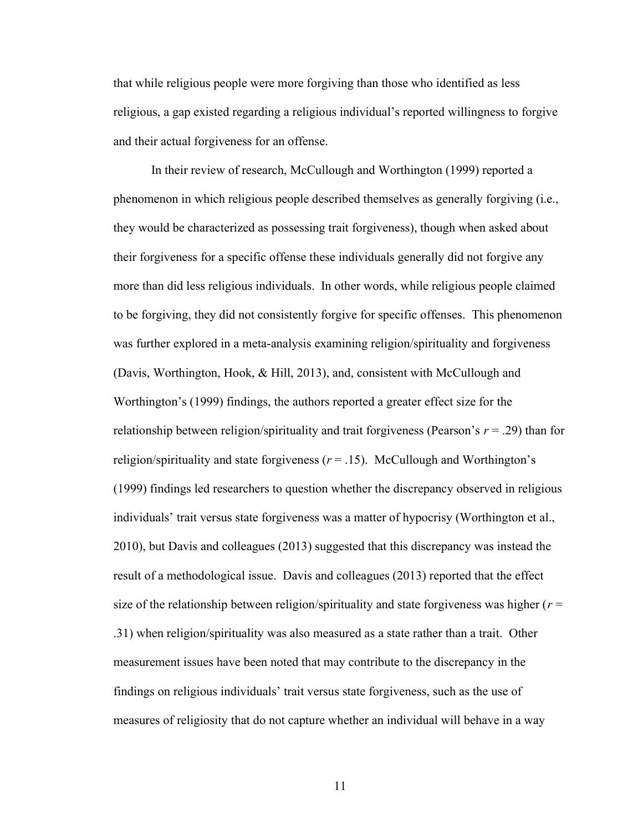that while religious people were more forgiving than those who identified as less religious, a gap existed regarding a religious individual's reported willingness to forgive and their actual forgiveness for an offense.

 In their review of research, McCullough and Worthington (1999) reported a phenomenon in which religious people described themselves as generally forgiving (i.e., they would be characterized as possessing trait forgiveness), though when asked about their forgiveness for a specific offense these individuals generally did not forgive any more than did less religious individuals. In other words, while religious people claimed to be forgiving, they did not consistently forgive for specific offenses. This phenomenon was further explored in a meta-analysis examining religion/spirituality and forgiveness (Davis, Worthington, Hook, & Hill, 2013), and, consistent with McCullough and Worthington's (1999) findings, the authors reported a greater effect size for the relationship between religion/spirituality and trait forgiveness (Pearson's  $r = .29$ ) than for religion/spirituality and state forgiveness  $(r = .15)$ . McCullough and Worthington's (1999) findings led researchers to question whether the discrepancy observed in religious individuals' trait versus state forgiveness was a matter of hypocrisy (Worthington et al., 2010), but Davis and colleagues (2013) suggested that this discrepancy was instead the result of a methodological issue. Davis and colleagues (2013) reported that the effect size of the relationship between religion/spirituality and state forgiveness was higher ( $r =$ .31) when religion/spirituality was also measured as a state rather than a trait. Other measurement issues have been noted that may contribute to the discrepancy in the findings on religious individuals' trait versus state forgiveness, such as the use of measures of religiosity that do not capture whether an individual will behave in a way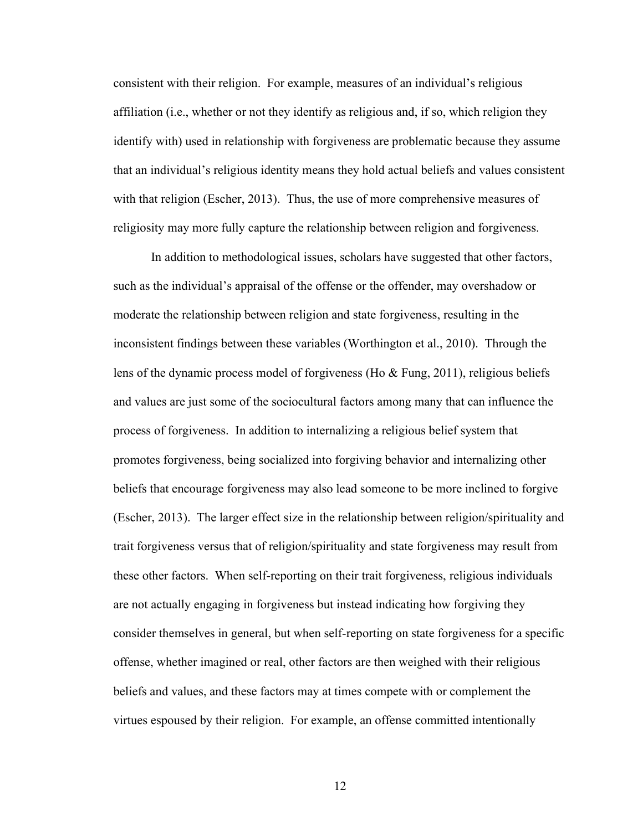consistent with their religion. For example, measures of an individual's religious affiliation (i.e., whether or not they identify as religious and, if so, which religion they identify with) used in relationship with forgiveness are problematic because they assume that an individual's religious identity means they hold actual beliefs and values consistent with that religion (Escher, 2013). Thus, the use of more comprehensive measures of religiosity may more fully capture the relationship between religion and forgiveness.

In addition to methodological issues, scholars have suggested that other factors, such as the individual's appraisal of the offense or the offender, may overshadow or moderate the relationship between religion and state forgiveness, resulting in the inconsistent findings between these variables (Worthington et al., 2010). Through the lens of the dynamic process model of forgiveness (Ho & Fung, 2011), religious beliefs and values are just some of the sociocultural factors among many that can influence the process of forgiveness. In addition to internalizing a religious belief system that promotes forgiveness, being socialized into forgiving behavior and internalizing other beliefs that encourage forgiveness may also lead someone to be more inclined to forgive (Escher, 2013). The larger effect size in the relationship between religion/spirituality and trait forgiveness versus that of religion/spirituality and state forgiveness may result from these other factors. When self-reporting on their trait forgiveness, religious individuals are not actually engaging in forgiveness but instead indicating how forgiving they consider themselves in general, but when self-reporting on state forgiveness for a specific offense, whether imagined or real, other factors are then weighed with their religious beliefs and values, and these factors may at times compete with or complement the virtues espoused by their religion. For example, an offense committed intentionally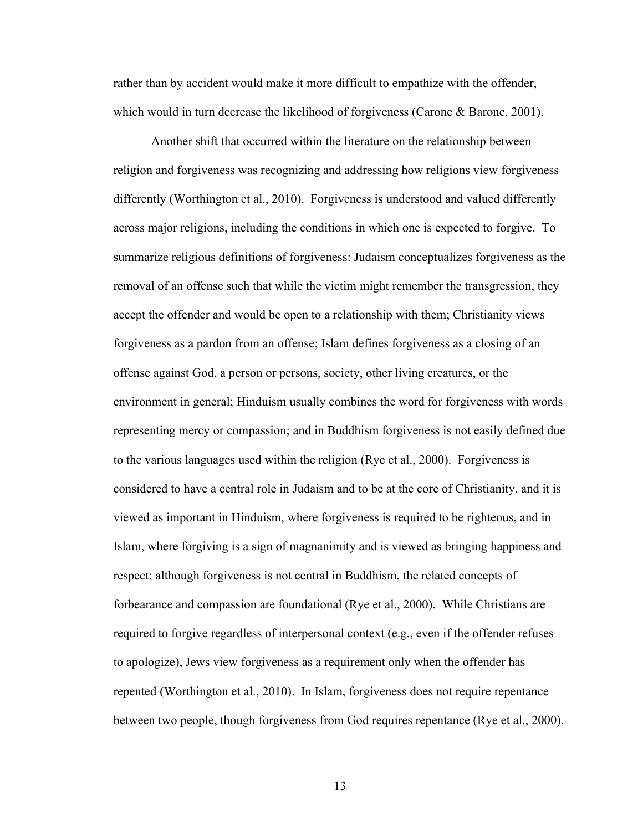rather than by accident would make it more difficult to empathize with the offender, which would in turn decrease the likelihood of forgiveness (Carone & Barone, 2001).

Another shift that occurred within the literature on the relationship between religion and forgiveness was recognizing and addressing how religions view forgiveness differently (Worthington et al., 2010). Forgiveness is understood and valued differently across major religions, including the conditions in which one is expected to forgive. To summarize religious definitions of forgiveness: Judaism conceptualizes forgiveness as the removal of an offense such that while the victim might remember the transgression, they accept the offender and would be open to a relationship with them; Christianity views forgiveness as a pardon from an offense; Islam defines forgiveness as a closing of an offense against God, a person or persons, society, other living creatures, or the environment in general; Hinduism usually combines the word for forgiveness with words representing mercy or compassion; and in Buddhism forgiveness is not easily defined due to the various languages used within the religion (Rye et al., 2000). Forgiveness is considered to have a central role in Judaism and to be at the core of Christianity, and it is viewed as important in Hinduism, where forgiveness is required to be righteous, and in Islam, where forgiving is a sign of magnanimity and is viewed as bringing happiness and respect; although forgiveness is not central in Buddhism, the related concepts of forbearance and compassion are foundational (Rye et al., 2000). While Christians are required to forgive regardless of interpersonal context (e.g., even if the offender refuses to apologize), Jews view forgiveness as a requirement only when the offender has repented (Worthington et al., 2010). In Islam, forgiveness does not require repentance between two people, though forgiveness from God requires repentance (Rye et al., 2000).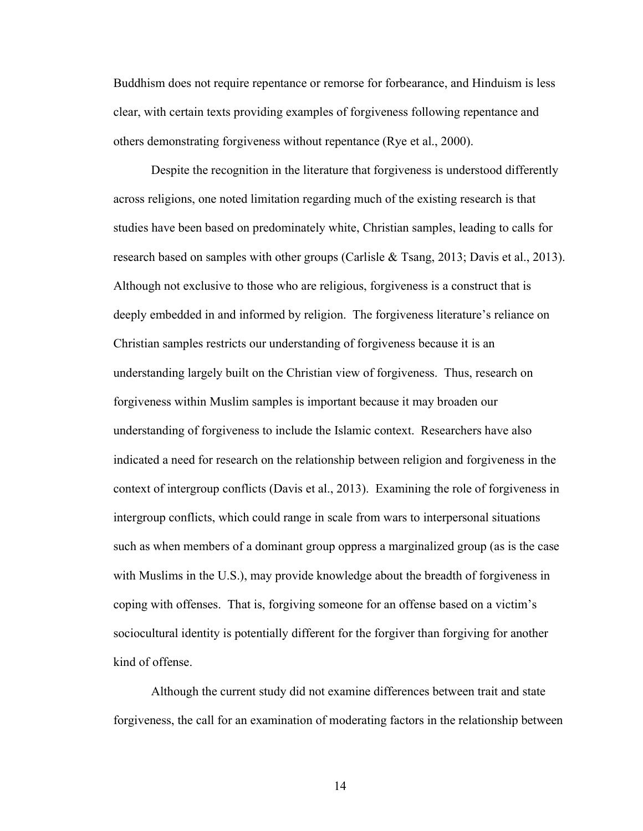Buddhism does not require repentance or remorse for forbearance, and Hinduism is less clear, with certain texts providing examples of forgiveness following repentance and others demonstrating forgiveness without repentance (Rye et al., 2000).

Despite the recognition in the literature that forgiveness is understood differently across religions, one noted limitation regarding much of the existing research is that studies have been based on predominately white, Christian samples, leading to calls for research based on samples with other groups (Carlisle & Tsang, 2013; Davis et al., 2013). Although not exclusive to those who are religious, forgiveness is a construct that is deeply embedded in and informed by religion. The forgiveness literature's reliance on Christian samples restricts our understanding of forgiveness because it is an understanding largely built on the Christian view of forgiveness. Thus, research on forgiveness within Muslim samples is important because it may broaden our understanding of forgiveness to include the Islamic context. Researchers have also indicated a need for research on the relationship between religion and forgiveness in the context of intergroup conflicts (Davis et al., 2013). Examining the role of forgiveness in intergroup conflicts, which could range in scale from wars to interpersonal situations such as when members of a dominant group oppress a marginalized group (as is the case with Muslims in the U.S.), may provide knowledge about the breadth of forgiveness in coping with offenses. That is, forgiving someone for an offense based on a victim's sociocultural identity is potentially different for the forgiver than forgiving for another kind of offense.

Although the current study did not examine differences between trait and state forgiveness, the call for an examination of moderating factors in the relationship between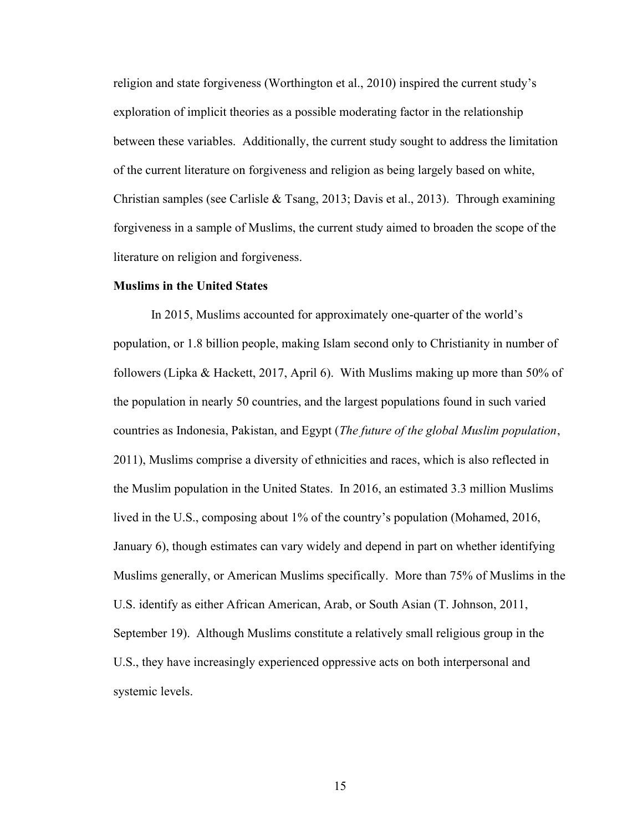religion and state forgiveness (Worthington et al., 2010) inspired the current study's exploration of implicit theories as a possible moderating factor in the relationship between these variables. Additionally, the current study sought to address the limitation of the current literature on forgiveness and religion as being largely based on white, Christian samples (see Carlisle & Tsang, 2013; Davis et al., 2013). Through examining forgiveness in a sample of Muslims, the current study aimed to broaden the scope of the literature on religion and forgiveness.

#### Muslims in the United States

In 2015, Muslims accounted for approximately one-quarter of the world's population, or 1.8 billion people, making Islam second only to Christianity in number of followers (Lipka & Hackett, 2017, April 6). With Muslims making up more than 50% of the population in nearly 50 countries, and the largest populations found in such varied countries as Indonesia, Pakistan, and Egypt (The future of the global Muslim population, 2011), Muslims comprise a diversity of ethnicities and races, which is also reflected in the Muslim population in the United States. In 2016, an estimated 3.3 million Muslims lived in the U.S., composing about 1% of the country's population (Mohamed, 2016, January 6), though estimates can vary widely and depend in part on whether identifying Muslims generally, or American Muslims specifically. More than 75% of Muslims in the U.S. identify as either African American, Arab, or South Asian (T. Johnson, 2011, September 19). Although Muslims constitute a relatively small religious group in the U.S., they have increasingly experienced oppressive acts on both interpersonal and systemic levels.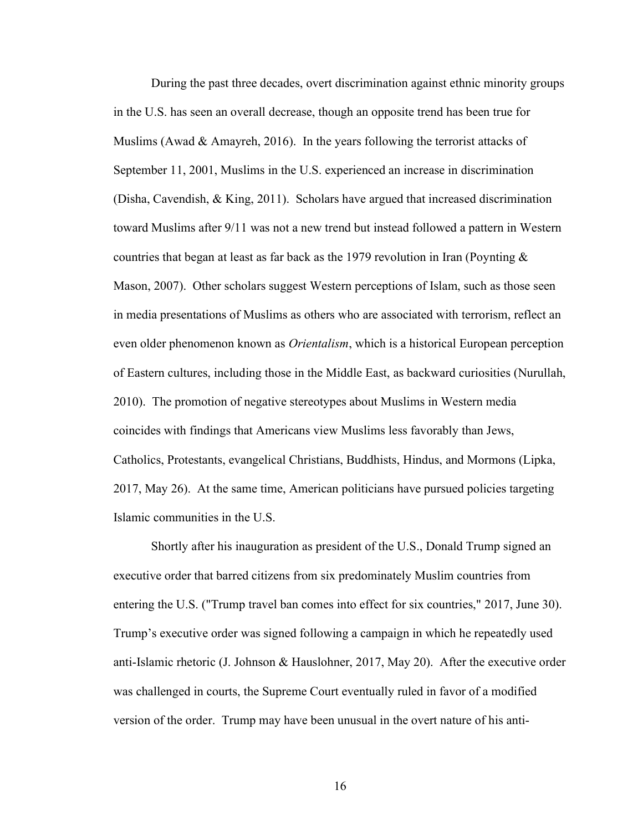During the past three decades, overt discrimination against ethnic minority groups in the U.S. has seen an overall decrease, though an opposite trend has been true for Muslims (Awad  $\&$  Amayreh, 2016). In the years following the terrorist attacks of September 11, 2001, Muslims in the U.S. experienced an increase in discrimination (Disha, Cavendish, & King, 2011). Scholars have argued that increased discrimination toward Muslims after 9/11 was not a new trend but instead followed a pattern in Western countries that began at least as far back as the 1979 revolution in Iran (Poynting  $\&$ Mason, 2007). Other scholars suggest Western perceptions of Islam, such as those seen in media presentations of Muslims as others who are associated with terrorism, reflect an even older phenomenon known as *Orientalism*, which is a historical European perception of Eastern cultures, including those in the Middle East, as backward curiosities (Nurullah, 2010). The promotion of negative stereotypes about Muslims in Western media coincides with findings that Americans view Muslims less favorably than Jews, Catholics, Protestants, evangelical Christians, Buddhists, Hindus, and Mormons (Lipka, 2017, May 26). At the same time, American politicians have pursued policies targeting Islamic communities in the U.S.

Shortly after his inauguration as president of the U.S., Donald Trump signed an executive order that barred citizens from six predominately Muslim countries from entering the U.S. ("Trump travel ban comes into effect for six countries," 2017, June 30). Trump's executive order was signed following a campaign in which he repeatedly used anti-Islamic rhetoric (J. Johnson & Hauslohner, 2017, May 20). After the executive order was challenged in courts, the Supreme Court eventually ruled in favor of a modified version of the order. Trump may have been unusual in the overt nature of his anti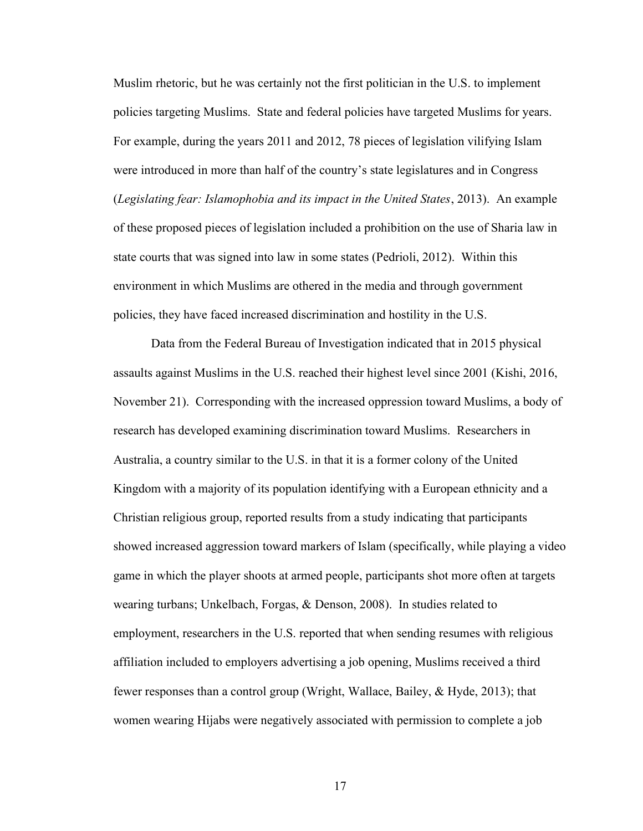Muslim rhetoric, but he was certainly not the first politician in the U.S. to implement policies targeting Muslims. State and federal policies have targeted Muslims for years. For example, during the years 2011 and 2012, 78 pieces of legislation vilifying Islam were introduced in more than half of the country's state legislatures and in Congress (Legislating fear: Islamophobia and its impact in the United States, 2013). An example of these proposed pieces of legislation included a prohibition on the use of Sharia law in state courts that was signed into law in some states (Pedrioli, 2012). Within this environment in which Muslims are othered in the media and through government policies, they have faced increased discrimination and hostility in the U.S.

Data from the Federal Bureau of Investigation indicated that in 2015 physical assaults against Muslims in the U.S. reached their highest level since 2001 (Kishi, 2016, November 21). Corresponding with the increased oppression toward Muslims, a body of research has developed examining discrimination toward Muslims. Researchers in Australia, a country similar to the U.S. in that it is a former colony of the United Kingdom with a majority of its population identifying with a European ethnicity and a Christian religious group, reported results from a study indicating that participants showed increased aggression toward markers of Islam (specifically, while playing a video game in which the player shoots at armed people, participants shot more often at targets wearing turbans; Unkelbach, Forgas, & Denson, 2008). In studies related to employment, researchers in the U.S. reported that when sending resumes with religious affiliation included to employers advertising a job opening, Muslims received a third fewer responses than a control group (Wright, Wallace, Bailey, & Hyde, 2013); that women wearing Hijabs were negatively associated with permission to complete a job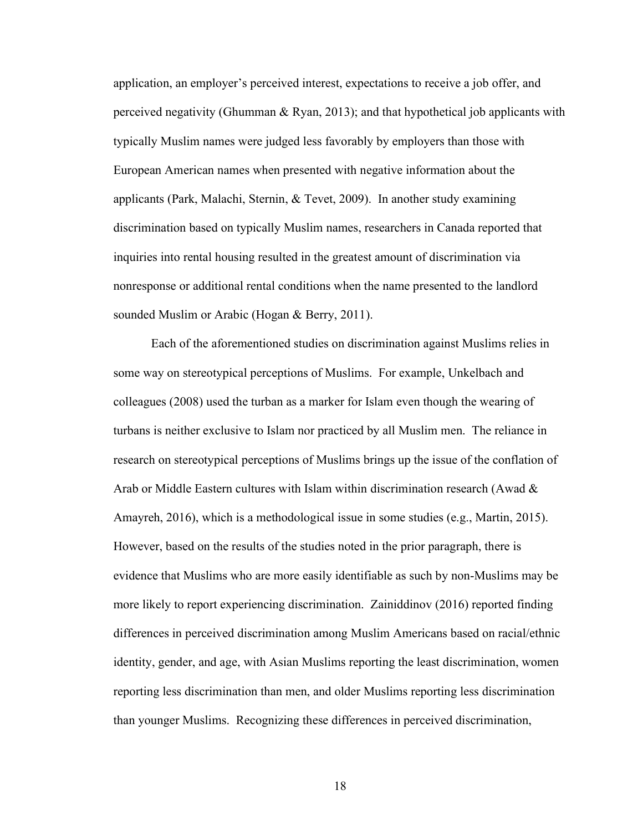application, an employer's perceived interest, expectations to receive a job offer, and perceived negativity (Ghumman & Ryan, 2013); and that hypothetical job applicants with typically Muslim names were judged less favorably by employers than those with European American names when presented with negative information about the applicants (Park, Malachi, Sternin, & Tevet, 2009). In another study examining discrimination based on typically Muslim names, researchers in Canada reported that inquiries into rental housing resulted in the greatest amount of discrimination via nonresponse or additional rental conditions when the name presented to the landlord sounded Muslim or Arabic (Hogan & Berry, 2011).

Each of the aforementioned studies on discrimination against Muslims relies in some way on stereotypical perceptions of Muslims. For example, Unkelbach and colleagues (2008) used the turban as a marker for Islam even though the wearing of turbans is neither exclusive to Islam nor practiced by all Muslim men. The reliance in research on stereotypical perceptions of Muslims brings up the issue of the conflation of Arab or Middle Eastern cultures with Islam within discrimination research (Awad & Amayreh, 2016), which is a methodological issue in some studies (e.g., Martin, 2015). However, based on the results of the studies noted in the prior paragraph, there is evidence that Muslims who are more easily identifiable as such by non-Muslims may be more likely to report experiencing discrimination. Zainiddinov (2016) reported finding differences in perceived discrimination among Muslim Americans based on racial/ethnic identity, gender, and age, with Asian Muslims reporting the least discrimination, women reporting less discrimination than men, and older Muslims reporting less discrimination than younger Muslims. Recognizing these differences in perceived discrimination,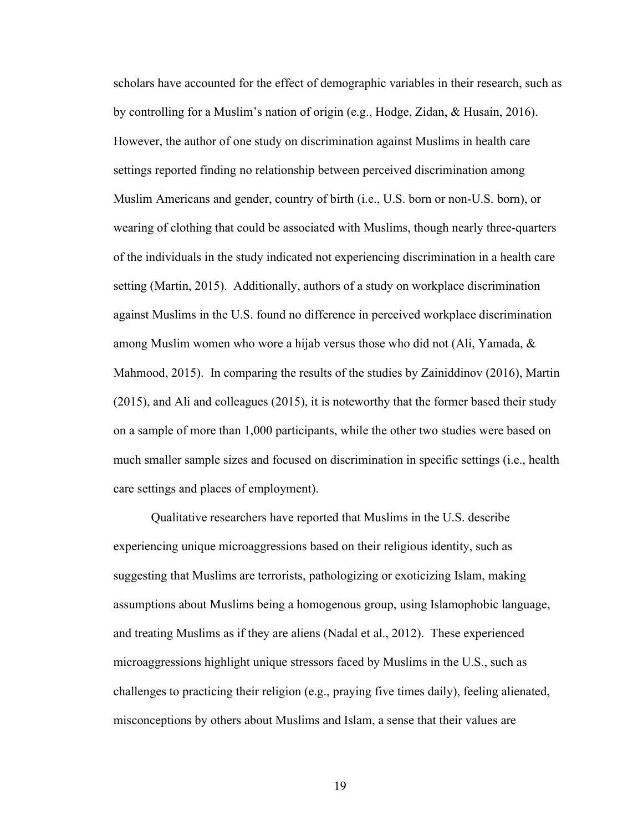scholars have accounted for the effect of demographic variables in their research, such as by controlling for a Muslim's nation of origin (e.g., Hodge, Zidan, & Husain, 2016). However, the author of one study on discrimination against Muslims in health care settings reported finding no relationship between perceived discrimination among Muslim Americans and gender, country of birth (i.e., U.S. born or non-U.S. born), or wearing of clothing that could be associated with Muslims, though nearly three-quarters of the individuals in the study indicated not experiencing discrimination in a health care setting (Martin, 2015). Additionally, authors of a study on workplace discrimination against Muslims in the U.S. found no difference in perceived workplace discrimination among Muslim women who wore a hijab versus those who did not (Ali, Yamada, & Mahmood, 2015). In comparing the results of the studies by Zainiddinov (2016), Martin (2015), and Ali and colleagues (2015), it is noteworthy that the former based their study on a sample of more than 1,000 participants, while the other two studies were based on much smaller sample sizes and focused on discrimination in specific settings (i.e., health care settings and places of employment).

Qualitative researchers have reported that Muslims in the U.S. describe experiencing unique microaggressions based on their religious identity, such as suggesting that Muslims are terrorists, pathologizing or exoticizing Islam, making assumptions about Muslims being a homogenous group, using Islamophobic language, and treating Muslims as if they are aliens (Nadal et al., 2012). These experienced microaggressions highlight unique stressors faced by Muslims in the U.S., such as challenges to practicing their religion (e.g., praying five times daily), feeling alienated, misconceptions by others about Muslims and Islam, a sense that their values are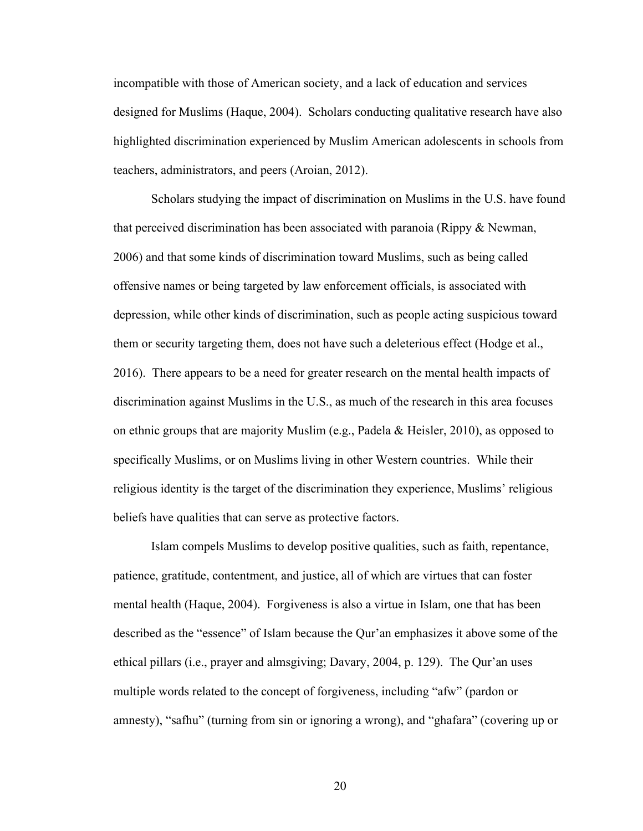incompatible with those of American society, and a lack of education and services designed for Muslims (Haque, 2004). Scholars conducting qualitative research have also highlighted discrimination experienced by Muslim American adolescents in schools from teachers, administrators, and peers (Aroian, 2012).

Scholars studying the impact of discrimination on Muslims in the U.S. have found that perceived discrimination has been associated with paranoia (Rippy & Newman, 2006) and that some kinds of discrimination toward Muslims, such as being called offensive names or being targeted by law enforcement officials, is associated with depression, while other kinds of discrimination, such as people acting suspicious toward them or security targeting them, does not have such a deleterious effect (Hodge et al., 2016). There appears to be a need for greater research on the mental health impacts of discrimination against Muslims in the U.S., as much of the research in this area focuses on ethnic groups that are majority Muslim (e.g., Padela & Heisler, 2010), as opposed to specifically Muslims, or on Muslims living in other Western countries. While their religious identity is the target of the discrimination they experience, Muslims' religious beliefs have qualities that can serve as protective factors.

Islam compels Muslims to develop positive qualities, such as faith, repentance, patience, gratitude, contentment, and justice, all of which are virtues that can foster mental health (Haque, 2004). Forgiveness is also a virtue in Islam, one that has been described as the "essence" of Islam because the Qur'an emphasizes it above some of the ethical pillars (i.e., prayer and almsgiving; Davary, 2004, p. 129). The Qur'an uses multiple words related to the concept of forgiveness, including "afw" (pardon or amnesty), "safhu" (turning from sin or ignoring a wrong), and "ghafara" (covering up or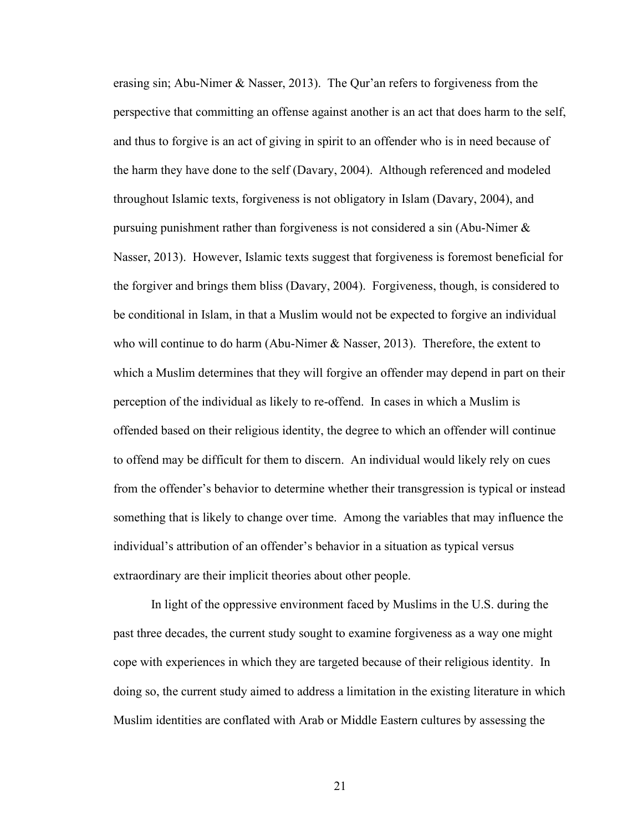erasing sin; Abu-Nimer & Nasser, 2013). The Qur'an refers to forgiveness from the perspective that committing an offense against another is an act that does harm to the self, and thus to forgive is an act of giving in spirit to an offender who is in need because of the harm they have done to the self (Davary, 2004). Although referenced and modeled throughout Islamic texts, forgiveness is not obligatory in Islam (Davary, 2004), and pursuing punishment rather than forgiveness is not considered a sin (Abu-Nimer & Nasser, 2013). However, Islamic texts suggest that forgiveness is foremost beneficial for the forgiver and brings them bliss (Davary, 2004). Forgiveness, though, is considered to be conditional in Islam, in that a Muslim would not be expected to forgive an individual who will continue to do harm (Abu-Nimer  $\&$  Nasser, 2013). Therefore, the extent to which a Muslim determines that they will forgive an offender may depend in part on their perception of the individual as likely to re-offend. In cases in which a Muslim is offended based on their religious identity, the degree to which an offender will continue to offend may be difficult for them to discern. An individual would likely rely on cues from the offender's behavior to determine whether their transgression is typical or instead something that is likely to change over time. Among the variables that may influence the individual's attribution of an offender's behavior in a situation as typical versus extraordinary are their implicit theories about other people.

In light of the oppressive environment faced by Muslims in the U.S. during the past three decades, the current study sought to examine forgiveness as a way one might cope with experiences in which they are targeted because of their religious identity. In doing so, the current study aimed to address a limitation in the existing literature in which Muslim identities are conflated with Arab or Middle Eastern cultures by assessing the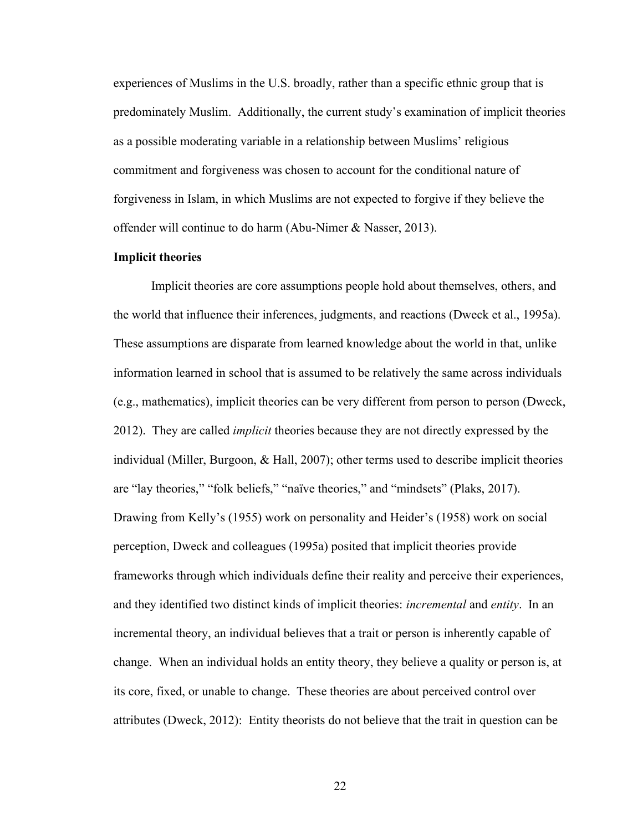experiences of Muslims in the U.S. broadly, rather than a specific ethnic group that is predominately Muslim. Additionally, the current study's examination of implicit theories as a possible moderating variable in a relationship between Muslims' religious commitment and forgiveness was chosen to account for the conditional nature of forgiveness in Islam, in which Muslims are not expected to forgive if they believe the offender will continue to do harm (Abu-Nimer & Nasser, 2013).

### Implicit theories

 Implicit theories are core assumptions people hold about themselves, others, and the world that influence their inferences, judgments, and reactions (Dweck et al., 1995a). These assumptions are disparate from learned knowledge about the world in that, unlike information learned in school that is assumed to be relatively the same across individuals (e.g., mathematics), implicit theories can be very different from person to person (Dweck, 2012). They are called *implicit* theories because they are not directly expressed by the individual (Miller, Burgoon, & Hall, 2007); other terms used to describe implicit theories are "lay theories," "folk beliefs," "naïve theories," and "mindsets" (Plaks, 2017). Drawing from Kelly's (1955) work on personality and Heider's (1958) work on social perception, Dweck and colleagues (1995a) posited that implicit theories provide frameworks through which individuals define their reality and perceive their experiences, and they identified two distinct kinds of implicit theories: *incremental* and *entity*. In an incremental theory, an individual believes that a trait or person is inherently capable of change. When an individual holds an entity theory, they believe a quality or person is, at its core, fixed, or unable to change. These theories are about perceived control over attributes (Dweck, 2012): Entity theorists do not believe that the trait in question can be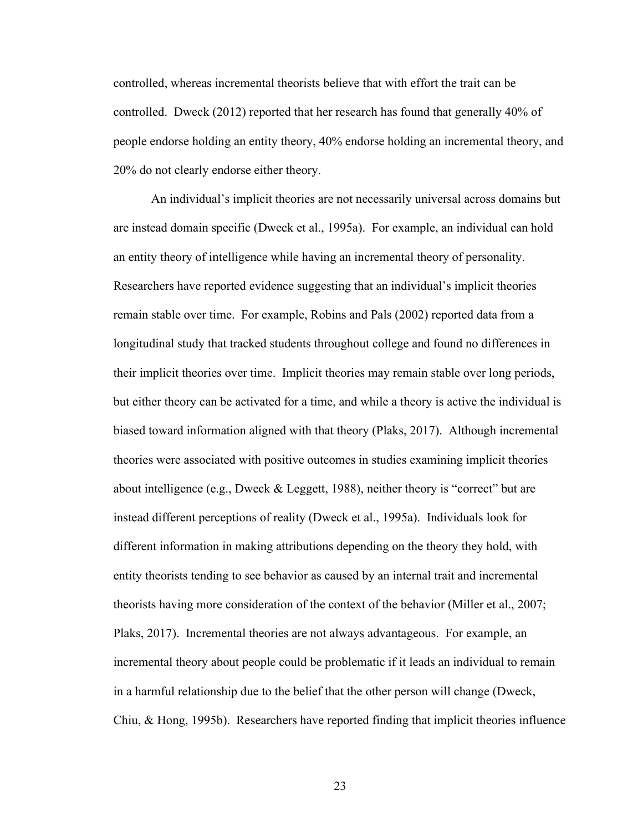controlled, whereas incremental theorists believe that with effort the trait can be controlled. Dweck (2012) reported that her research has found that generally 40% of people endorse holding an entity theory, 40% endorse holding an incremental theory, and 20% do not clearly endorse either theory.

An individual's implicit theories are not necessarily universal across domains but are instead domain specific (Dweck et al., 1995a). For example, an individual can hold an entity theory of intelligence while having an incremental theory of personality. Researchers have reported evidence suggesting that an individual's implicit theories remain stable over time. For example, Robins and Pals (2002) reported data from a longitudinal study that tracked students throughout college and found no differences in their implicit theories over time. Implicit theories may remain stable over long periods, but either theory can be activated for a time, and while a theory is active the individual is biased toward information aligned with that theory (Plaks, 2017). Although incremental theories were associated with positive outcomes in studies examining implicit theories about intelligence (e.g., Dweck & Leggett, 1988), neither theory is "correct" but are instead different perceptions of reality (Dweck et al., 1995a). Individuals look for different information in making attributions depending on the theory they hold, with entity theorists tending to see behavior as caused by an internal trait and incremental theorists having more consideration of the context of the behavior (Miller et al., 2007; Plaks, 2017). Incremental theories are not always advantageous. For example, an incremental theory about people could be problematic if it leads an individual to remain in a harmful relationship due to the belief that the other person will change (Dweck, Chiu, & Hong, 1995b). Researchers have reported finding that implicit theories influence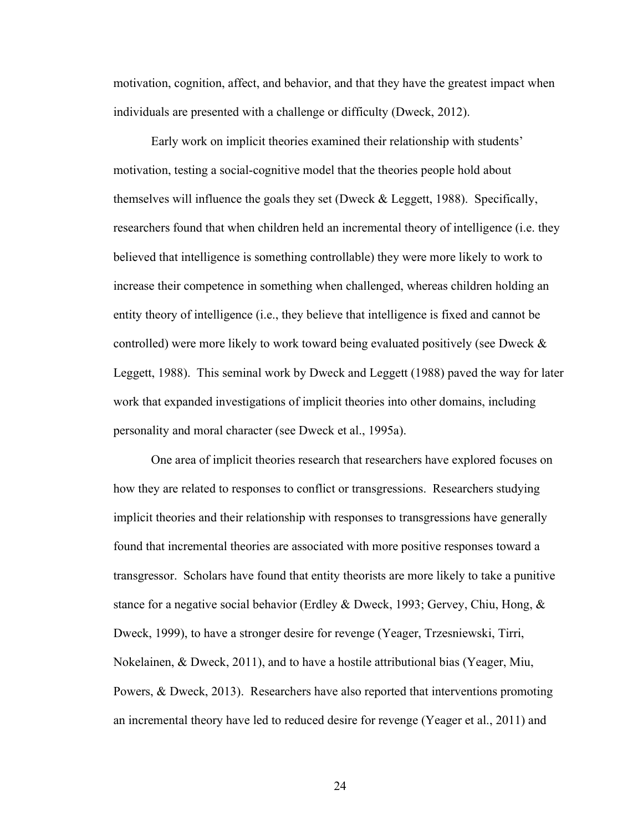motivation, cognition, affect, and behavior, and that they have the greatest impact when individuals are presented with a challenge or difficulty (Dweck, 2012).

Early work on implicit theories examined their relationship with students' motivation, testing a social-cognitive model that the theories people hold about themselves will influence the goals they set (Dweck & Leggett, 1988). Specifically, researchers found that when children held an incremental theory of intelligence (i.e. they believed that intelligence is something controllable) they were more likely to work to increase their competence in something when challenged, whereas children holding an entity theory of intelligence (i.e., they believe that intelligence is fixed and cannot be controlled) were more likely to work toward being evaluated positively (see Dweck & Leggett, 1988). This seminal work by Dweck and Leggett (1988) paved the way for later work that expanded investigations of implicit theories into other domains, including personality and moral character (see Dweck et al., 1995a).

One area of implicit theories research that researchers have explored focuses on how they are related to responses to conflict or transgressions. Researchers studying implicit theories and their relationship with responses to transgressions have generally found that incremental theories are associated with more positive responses toward a transgressor. Scholars have found that entity theorists are more likely to take a punitive stance for a negative social behavior (Erdley & Dweck, 1993; Gervey, Chiu, Hong, & Dweck, 1999), to have a stronger desire for revenge (Yeager, Trzesniewski, Tirri, Nokelainen, & Dweck, 2011), and to have a hostile attributional bias (Yeager, Miu, Powers, & Dweck, 2013). Researchers have also reported that interventions promoting an incremental theory have led to reduced desire for revenge (Yeager et al., 2011) and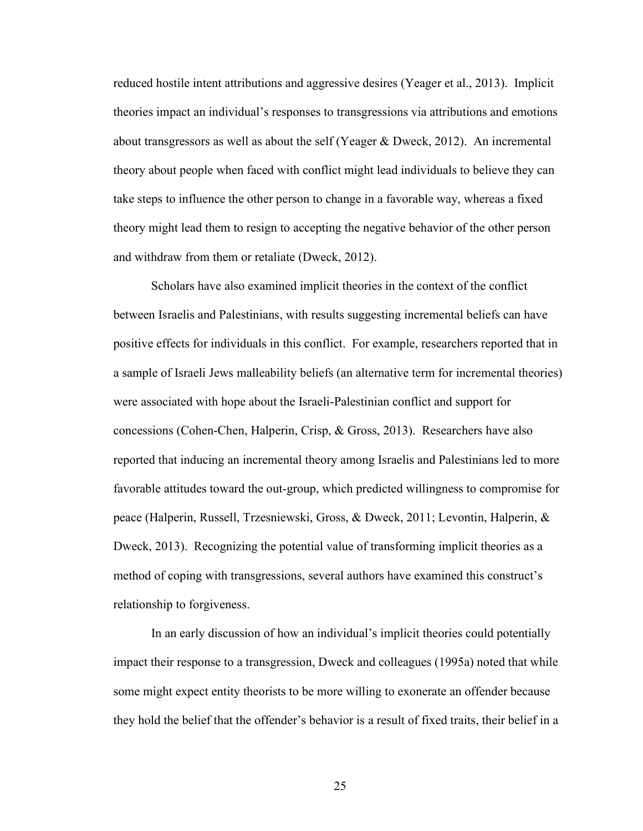reduced hostile intent attributions and aggressive desires (Yeager et al., 2013). Implicit theories impact an individual's responses to transgressions via attributions and emotions about transgressors as well as about the self (Yeager & Dweck, 2012). An incremental theory about people when faced with conflict might lead individuals to believe they can take steps to influence the other person to change in a favorable way, whereas a fixed theory might lead them to resign to accepting the negative behavior of the other person and withdraw from them or retaliate (Dweck, 2012).

Scholars have also examined implicit theories in the context of the conflict between Israelis and Palestinians, with results suggesting incremental beliefs can have positive effects for individuals in this conflict. For example, researchers reported that in a sample of Israeli Jews malleability beliefs (an alternative term for incremental theories) were associated with hope about the Israeli-Palestinian conflict and support for concessions (Cohen-Chen, Halperin, Crisp, & Gross, 2013). Researchers have also reported that inducing an incremental theory among Israelis and Palestinians led to more favorable attitudes toward the out-group, which predicted willingness to compromise for peace (Halperin, Russell, Trzesniewski, Gross, & Dweck, 2011; Levontin, Halperin, & Dweck, 2013). Recognizing the potential value of transforming implicit theories as a method of coping with transgressions, several authors have examined this construct's relationship to forgiveness.

 In an early discussion of how an individual's implicit theories could potentially impact their response to a transgression, Dweck and colleagues (1995a) noted that while some might expect entity theorists to be more willing to exonerate an offender because they hold the belief that the offender's behavior is a result of fixed traits, their belief in a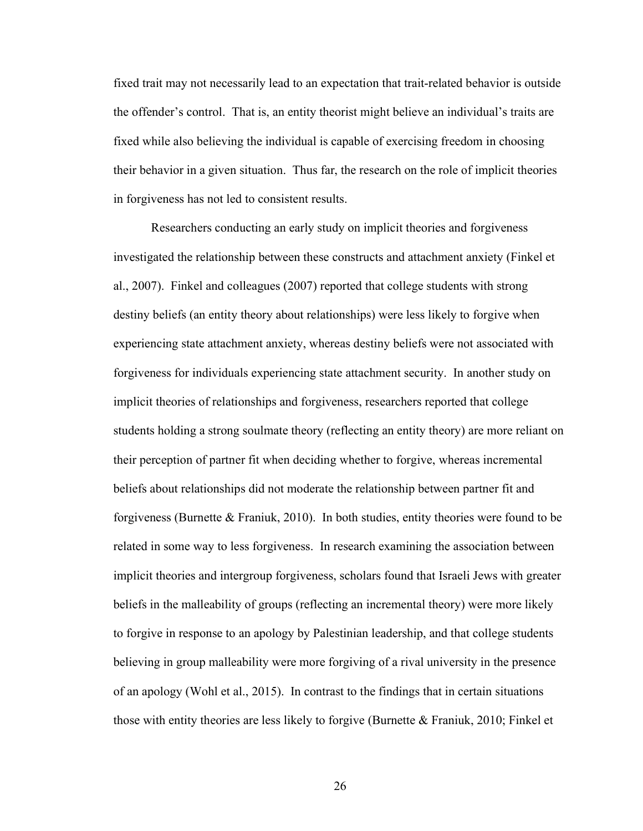fixed trait may not necessarily lead to an expectation that trait-related behavior is outside the offender's control. That is, an entity theorist might believe an individual's traits are fixed while also believing the individual is capable of exercising freedom in choosing their behavior in a given situation. Thus far, the research on the role of implicit theories in forgiveness has not led to consistent results.

Researchers conducting an early study on implicit theories and forgiveness investigated the relationship between these constructs and attachment anxiety (Finkel et al., 2007). Finkel and colleagues (2007) reported that college students with strong destiny beliefs (an entity theory about relationships) were less likely to forgive when experiencing state attachment anxiety, whereas destiny beliefs were not associated with forgiveness for individuals experiencing state attachment security. In another study on implicit theories of relationships and forgiveness, researchers reported that college students holding a strong soulmate theory (reflecting an entity theory) are more reliant on their perception of partner fit when deciding whether to forgive, whereas incremental beliefs about relationships did not moderate the relationship between partner fit and forgiveness (Burnette & Franiuk, 2010). In both studies, entity theories were found to be related in some way to less forgiveness. In research examining the association between implicit theories and intergroup forgiveness, scholars found that Israeli Jews with greater beliefs in the malleability of groups (reflecting an incremental theory) were more likely to forgive in response to an apology by Palestinian leadership, and that college students believing in group malleability were more forgiving of a rival university in the presence of an apology (Wohl et al., 2015). In contrast to the findings that in certain situations those with entity theories are less likely to forgive (Burnette  $\&$  Franiuk, 2010; Finkel et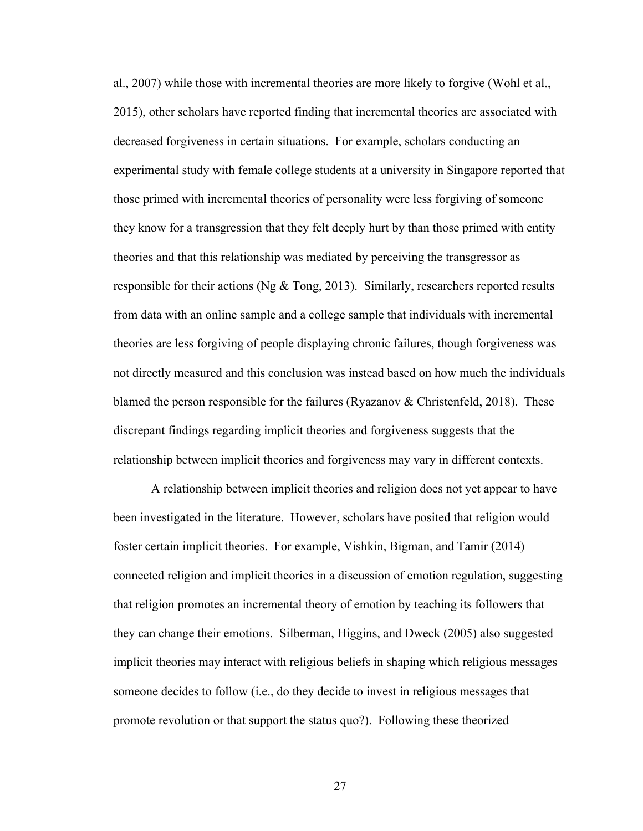al., 2007) while those with incremental theories are more likely to forgive (Wohl et al., 2015), other scholars have reported finding that incremental theories are associated with decreased forgiveness in certain situations. For example, scholars conducting an experimental study with female college students at a university in Singapore reported that those primed with incremental theories of personality were less forgiving of someone they know for a transgression that they felt deeply hurt by than those primed with entity theories and that this relationship was mediated by perceiving the transgressor as responsible for their actions (Ng  $\&$  Tong, 2013). Similarly, researchers reported results from data with an online sample and a college sample that individuals with incremental theories are less forgiving of people displaying chronic failures, though forgiveness was not directly measured and this conclusion was instead based on how much the individuals blamed the person responsible for the failures (Ryazanov & Christenfeld, 2018). These discrepant findings regarding implicit theories and forgiveness suggests that the relationship between implicit theories and forgiveness may vary in different contexts.

A relationship between implicit theories and religion does not yet appear to have been investigated in the literature. However, scholars have posited that religion would foster certain implicit theories. For example, Vishkin, Bigman, and Tamir (2014) connected religion and implicit theories in a discussion of emotion regulation, suggesting that religion promotes an incremental theory of emotion by teaching its followers that they can change their emotions. Silberman, Higgins, and Dweck (2005) also suggested implicit theories may interact with religious beliefs in shaping which religious messages someone decides to follow (i.e., do they decide to invest in religious messages that promote revolution or that support the status quo?). Following these theorized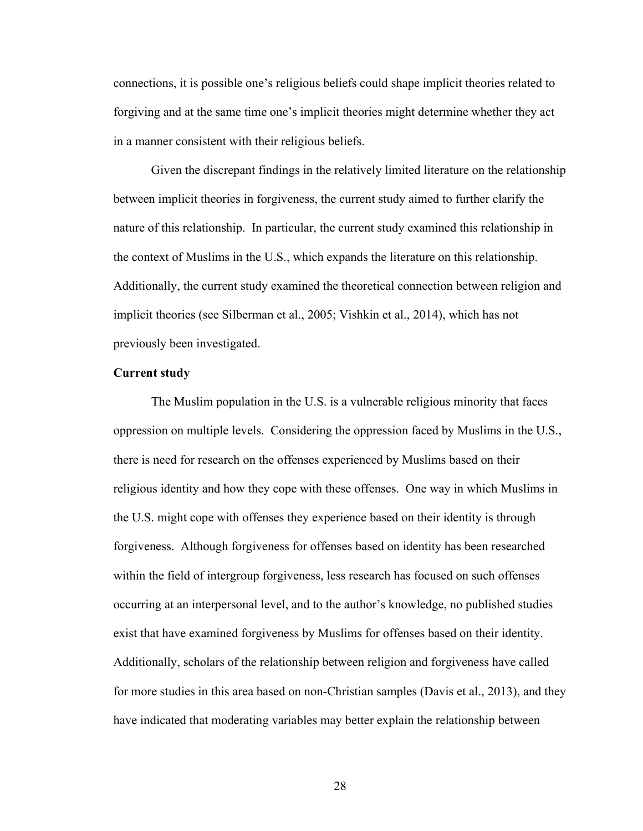connections, it is possible one's religious beliefs could shape implicit theories related to forgiving and at the same time one's implicit theories might determine whether they act in a manner consistent with their religious beliefs.

Given the discrepant findings in the relatively limited literature on the relationship between implicit theories in forgiveness, the current study aimed to further clarify the nature of this relationship. In particular, the current study examined this relationship in the context of Muslims in the U.S., which expands the literature on this relationship. Additionally, the current study examined the theoretical connection between religion and implicit theories (see Silberman et al., 2005; Vishkin et al., 2014), which has not previously been investigated.

#### Current study

 The Muslim population in the U.S. is a vulnerable religious minority that faces oppression on multiple levels. Considering the oppression faced by Muslims in the U.S., there is need for research on the offenses experienced by Muslims based on their religious identity and how they cope with these offenses. One way in which Muslims in the U.S. might cope with offenses they experience based on their identity is through forgiveness. Although forgiveness for offenses based on identity has been researched within the field of intergroup forgiveness, less research has focused on such offenses occurring at an interpersonal level, and to the author's knowledge, no published studies exist that have examined forgiveness by Muslims for offenses based on their identity. Additionally, scholars of the relationship between religion and forgiveness have called for more studies in this area based on non-Christian samples (Davis et al., 2013), and they have indicated that moderating variables may better explain the relationship between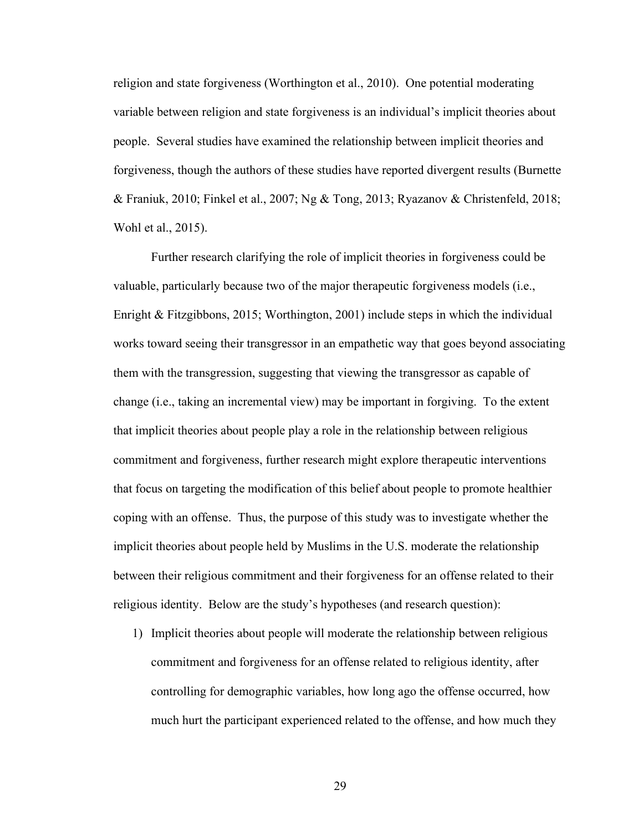religion and state forgiveness (Worthington et al., 2010). One potential moderating variable between religion and state forgiveness is an individual's implicit theories about people. Several studies have examined the relationship between implicit theories and forgiveness, though the authors of these studies have reported divergent results (Burnette & Franiuk, 2010; Finkel et al., 2007; Ng & Tong, 2013; Ryazanov & Christenfeld, 2018; Wohl et al., 2015).

Further research clarifying the role of implicit theories in forgiveness could be valuable, particularly because two of the major therapeutic forgiveness models (i.e., Enright & Fitzgibbons, 2015; Worthington, 2001) include steps in which the individual works toward seeing their transgressor in an empathetic way that goes beyond associating them with the transgression, suggesting that viewing the transgressor as capable of change (i.e., taking an incremental view) may be important in forgiving. To the extent that implicit theories about people play a role in the relationship between religious commitment and forgiveness, further research might explore therapeutic interventions that focus on targeting the modification of this belief about people to promote healthier coping with an offense. Thus, the purpose of this study was to investigate whether the implicit theories about people held by Muslims in the U.S. moderate the relationship between their religious commitment and their forgiveness for an offense related to their religious identity. Below are the study's hypotheses (and research question):

1) Implicit theories about people will moderate the relationship between religious commitment and forgiveness for an offense related to religious identity, after controlling for demographic variables, how long ago the offense occurred, how much hurt the participant experienced related to the offense, and how much they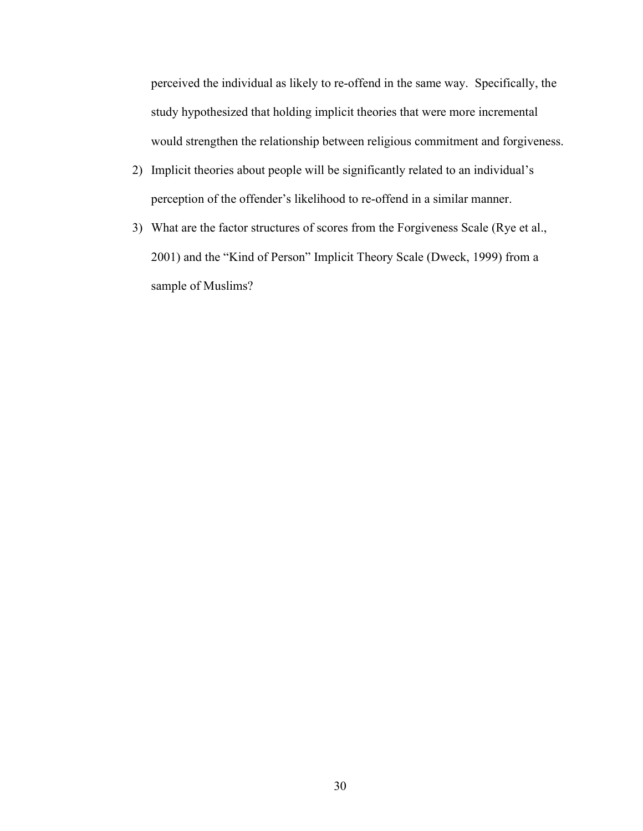perceived the individual as likely to re-offend in the same way. Specifically, the study hypothesized that holding implicit theories that were more incremental would strengthen the relationship between religious commitment and forgiveness.

- 2) Implicit theories about people will be significantly related to an individual's perception of the offender's likelihood to re-offend in a similar manner.
- 3) What are the factor structures of scores from the Forgiveness Scale (Rye et al., 2001) and the "Kind of Person" Implicit Theory Scale (Dweck, 1999) from a sample of Muslims?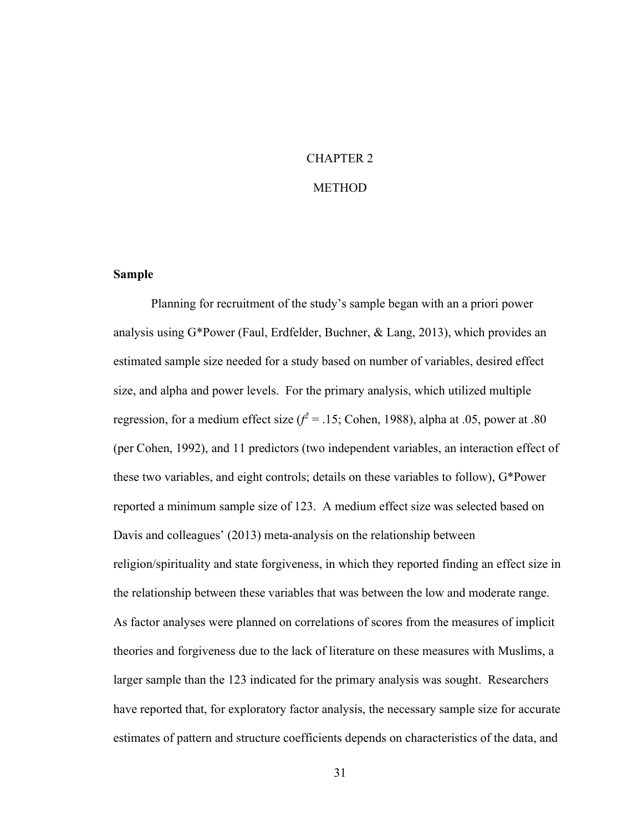# CHAPTER 2

### METHOD

#### Sample

Planning for recruitment of the study's sample began with an a priori power analysis using  $G^*$ Power (Faul, Erdfelder, Buchner, & Lang, 2013), which provides an estimated sample size needed for a study based on number of variables, desired effect size, and alpha and power levels. For the primary analysis, which utilized multiple regression, for a medium effect size ( $f^2 = .15$ ; Cohen, 1988), alpha at .05, power at .80 (per Cohen, 1992), and 11 predictors (two independent variables, an interaction effect of these two variables, and eight controls; details on these variables to follow), G\*Power reported a minimum sample size of 123. A medium effect size was selected based on Davis and colleagues' (2013) meta-analysis on the relationship between religion/spirituality and state forgiveness, in which they reported finding an effect size in the relationship between these variables that was between the low and moderate range. As factor analyses were planned on correlations of scores from the measures of implicit theories and forgiveness due to the lack of literature on these measures with Muslims, a larger sample than the 123 indicated for the primary analysis was sought. Researchers have reported that, for exploratory factor analysis, the necessary sample size for accurate estimates of pattern and structure coefficients depends on characteristics of the data, and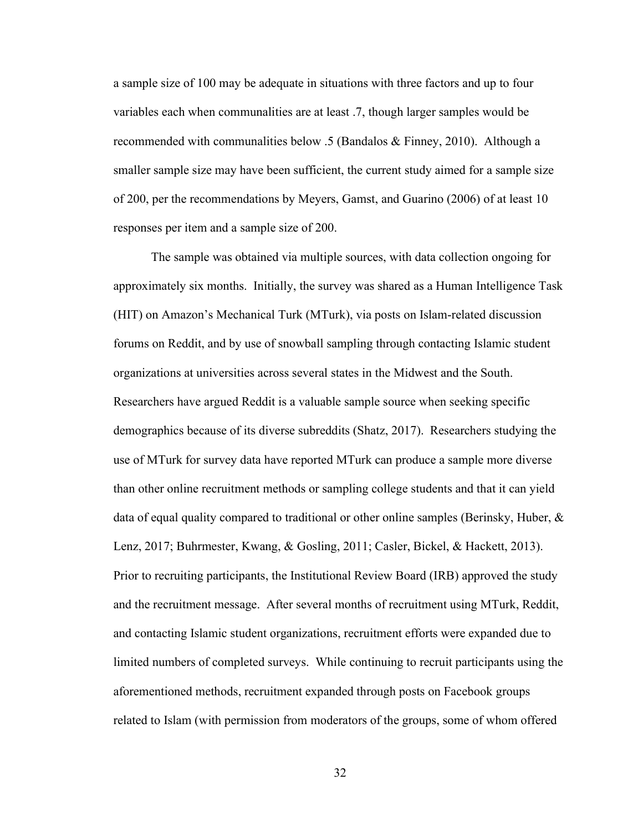a sample size of 100 may be adequate in situations with three factors and up to four variables each when communalities are at least .7, though larger samples would be recommended with communalities below .5 (Bandalos & Finney, 2010). Although a smaller sample size may have been sufficient, the current study aimed for a sample size of 200, per the recommendations by Meyers, Gamst, and Guarino (2006) of at least 10 responses per item and a sample size of 200.

The sample was obtained via multiple sources, with data collection ongoing for approximately six months. Initially, the survey was shared as a Human Intelligence Task (HIT) on Amazon's Mechanical Turk (MTurk), via posts on Islam-related discussion forums on Reddit, and by use of snowball sampling through contacting Islamic student organizations at universities across several states in the Midwest and the South. Researchers have argued Reddit is a valuable sample source when seeking specific demographics because of its diverse subreddits (Shatz, 2017). Researchers studying the use of MTurk for survey data have reported MTurk can produce a sample more diverse than other online recruitment methods or sampling college students and that it can yield data of equal quality compared to traditional or other online samples (Berinsky, Huber,  $\&$ Lenz, 2017; Buhrmester, Kwang, & Gosling, 2011; Casler, Bickel, & Hackett, 2013). Prior to recruiting participants, the Institutional Review Board (IRB) approved the study and the recruitment message. After several months of recruitment using MTurk, Reddit, and contacting Islamic student organizations, recruitment efforts were expanded due to limited numbers of completed surveys. While continuing to recruit participants using the aforementioned methods, recruitment expanded through posts on Facebook groups related to Islam (with permission from moderators of the groups, some of whom offered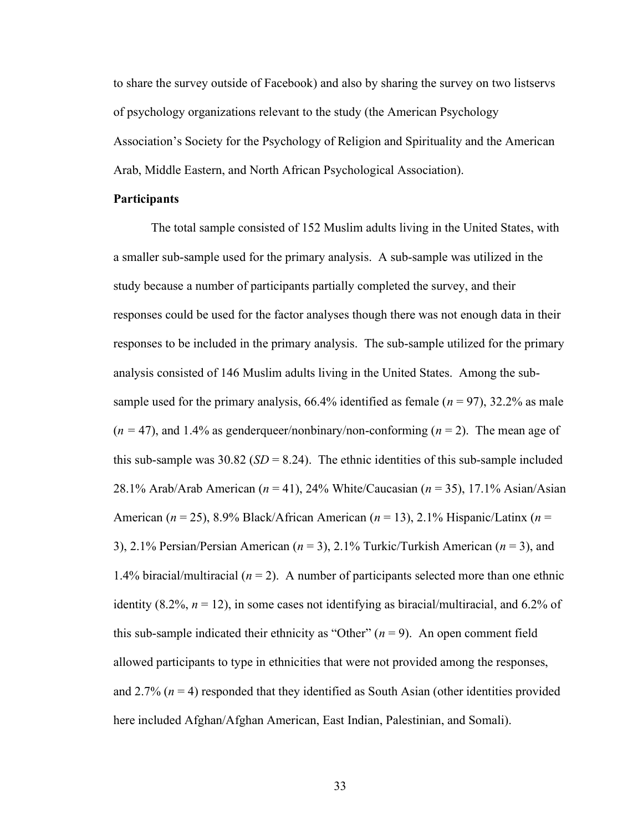to share the survey outside of Facebook) and also by sharing the survey on two listservs of psychology organizations relevant to the study (the American Psychology Association's Society for the Psychology of Religion and Spirituality and the American Arab, Middle Eastern, and North African Psychological Association).

#### **Participants**

The total sample consisted of 152 Muslim adults living in the United States, with a smaller sub-sample used for the primary analysis. A sub-sample was utilized in the study because a number of participants partially completed the survey, and their responses could be used for the factor analyses though there was not enough data in their responses to be included in the primary analysis. The sub-sample utilized for the primary analysis consisted of 146 Muslim adults living in the United States. Among the subsample used for the primary analysis, 66.4% identified as female ( $n = 97$ ), 32.2% as male  $(n = 47)$ , and 1.4% as genderqueer/nonbinary/non-conforming  $(n = 2)$ . The mean age of this sub-sample was 30.82 ( $SD = 8.24$ ). The ethnic identities of this sub-sample included 28.1% Arab/Arab American ( $n = 41$ ), 24% White/Caucasian ( $n = 35$ ), 17.1% Asian/Asian American ( $n = 25$ ), 8.9% Black/African American ( $n = 13$ ), 2.1% Hispanic/Latinx ( $n =$ 3), 2.1% Persian/Persian American ( $n = 3$ ), 2.1% Turkic/Turkish American ( $n = 3$ ), and 1.4% biracial/multiracial ( $n = 2$ ). A number of participants selected more than one ethnic identity (8.2%,  $n = 12$ ), in some cases not identifying as biracial/multiracial, and 6.2% of this sub-sample indicated their ethnicity as "Other" ( $n = 9$ ). An open comment field allowed participants to type in ethnicities that were not provided among the responses, and 2.7% ( $n = 4$ ) responded that they identified as South Asian (other identities provided here included Afghan/Afghan American, East Indian, Palestinian, and Somali).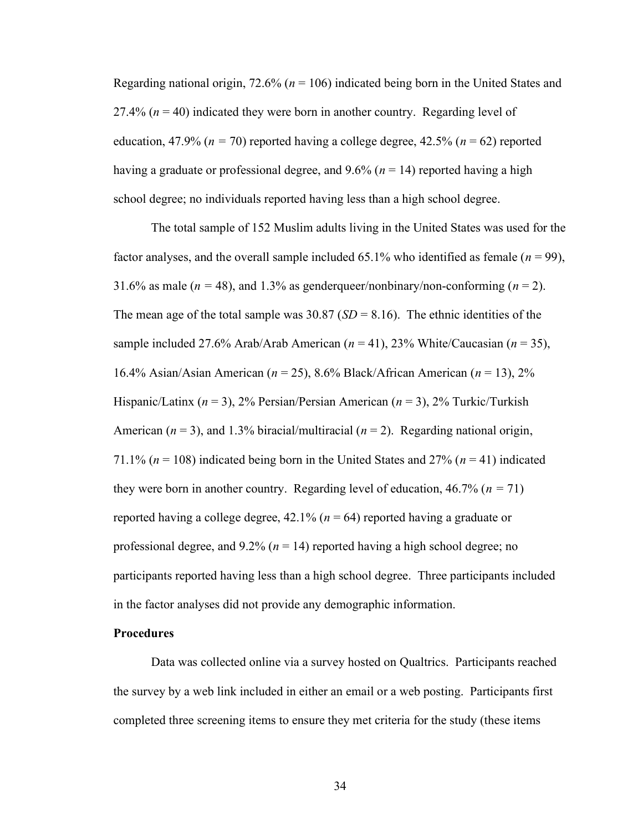Regarding national origin, 72.6% ( $n = 106$ ) indicated being born in the United States and 27.4% ( $n = 40$ ) indicated they were born in another country. Regarding level of education, 47.9% ( $n = 70$ ) reported having a college degree, 42.5% ( $n = 62$ ) reported having a graduate or professional degree, and 9.6% ( $n = 14$ ) reported having a high school degree; no individuals reported having less than a high school degree.

The total sample of 152 Muslim adults living in the United States was used for the factor analyses, and the overall sample included 65.1% who identified as female ( $n = 99$ ), 31.6% as male ( $n = 48$ ), and 1.3% as genderqueer/nonbinary/non-conforming ( $n = 2$ ). The mean age of the total sample was  $30.87$  (SD = 8.16). The ethnic identities of the sample included 27.6% Arab/Arab American ( $n = 41$ ), 23% White/Caucasian ( $n = 35$ ), 16.4% Asian/Asian American ( $n = 25$ ), 8.6% Black/African American ( $n = 13$ ), 2% Hispanic/Latinx ( $n = 3$ ), 2% Persian/Persian American ( $n = 3$ ), 2% Turkic/Turkish American ( $n = 3$ ), and 1.3% biracial/multiracial ( $n = 2$ ). Regarding national origin, 71.1% ( $n = 108$ ) indicated being born in the United States and 27% ( $n = 41$ ) indicated they were born in another country. Regarding level of education,  $46.7\%$  ( $n = 71$ ) reported having a college degree, 42.1% ( $n = 64$ ) reported having a graduate or professional degree, and  $9.2\%$  ( $n = 14$ ) reported having a high school degree; no participants reported having less than a high school degree. Three participants included in the factor analyses did not provide any demographic information.

#### **Procedures**

Data was collected online via a survey hosted on Qualtrics. Participants reached the survey by a web link included in either an email or a web posting. Participants first completed three screening items to ensure they met criteria for the study (these items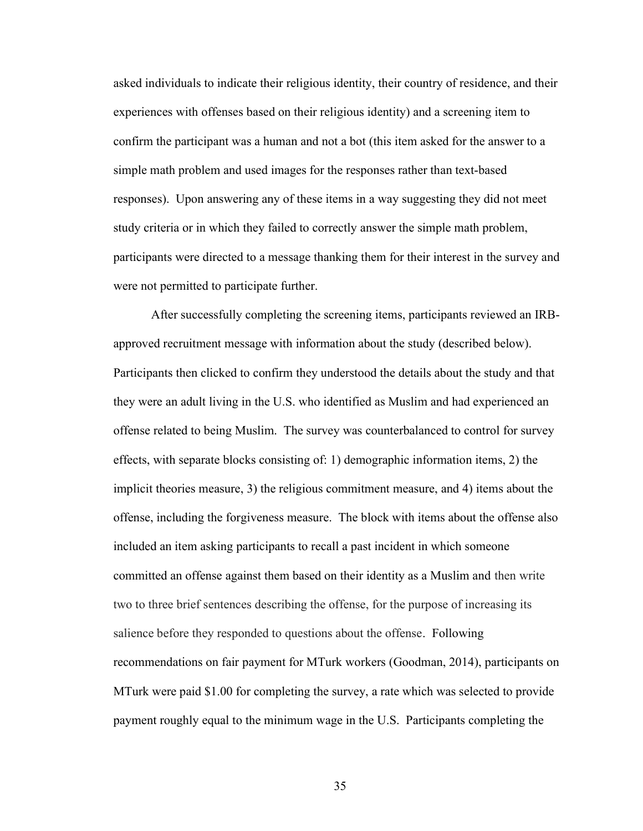asked individuals to indicate their religious identity, their country of residence, and their experiences with offenses based on their religious identity) and a screening item to confirm the participant was a human and not a bot (this item asked for the answer to a simple math problem and used images for the responses rather than text-based responses). Upon answering any of these items in a way suggesting they did not meet study criteria or in which they failed to correctly answer the simple math problem, participants were directed to a message thanking them for their interest in the survey and were not permitted to participate further.

After successfully completing the screening items, participants reviewed an IRBapproved recruitment message with information about the study (described below). Participants then clicked to confirm they understood the details about the study and that they were an adult living in the U.S. who identified as Muslim and had experienced an offense related to being Muslim. The survey was counterbalanced to control for survey effects, with separate blocks consisting of: 1) demographic information items, 2) the implicit theories measure, 3) the religious commitment measure, and 4) items about the offense, including the forgiveness measure. The block with items about the offense also included an item asking participants to recall a past incident in which someone committed an offense against them based on their identity as a Muslim and then write two to three brief sentences describing the offense, for the purpose of increasing its salience before they responded to questions about the offense. Following recommendations on fair payment for MTurk workers (Goodman, 2014), participants on MTurk were paid \$1.00 for completing the survey, a rate which was selected to provide payment roughly equal to the minimum wage in the U.S. Participants completing the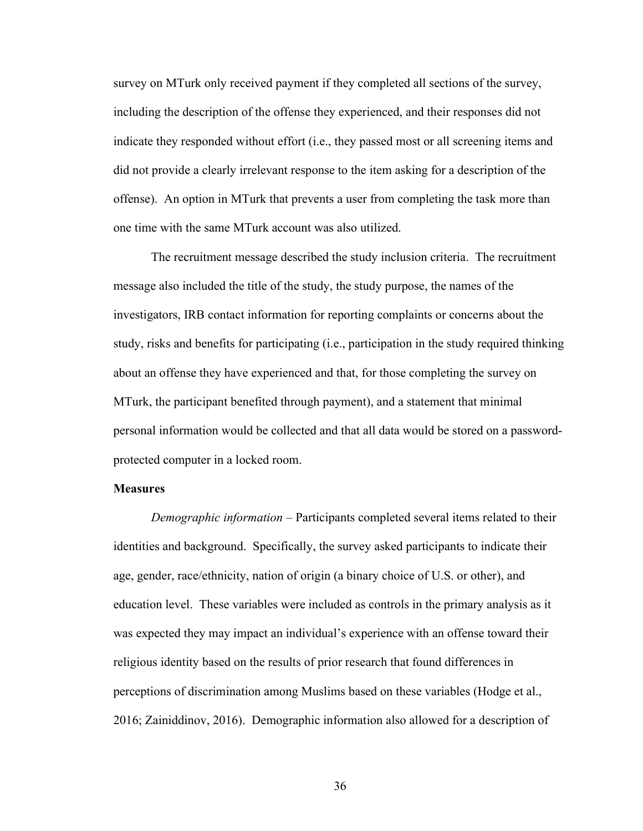survey on MTurk only received payment if they completed all sections of the survey, including the description of the offense they experienced, and their responses did not indicate they responded without effort (i.e., they passed most or all screening items and did not provide a clearly irrelevant response to the item asking for a description of the offense). An option in MTurk that prevents a user from completing the task more than one time with the same MTurk account was also utilized.

The recruitment message described the study inclusion criteria. The recruitment message also included the title of the study, the study purpose, the names of the investigators, IRB contact information for reporting complaints or concerns about the study, risks and benefits for participating (i.e., participation in the study required thinking about an offense they have experienced and that, for those completing the survey on MTurk, the participant benefited through payment), and a statement that minimal personal information would be collected and that all data would be stored on a passwordprotected computer in a locked room.

#### **Measures**

Demographic information – Participants completed several items related to their identities and background. Specifically, the survey asked participants to indicate their age, gender, race/ethnicity, nation of origin (a binary choice of U.S. or other), and education level. These variables were included as controls in the primary analysis as it was expected they may impact an individual's experience with an offense toward their religious identity based on the results of prior research that found differences in perceptions of discrimination among Muslims based on these variables (Hodge et al., 2016; Zainiddinov, 2016). Demographic information also allowed for a description of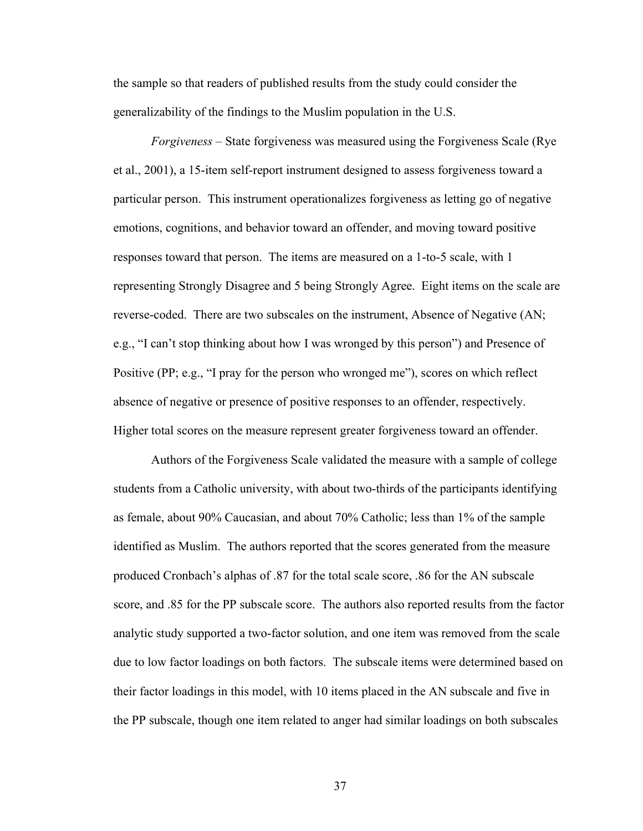the sample so that readers of published results from the study could consider the generalizability of the findings to the Muslim population in the U.S.

Forgiveness – State forgiveness was measured using the Forgiveness Scale (Rye et al., 2001), a 15-item self-report instrument designed to assess forgiveness toward a particular person. This instrument operationalizes forgiveness as letting go of negative emotions, cognitions, and behavior toward an offender, and moving toward positive responses toward that person. The items are measured on a 1-to-5 scale, with 1 representing Strongly Disagree and 5 being Strongly Agree. Eight items on the scale are reverse-coded. There are two subscales on the instrument, Absence of Negative (AN; e.g., "I can't stop thinking about how I was wronged by this person") and Presence of Positive (PP; e.g., "I pray for the person who wronged me"), scores on which reflect absence of negative or presence of positive responses to an offender, respectively. Higher total scores on the measure represent greater forgiveness toward an offender.

Authors of the Forgiveness Scale validated the measure with a sample of college students from a Catholic university, with about two-thirds of the participants identifying as female, about 90% Caucasian, and about 70% Catholic; less than 1% of the sample identified as Muslim. The authors reported that the scores generated from the measure produced Cronbach's alphas of .87 for the total scale score, .86 for the AN subscale score, and .85 for the PP subscale score. The authors also reported results from the factor analytic study supported a two-factor solution, and one item was removed from the scale due to low factor loadings on both factors. The subscale items were determined based on their factor loadings in this model, with 10 items placed in the AN subscale and five in the PP subscale, though one item related to anger had similar loadings on both subscales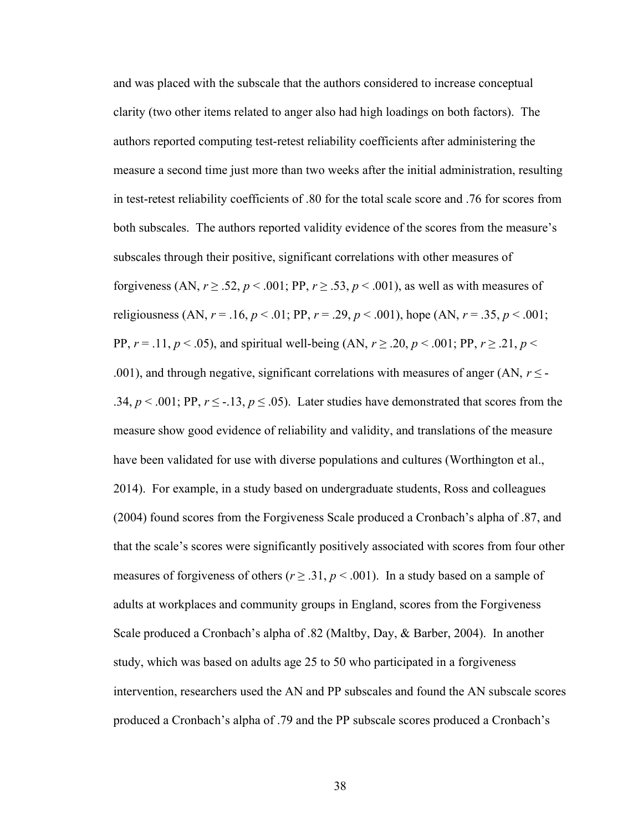and was placed with the subscale that the authors considered to increase conceptual clarity (two other items related to anger also had high loadings on both factors). The authors reported computing test-retest reliability coefficients after administering the measure a second time just more than two weeks after the initial administration, resulting in test-retest reliability coefficients of .80 for the total scale score and .76 for scores from both subscales. The authors reported validity evidence of the scores from the measure's subscales through their positive, significant correlations with other measures of forgiveness (AN,  $r \ge 0.52$ ,  $p < 0.001$ ; PP,  $r \ge 0.53$ ,  $p < 0.001$ ), as well as with measures of religiousness (AN,  $r = .16$ ,  $p < .01$ ; PP,  $r = .29$ ,  $p < .001$ ), hope (AN,  $r = .35$ ,  $p < .001$ ; PP,  $r = .11$ ,  $p < .05$ ), and spiritual well-being (AN,  $r \ge .20$ ,  $p < .001$ ; PP,  $r \ge .21$ ,  $p <$ .001), and through negative, significant correlations with measures of anger (AN,  $r \leq$  -.34,  $p < .001$ ; PP,  $r \le -.13$ ,  $p \le .05$ ). Later studies have demonstrated that scores from the measure show good evidence of reliability and validity, and translations of the measure have been validated for use with diverse populations and cultures (Worthington et al., 2014). For example, in a study based on undergraduate students, Ross and colleagues (2004) found scores from the Forgiveness Scale produced a Cronbach's alpha of .87, and that the scale's scores were significantly positively associated with scores from four other measures of forgiveness of others ( $r \ge 0.31$ ,  $p \le 0.001$ ). In a study based on a sample of adults at workplaces and community groups in England, scores from the Forgiveness Scale produced a Cronbach's alpha of .82 (Maltby, Day, & Barber, 2004). In another study, which was based on adults age 25 to 50 who participated in a forgiveness intervention, researchers used the AN and PP subscales and found the AN subscale scores produced a Cronbach's alpha of .79 and the PP subscale scores produced a Cronbach's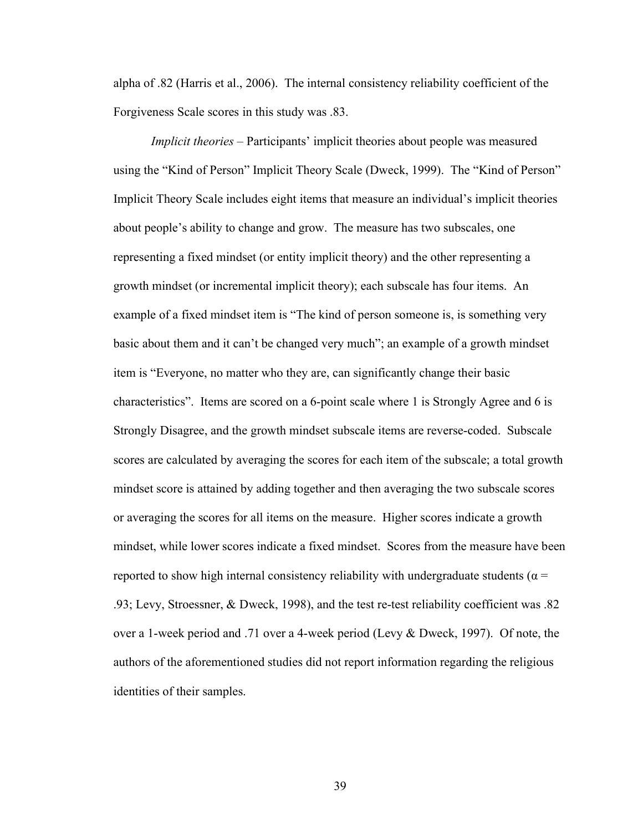alpha of .82 (Harris et al., 2006). The internal consistency reliability coefficient of the Forgiveness Scale scores in this study was .83.

Implicit theories – Participants' implicit theories about people was measured using the "Kind of Person" Implicit Theory Scale (Dweck, 1999). The "Kind of Person" Implicit Theory Scale includes eight items that measure an individual's implicit theories about people's ability to change and grow. The measure has two subscales, one representing a fixed mindset (or entity implicit theory) and the other representing a growth mindset (or incremental implicit theory); each subscale has four items. An example of a fixed mindset item is "The kind of person someone is, is something very basic about them and it can't be changed very much"; an example of a growth mindset item is "Everyone, no matter who they are, can significantly change their basic characteristics". Items are scored on a 6-point scale where 1 is Strongly Agree and 6 is Strongly Disagree, and the growth mindset subscale items are reverse-coded. Subscale scores are calculated by averaging the scores for each item of the subscale; a total growth mindset score is attained by adding together and then averaging the two subscale scores or averaging the scores for all items on the measure. Higher scores indicate a growth mindset, while lower scores indicate a fixed mindset. Scores from the measure have been reported to show high internal consistency reliability with undergraduate students ( $\alpha$  = .93; Levy, Stroessner, & Dweck, 1998), and the test re-test reliability coefficient was .82 over a 1-week period and .71 over a 4-week period (Levy & Dweck, 1997). Of note, the authors of the aforementioned studies did not report information regarding the religious identities of their samples.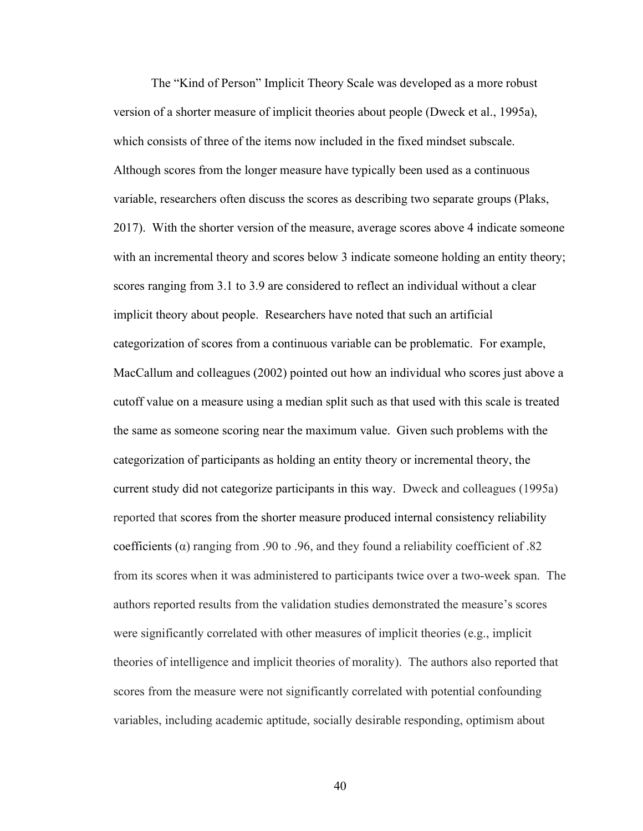The "Kind of Person" Implicit Theory Scale was developed as a more robust version of a shorter measure of implicit theories about people (Dweck et al., 1995a), which consists of three of the items now included in the fixed mindset subscale. Although scores from the longer measure have typically been used as a continuous variable, researchers often discuss the scores as describing two separate groups (Plaks, 2017). With the shorter version of the measure, average scores above 4 indicate someone with an incremental theory and scores below 3 indicate someone holding an entity theory; scores ranging from 3.1 to 3.9 are considered to reflect an individual without a clear implicit theory about people. Researchers have noted that such an artificial categorization of scores from a continuous variable can be problematic. For example, MacCallum and colleagues (2002) pointed out how an individual who scores just above a cutoff value on a measure using a median split such as that used with this scale is treated the same as someone scoring near the maximum value. Given such problems with the categorization of participants as holding an entity theory or incremental theory, the current study did not categorize participants in this way. Dweck and colleagues (1995a) reported that scores from the shorter measure produced internal consistency reliability coefficients ( $\alpha$ ) ranging from .90 to .96, and they found a reliability coefficient of .82 from its scores when it was administered to participants twice over a two-week span. The authors reported results from the validation studies demonstrated the measure's scores were significantly correlated with other measures of implicit theories (e.g., implicit theories of intelligence and implicit theories of morality). The authors also reported that scores from the measure were not significantly correlated with potential confounding variables, including academic aptitude, socially desirable responding, optimism about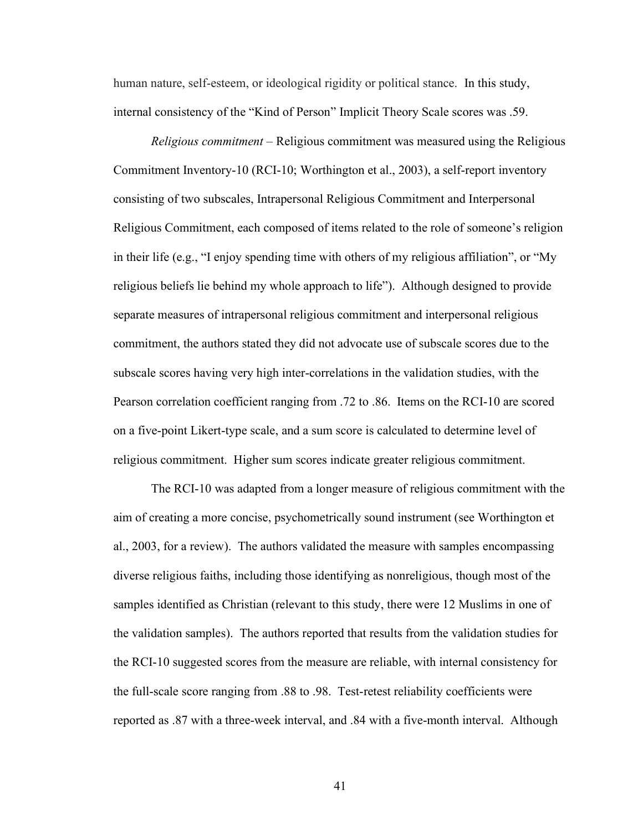human nature, self-esteem, or ideological rigidity or political stance. In this study, internal consistency of the "Kind of Person" Implicit Theory Scale scores was .59.

Religious commitment – Religious commitment was measured using the Religious Commitment Inventory-10 (RCI-10; Worthington et al., 2003), a self-report inventory consisting of two subscales, Intrapersonal Religious Commitment and Interpersonal Religious Commitment, each composed of items related to the role of someone's religion in their life (e.g., "I enjoy spending time with others of my religious affiliation", or "My religious beliefs lie behind my whole approach to life"). Although designed to provide separate measures of intrapersonal religious commitment and interpersonal religious commitment, the authors stated they did not advocate use of subscale scores due to the subscale scores having very high inter-correlations in the validation studies, with the Pearson correlation coefficient ranging from .72 to .86. Items on the RCI-10 are scored on a five-point Likert-type scale, and a sum score is calculated to determine level of religious commitment. Higher sum scores indicate greater religious commitment.

The RCI-10 was adapted from a longer measure of religious commitment with the aim of creating a more concise, psychometrically sound instrument (see Worthington et al., 2003, for a review). The authors validated the measure with samples encompassing diverse religious faiths, including those identifying as nonreligious, though most of the samples identified as Christian (relevant to this study, there were 12 Muslims in one of the validation samples). The authors reported that results from the validation studies for the RCI-10 suggested scores from the measure are reliable, with internal consistency for the full-scale score ranging from .88 to .98. Test-retest reliability coefficients were reported as .87 with a three-week interval, and .84 with a five-month interval. Although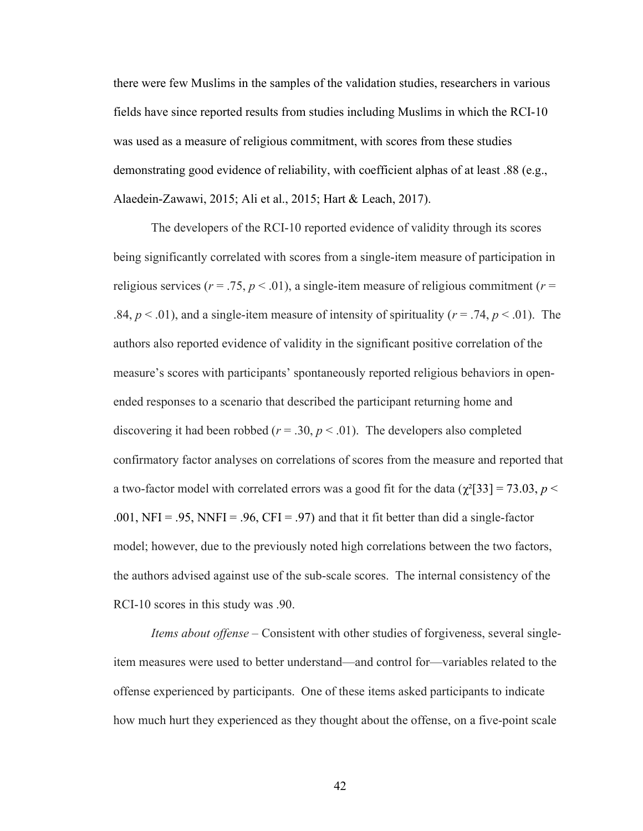there were few Muslims in the samples of the validation studies, researchers in various fields have since reported results from studies including Muslims in which the RCI-10 was used as a measure of religious commitment, with scores from these studies demonstrating good evidence of reliability, with coefficient alphas of at least .88 (e.g., Alaedein-Zawawi, 2015; Ali et al., 2015; Hart & Leach, 2017).

The developers of the RCI-10 reported evidence of validity through its scores being significantly correlated with scores from a single-item measure of participation in religious services ( $r = .75$ ,  $p < .01$ ), a single-item measure of religious commitment ( $r =$ .84,  $p < .01$ ), and a single-item measure of intensity of spirituality ( $r = .74$ ,  $p < .01$ ). The authors also reported evidence of validity in the significant positive correlation of the measure's scores with participants' spontaneously reported religious behaviors in openended responses to a scenario that described the participant returning home and discovering it had been robbed ( $r = .30$ ,  $p < .01$ ). The developers also completed confirmatory factor analyses on correlations of scores from the measure and reported that a two-factor model with correlated errors was a good fit for the data ( $\chi^2$ [33] = 73.03, p < .001, NFI = .95, NNFI = .96, CFI = .97) and that it fit better than did a single-factor model; however, due to the previously noted high correlations between the two factors, the authors advised against use of the sub-scale scores. The internal consistency of the RCI-10 scores in this study was .90.

Items about offense – Consistent with other studies of forgiveness, several singleitem measures were used to better understand—and control for—variables related to the offense experienced by participants. One of these items asked participants to indicate how much hurt they experienced as they thought about the offense, on a five-point scale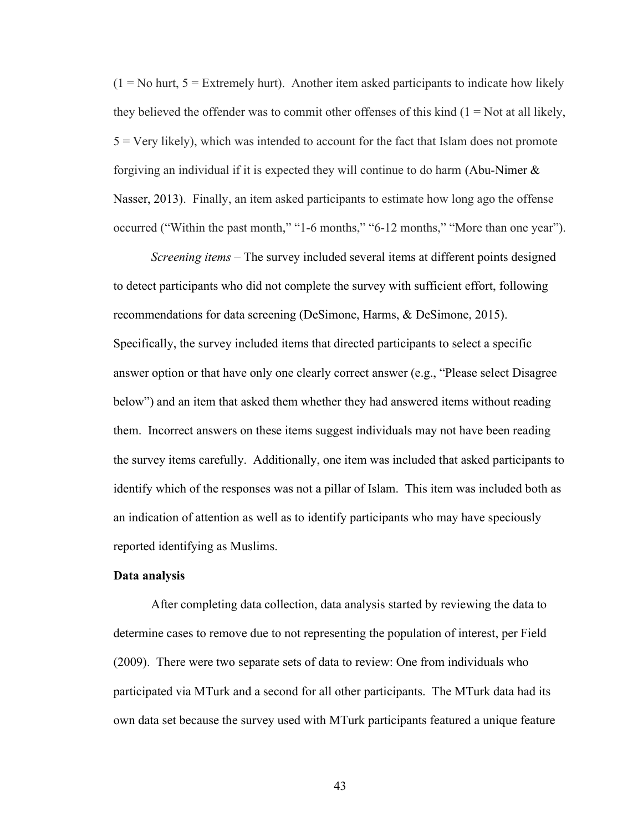$(1 = No$  hurt,  $5 = Extremely$  hurt). Another item asked participants to indicate how likely they believed the offender was to commit other offenses of this kind  $(1 = Not at all likely,$  $5 =$  Very likely), which was intended to account for the fact that Islam does not promote forgiving an individual if it is expected they will continue to do harm (Abu-Nimer  $\&$ Nasser, 2013). Finally, an item asked participants to estimate how long ago the offense occurred ("Within the past month," "1-6 months," "6-12 months," "More than one year").

Screening items – The survey included several items at different points designed to detect participants who did not complete the survey with sufficient effort, following recommendations for data screening (DeSimone, Harms, & DeSimone, 2015). Specifically, the survey included items that directed participants to select a specific answer option or that have only one clearly correct answer (e.g., "Please select Disagree below") and an item that asked them whether they had answered items without reading them. Incorrect answers on these items suggest individuals may not have been reading the survey items carefully. Additionally, one item was included that asked participants to identify which of the responses was not a pillar of Islam. This item was included both as an indication of attention as well as to identify participants who may have speciously reported identifying as Muslims.

#### Data analysis

After completing data collection, data analysis started by reviewing the data to determine cases to remove due to not representing the population of interest, per Field (2009). There were two separate sets of data to review: One from individuals who participated via MTurk and a second for all other participants. The MTurk data had its own data set because the survey used with MTurk participants featured a unique feature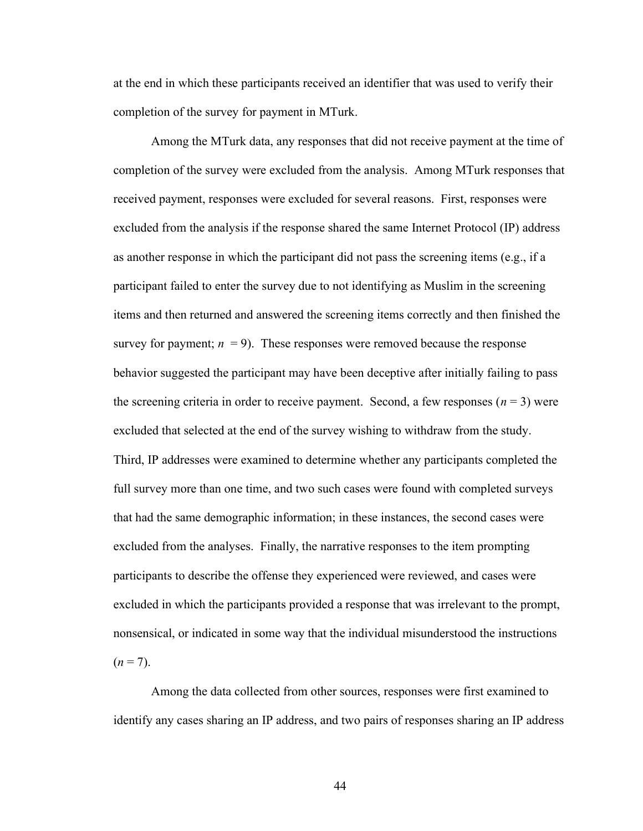at the end in which these participants received an identifier that was used to verify their completion of the survey for payment in MTurk.

Among the MTurk data, any responses that did not receive payment at the time of completion of the survey were excluded from the analysis. Among MTurk responses that received payment, responses were excluded for several reasons. First, responses were excluded from the analysis if the response shared the same Internet Protocol (IP) address as another response in which the participant did not pass the screening items (e.g., if a participant failed to enter the survey due to not identifying as Muslim in the screening items and then returned and answered the screening items correctly and then finished the survey for payment;  $n = 9$ ). These responses were removed because the response behavior suggested the participant may have been deceptive after initially failing to pass the screening criteria in order to receive payment. Second, a few responses  $(n = 3)$  were excluded that selected at the end of the survey wishing to withdraw from the study. Third, IP addresses were examined to determine whether any participants completed the full survey more than one time, and two such cases were found with completed surveys that had the same demographic information; in these instances, the second cases were excluded from the analyses. Finally, the narrative responses to the item prompting participants to describe the offense they experienced were reviewed, and cases were excluded in which the participants provided a response that was irrelevant to the prompt, nonsensical, or indicated in some way that the individual misunderstood the instructions  $(n = 7)$ .

Among the data collected from other sources, responses were first examined to identify any cases sharing an IP address, and two pairs of responses sharing an IP address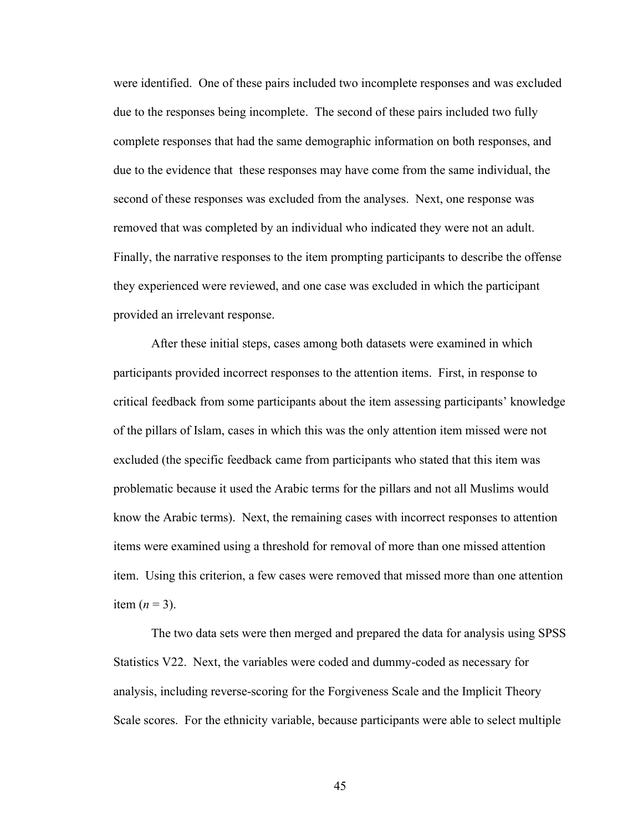were identified. One of these pairs included two incomplete responses and was excluded due to the responses being incomplete. The second of these pairs included two fully complete responses that had the same demographic information on both responses, and due to the evidence that these responses may have come from the same individual, the second of these responses was excluded from the analyses. Next, one response was removed that was completed by an individual who indicated they were not an adult. Finally, the narrative responses to the item prompting participants to describe the offense they experienced were reviewed, and one case was excluded in which the participant provided an irrelevant response.

 After these initial steps, cases among both datasets were examined in which participants provided incorrect responses to the attention items. First, in response to critical feedback from some participants about the item assessing participants' knowledge of the pillars of Islam, cases in which this was the only attention item missed were not excluded (the specific feedback came from participants who stated that this item was problematic because it used the Arabic terms for the pillars and not all Muslims would know the Arabic terms). Next, the remaining cases with incorrect responses to attention items were examined using a threshold for removal of more than one missed attention item. Using this criterion, a few cases were removed that missed more than one attention item  $(n = 3)$ .

 The two data sets were then merged and prepared the data for analysis using SPSS Statistics V22. Next, the variables were coded and dummy-coded as necessary for analysis, including reverse-scoring for the Forgiveness Scale and the Implicit Theory Scale scores. For the ethnicity variable, because participants were able to select multiple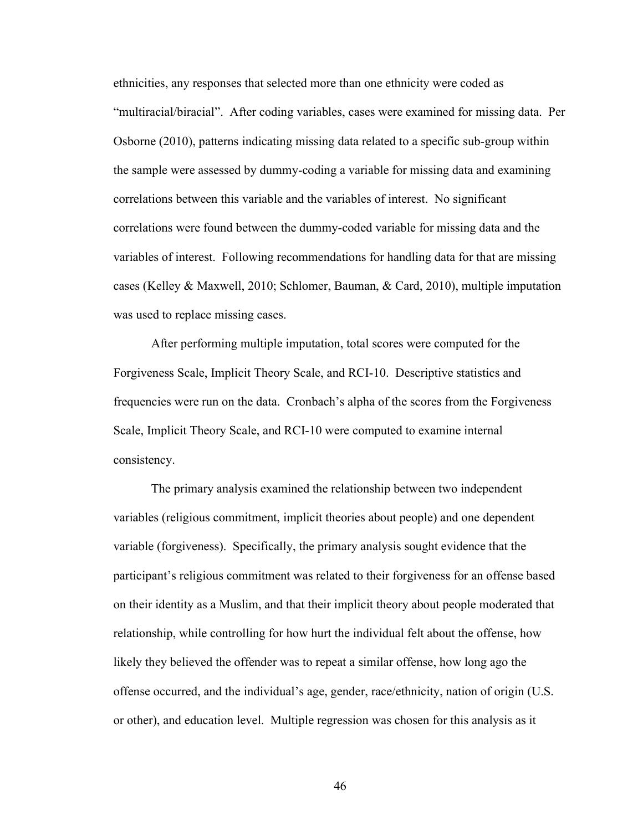ethnicities, any responses that selected more than one ethnicity were coded as "multiracial/biracial". After coding variables, cases were examined for missing data. Per Osborne (2010), patterns indicating missing data related to a specific sub-group within the sample were assessed by dummy-coding a variable for missing data and examining correlations between this variable and the variables of interest. No significant correlations were found between the dummy-coded variable for missing data and the variables of interest. Following recommendations for handling data for that are missing cases (Kelley & Maxwell, 2010; Schlomer, Bauman, & Card, 2010), multiple imputation was used to replace missing cases.

 After performing multiple imputation, total scores were computed for the Forgiveness Scale, Implicit Theory Scale, and RCI-10. Descriptive statistics and frequencies were run on the data. Cronbach's alpha of the scores from the Forgiveness Scale, Implicit Theory Scale, and RCI-10 were computed to examine internal consistency.

The primary analysis examined the relationship between two independent variables (religious commitment, implicit theories about people) and one dependent variable (forgiveness). Specifically, the primary analysis sought evidence that the participant's religious commitment was related to their forgiveness for an offense based on their identity as a Muslim, and that their implicit theory about people moderated that relationship, while controlling for how hurt the individual felt about the offense, how likely they believed the offender was to repeat a similar offense, how long ago the offense occurred, and the individual's age, gender, race/ethnicity, nation of origin (U.S. or other), and education level. Multiple regression was chosen for this analysis as it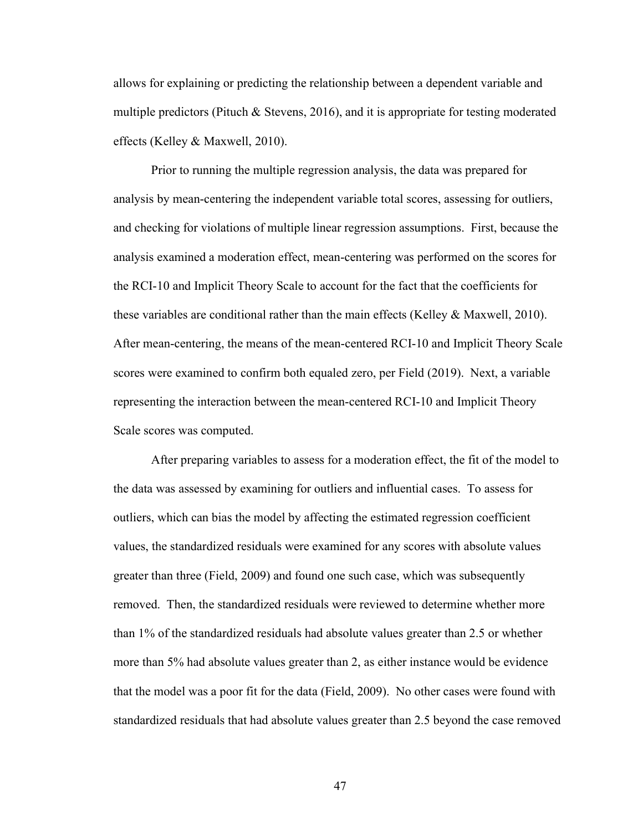allows for explaining or predicting the relationship between a dependent variable and multiple predictors (Pituch & Stevens, 2016), and it is appropriate for testing moderated effects (Kelley & Maxwell, 2010).

Prior to running the multiple regression analysis, the data was prepared for analysis by mean-centering the independent variable total scores, assessing for outliers, and checking for violations of multiple linear regression assumptions. First, because the analysis examined a moderation effect, mean-centering was performed on the scores for the RCI-10 and Implicit Theory Scale to account for the fact that the coefficients for these variables are conditional rather than the main effects (Kelley & Maxwell, 2010). After mean-centering, the means of the mean-centered RCI-10 and Implicit Theory Scale scores were examined to confirm both equaled zero, per Field (2019). Next, a variable representing the interaction between the mean-centered RCI-10 and Implicit Theory Scale scores was computed.

After preparing variables to assess for a moderation effect, the fit of the model to the data was assessed by examining for outliers and influential cases. To assess for outliers, which can bias the model by affecting the estimated regression coefficient values, the standardized residuals were examined for any scores with absolute values greater than three (Field, 2009) and found one such case, which was subsequently removed. Then, the standardized residuals were reviewed to determine whether more than 1% of the standardized residuals had absolute values greater than 2.5 or whether more than 5% had absolute values greater than 2, as either instance would be evidence that the model was a poor fit for the data (Field, 2009). No other cases were found with standardized residuals that had absolute values greater than 2.5 beyond the case removed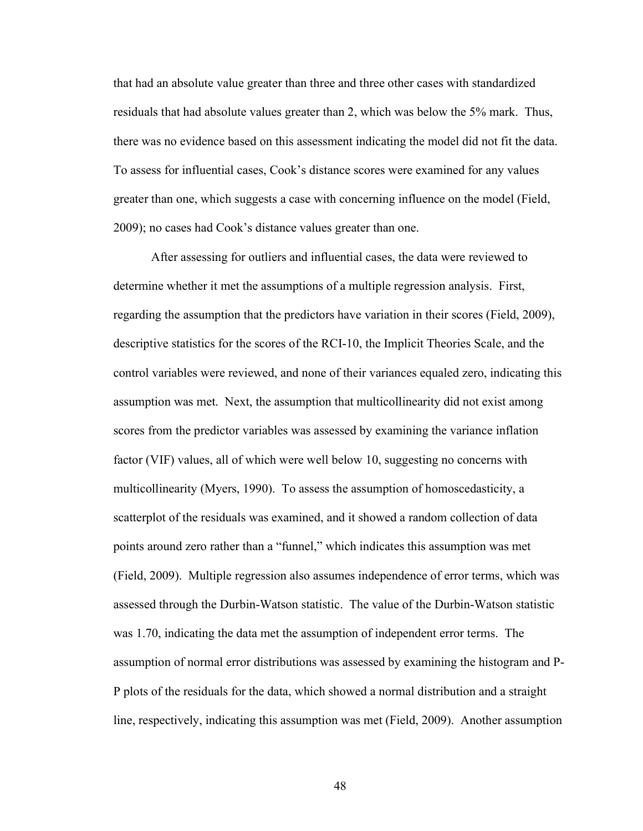that had an absolute value greater than three and three other cases with standardized residuals that had absolute values greater than 2, which was below the 5% mark. Thus, there was no evidence based on this assessment indicating the model did not fit the data. To assess for influential cases, Cook's distance scores were examined for any values greater than one, which suggests a case with concerning influence on the model (Field, 2009); no cases had Cook's distance values greater than one.

After assessing for outliers and influential cases, the data were reviewed to determine whether it met the assumptions of a multiple regression analysis. First, regarding the assumption that the predictors have variation in their scores (Field, 2009), descriptive statistics for the scores of the RCI-10, the Implicit Theories Scale, and the control variables were reviewed, and none of their variances equaled zero, indicating this assumption was met. Next, the assumption that multicollinearity did not exist among scores from the predictor variables was assessed by examining the variance inflation factor (VIF) values, all of which were well below 10, suggesting no concerns with multicollinearity (Myers, 1990). To assess the assumption of homoscedasticity, a scatterplot of the residuals was examined, and it showed a random collection of data points around zero rather than a "funnel," which indicates this assumption was met (Field, 2009). Multiple regression also assumes independence of error terms, which was assessed through the Durbin-Watson statistic. The value of the Durbin-Watson statistic was 1.70, indicating the data met the assumption of independent error terms. The assumption of normal error distributions was assessed by examining the histogram and P-P plots of the residuals for the data, which showed a normal distribution and a straight line, respectively, indicating this assumption was met (Field, 2009). Another assumption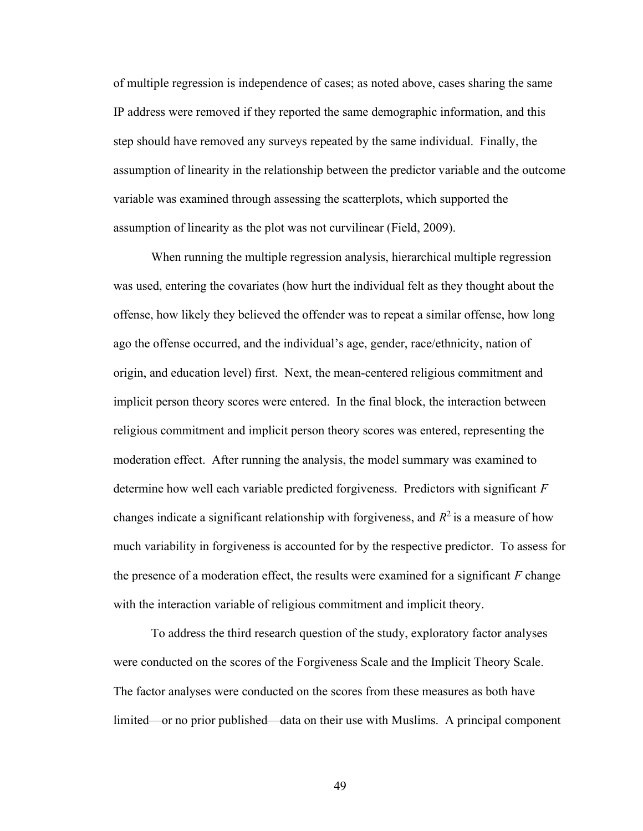of multiple regression is independence of cases; as noted above, cases sharing the same IP address were removed if they reported the same demographic information, and this step should have removed any surveys repeated by the same individual. Finally, the assumption of linearity in the relationship between the predictor variable and the outcome variable was examined through assessing the scatterplots, which supported the assumption of linearity as the plot was not curvilinear (Field, 2009).

When running the multiple regression analysis, hierarchical multiple regression was used, entering the covariates (how hurt the individual felt as they thought about the offense, how likely they believed the offender was to repeat a similar offense, how long ago the offense occurred, and the individual's age, gender, race/ethnicity, nation of origin, and education level) first. Next, the mean-centered religious commitment and implicit person theory scores were entered. In the final block, the interaction between religious commitment and implicit person theory scores was entered, representing the moderation effect. After running the analysis, the model summary was examined to determine how well each variable predicted forgiveness. Predictors with significant  $F$ changes indicate a significant relationship with forgiveness, and  $R^2$  is a measure of how much variability in forgiveness is accounted for by the respective predictor. To assess for the presence of a moderation effect, the results were examined for a significant  $F$  change with the interaction variable of religious commitment and implicit theory.

To address the third research question of the study, exploratory factor analyses were conducted on the scores of the Forgiveness Scale and the Implicit Theory Scale. The factor analyses were conducted on the scores from these measures as both have limited—or no prior published—data on their use with Muslims. A principal component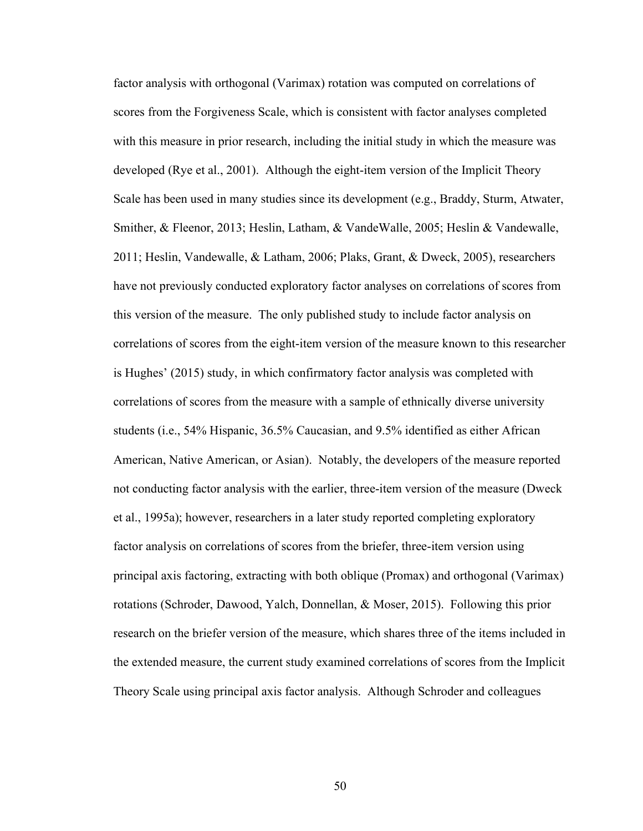factor analysis with orthogonal (Varimax) rotation was computed on correlations of scores from the Forgiveness Scale, which is consistent with factor analyses completed with this measure in prior research, including the initial study in which the measure was developed (Rye et al., 2001). Although the eight-item version of the Implicit Theory Scale has been used in many studies since its development (e.g., Braddy, Sturm, Atwater, Smither, & Fleenor, 2013; Heslin, Latham, & VandeWalle, 2005; Heslin & Vandewalle, 2011; Heslin, Vandewalle, & Latham, 2006; Plaks, Grant, & Dweck, 2005), researchers have not previously conducted exploratory factor analyses on correlations of scores from this version of the measure. The only published study to include factor analysis on correlations of scores from the eight-item version of the measure known to this researcher is Hughes' (2015) study, in which confirmatory factor analysis was completed with correlations of scores from the measure with a sample of ethnically diverse university students (i.e., 54% Hispanic, 36.5% Caucasian, and 9.5% identified as either African American, Native American, or Asian). Notably, the developers of the measure reported not conducting factor analysis with the earlier, three-item version of the measure (Dweck et al., 1995a); however, researchers in a later study reported completing exploratory factor analysis on correlations of scores from the briefer, three-item version using principal axis factoring, extracting with both oblique (Promax) and orthogonal (Varimax) rotations (Schroder, Dawood, Yalch, Donnellan, & Moser, 2015). Following this prior research on the briefer version of the measure, which shares three of the items included in the extended measure, the current study examined correlations of scores from the Implicit Theory Scale using principal axis factor analysis. Although Schroder and colleagues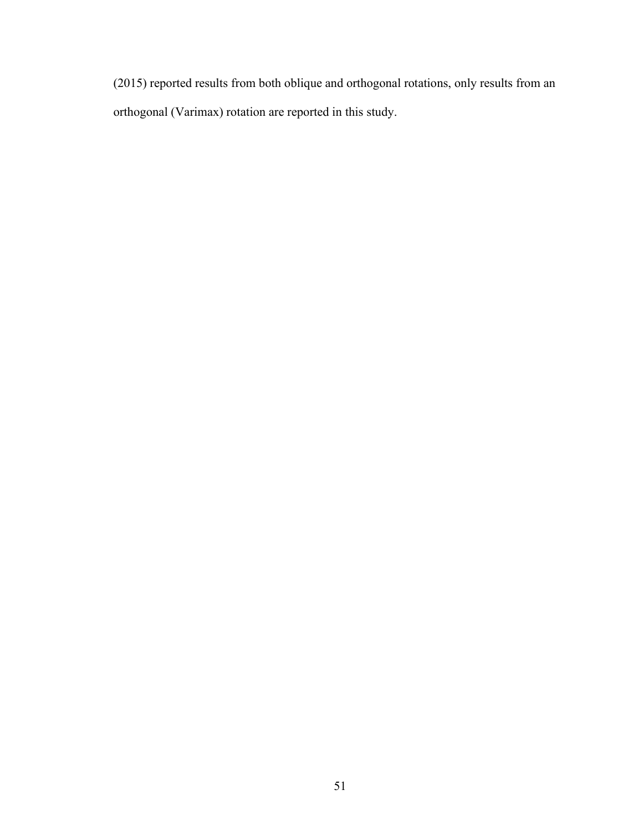(2015) reported results from both oblique and orthogonal rotations, only results from an orthogonal (Varimax) rotation are reported in this study.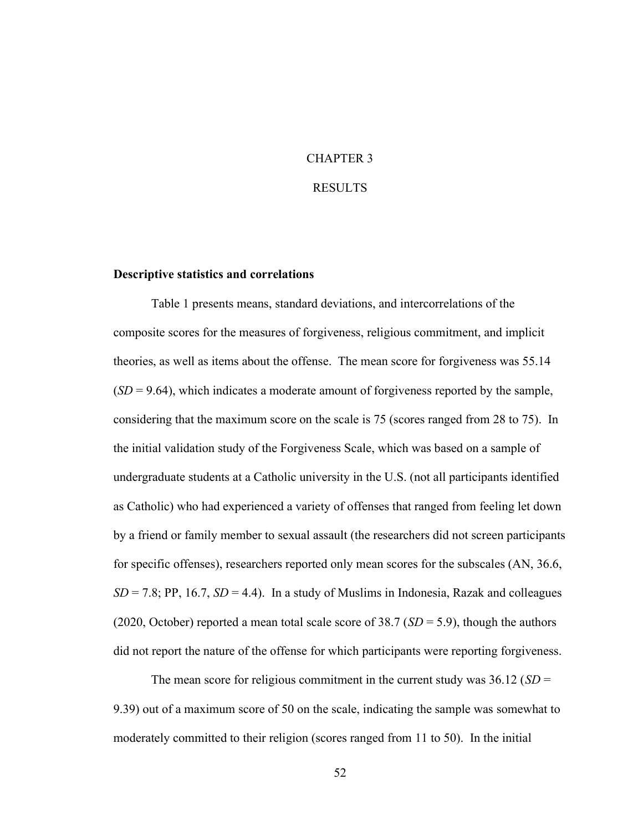# CHAPTER 3

#### RESULTS

#### Descriptive statistics and correlations

 Table 1 presents means, standard deviations, and intercorrelations of the composite scores for the measures of forgiveness, religious commitment, and implicit theories, as well as items about the offense. The mean score for forgiveness was 55.14  $(SD = 9.64)$ , which indicates a moderate amount of forgiveness reported by the sample, considering that the maximum score on the scale is 75 (scores ranged from 28 to 75). In the initial validation study of the Forgiveness Scale, which was based on a sample of undergraduate students at a Catholic university in the U.S. (not all participants identified as Catholic) who had experienced a variety of offenses that ranged from feeling let down by a friend or family member to sexual assault (the researchers did not screen participants for specific offenses), researchers reported only mean scores for the subscales (AN, 36.6,  $SD = 7.8$ ; PP, 16.7,  $SD = 4.4$ ). In a study of Muslims in Indonesia, Razak and colleagues (2020, October) reported a mean total scale score of 38.7 ( $SD = 5.9$ ), though the authors did not report the nature of the offense for which participants were reporting forgiveness.

The mean score for religious commitment in the current study was  $36.12$  (SD = 9.39) out of a maximum score of 50 on the scale, indicating the sample was somewhat to moderately committed to their religion (scores ranged from 11 to 50). In the initial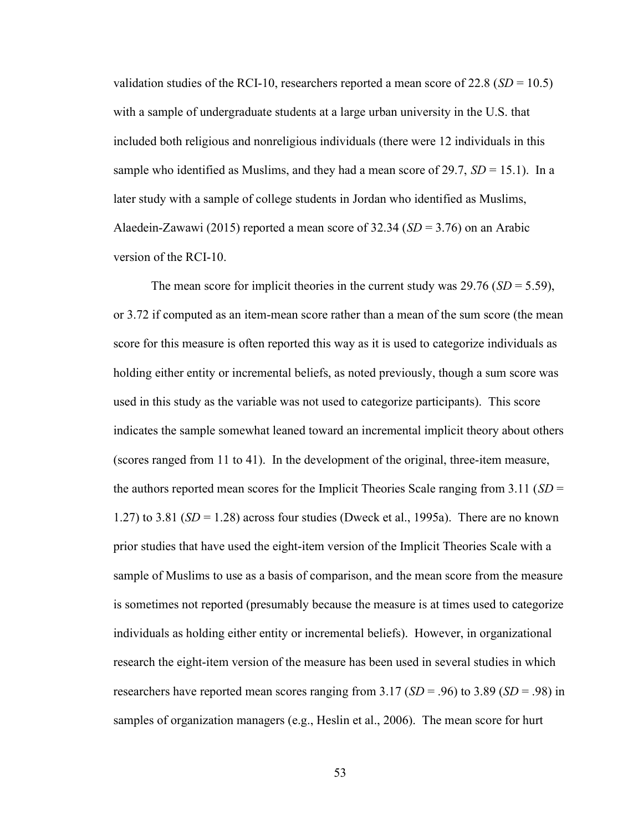validation studies of the RCI-10, researchers reported a mean score of 22.8 ( $SD = 10.5$ ) with a sample of undergraduate students at a large urban university in the U.S. that included both religious and nonreligious individuals (there were 12 individuals in this sample who identified as Muslims, and they had a mean score of 29.7,  $SD = 15.1$ ). In a later study with a sample of college students in Jordan who identified as Muslims, Alaedein-Zawawi (2015) reported a mean score of 32.34 ( $SD = 3.76$ ) on an Arabic version of the RCI-10.

The mean score for implicit theories in the current study was  $29.76$  (SD = 5.59), or 3.72 if computed as an item-mean score rather than a mean of the sum score (the mean score for this measure is often reported this way as it is used to categorize individuals as holding either entity or incremental beliefs, as noted previously, though a sum score was used in this study as the variable was not used to categorize participants). This score indicates the sample somewhat leaned toward an incremental implicit theory about others (scores ranged from 11 to 41). In the development of the original, three-item measure, the authors reported mean scores for the Implicit Theories Scale ranging from 3.11 ( $SD =$ 1.27) to 3.81  $(SD = 1.28)$  across four studies (Dweck et al., 1995a). There are no known prior studies that have used the eight-item version of the Implicit Theories Scale with a sample of Muslims to use as a basis of comparison, and the mean score from the measure is sometimes not reported (presumably because the measure is at times used to categorize individuals as holding either entity or incremental beliefs). However, in organizational research the eight-item version of the measure has been used in several studies in which researchers have reported mean scores ranging from 3.17 ( $SD = .96$ ) to 3.89 ( $SD = .98$ ) in samples of organization managers (e.g., Heslin et al., 2006). The mean score for hurt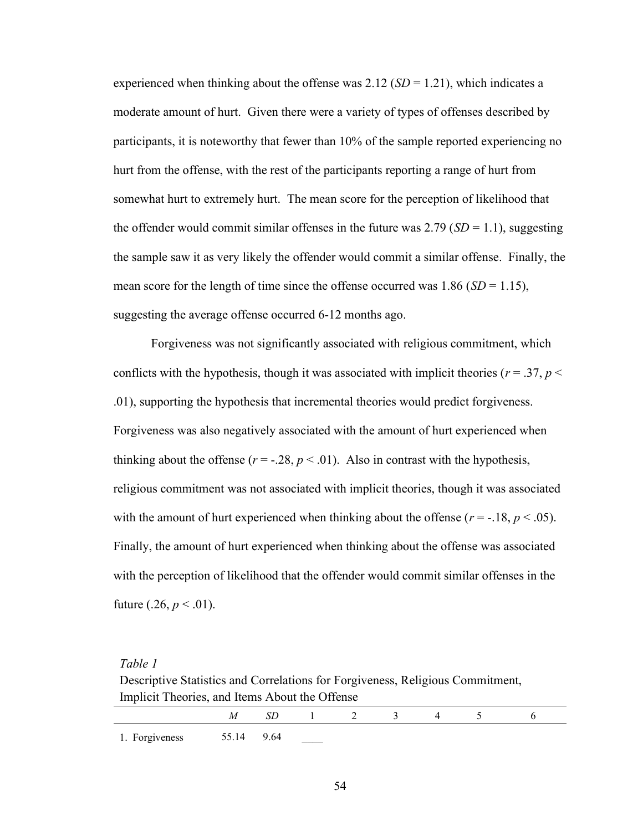experienced when thinking about the offense was 2.12 ( $SD = 1.21$ ), which indicates a moderate amount of hurt. Given there were a variety of types of offenses described by participants, it is noteworthy that fewer than 10% of the sample reported experiencing no hurt from the offense, with the rest of the participants reporting a range of hurt from somewhat hurt to extremely hurt. The mean score for the perception of likelihood that the offender would commit similar offenses in the future was 2.79 ( $SD = 1.1$ ), suggesting the sample saw it as very likely the offender would commit a similar offense. Finally, the mean score for the length of time since the offense occurred was 1.86 ( $SD = 1.15$ ), suggesting the average offense occurred 6-12 months ago.

Forgiveness was not significantly associated with religious commitment, which conflicts with the hypothesis, though it was associated with implicit theories ( $r = .37$ ,  $p <$ .01), supporting the hypothesis that incremental theories would predict forgiveness. Forgiveness was also negatively associated with the amount of hurt experienced when thinking about the offense ( $r = -0.28$ ,  $p < 0.01$ ). Also in contrast with the hypothesis, religious commitment was not associated with implicit theories, though it was associated with the amount of hurt experienced when thinking about the offense ( $r = -18$ ,  $p < .05$ ). Finally, the amount of hurt experienced when thinking about the offense was associated with the perception of likelihood that the offender would commit similar offenses in the future  $(.26, p < .01)$ .

#### Table 1

Descriptive Statistics and Correlations for Forgiveness, Religious Commitment, Implicit Theories, and Items About the Offense

|                           | SD. | and the first state of | - |  |  |
|---------------------------|-----|------------------------|---|--|--|
| 1. Forgiveness 55.14 9.64 |     |                        |   |  |  |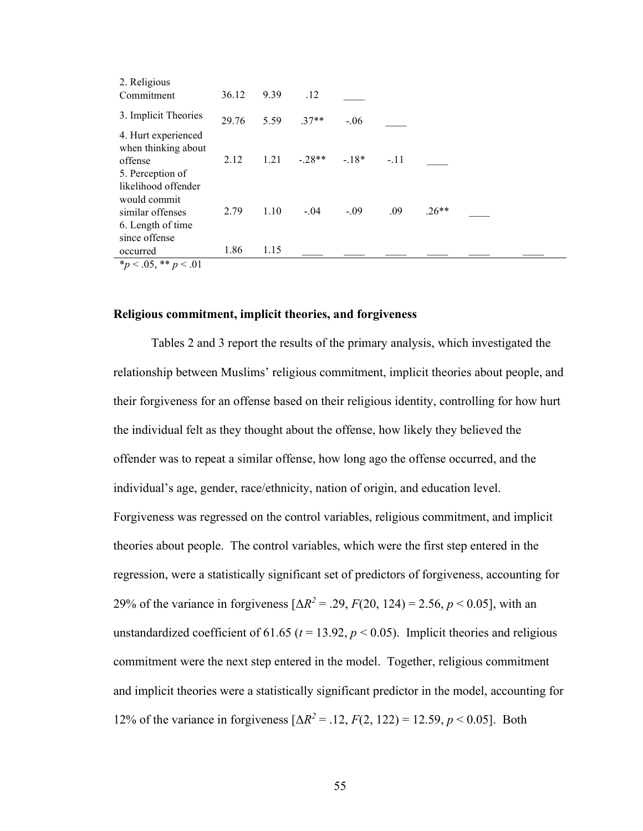| 2. Religious<br>Commitment                         | 36.12 | 9.39 | .12       |        |        |         |  |  |
|----------------------------------------------------|-------|------|-----------|--------|--------|---------|--|--|
| 3. Implicit Theories                               | 29.76 | 5.59 | $.37**$   | $-.06$ |        |         |  |  |
| 4. Hurt experienced                                |       |      |           |        |        |         |  |  |
| when thinking about<br>offense<br>5. Perception of | 2.12  | 1.21 | $-0.28**$ | $-18*$ | $-.11$ |         |  |  |
| likelihood offender                                |       |      |           |        |        |         |  |  |
| would commit<br>similar offenses                   | 2.79  | 1.10 | $-.04$    | $-.09$ | .09    | $.26**$ |  |  |
| 6. Length of time<br>since offense                 |       |      |           |        |        |         |  |  |
| occurred                                           | 1.86  | 1.15 |           |        |        |         |  |  |
| * $p < .05$ , ** $p < .01$                         |       |      |           |        |        |         |  |  |

#### Religious commitment, implicit theories, and forgiveness

 Tables 2 and 3 report the results of the primary analysis, which investigated the relationship between Muslims' religious commitment, implicit theories about people, and their forgiveness for an offense based on their religious identity, controlling for how hurt the individual felt as they thought about the offense, how likely they believed the offender was to repeat a similar offense, how long ago the offense occurred, and the individual's age, gender, race/ethnicity, nation of origin, and education level. Forgiveness was regressed on the control variables, religious commitment, and implicit theories about people. The control variables, which were the first step entered in the regression, were a statistically significant set of predictors of forgiveness, accounting for 29% of the variance in forgiveness  $[\Delta R^2 = .29, F(20, 124) = 2.56, p < 0.05]$ , with an unstandardized coefficient of 61.65 ( $t = 13.92$ ,  $p < 0.05$ ). Implicit theories and religious commitment were the next step entered in the model. Together, religious commitment and implicit theories were a statistically significant predictor in the model, accounting for 12% of the variance in forgiveness  $[\Delta R^2 = .12, F(2, 122) = 12.59, p < 0.05]$ . Both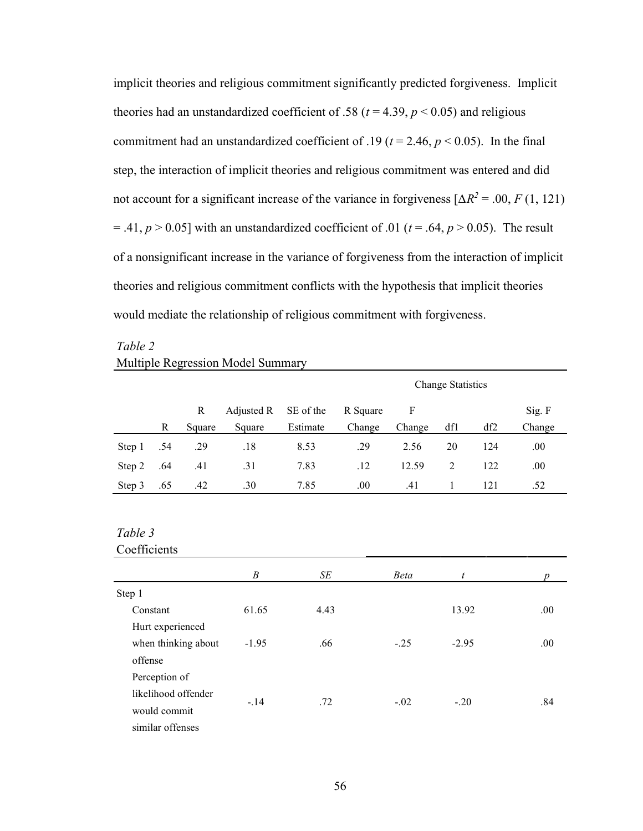implicit theories and religious commitment significantly predicted forgiveness. Implicit theories had an unstandardized coefficient of .58 ( $t = 4.39$ ,  $p < 0.05$ ) and religious commitment had an unstandardized coefficient of .19 ( $t = 2.46$ ,  $p < 0.05$ ). In the final step, the interaction of implicit theories and religious commitment was entered and did not account for a significant increase of the variance in forgiveness  $[\Delta R^2 = .00, F(1, 121)]$ = .41,  $p > 0.05$ ] with an unstandardized coefficient of .01 ( $t = .64$ ,  $p > 0.05$ ). The result of a nonsignificant increase in the variance of forgiveness from the interaction of implicit theories and religious commitment conflicts with the hypothesis that implicit theories would mediate the relationship of religious commitment with forgiveness.

# Table 2 Multiple Regression Model Summary

|        |     |        |                      |          | <b>Change Statistics</b> |              |     |     |         |  |
|--------|-----|--------|----------------------|----------|--------------------------|--------------|-----|-----|---------|--|
|        |     | R      | Adjusted R SE of the |          | R Square                 | $\mathbf{F}$ |     |     | Sig. F  |  |
|        | R   | Square | Square               | Estimate | Change                   | Change       | df1 | df2 | Change  |  |
| Step 1 | .54 | .29    | .18                  | 8.53     | .29                      | 2.56         | 20  | 124 | $.00\,$ |  |
| Step 2 | .64 | .41    | .31                  | 7.83     | .12                      | 12.59        | 2   | 122 | .00     |  |
| Step 3 | .65 | .42    | .30                  | 7.85     | .00.                     | .41          |     | 121 | .52     |  |

# Table 3

#### Coefficients

|                     | B       | SE   | <b>Beta</b> | t       |      |
|---------------------|---------|------|-------------|---------|------|
| Step 1              |         |      |             |         |      |
| Constant            | 61.65   | 4.43 |             | 13.92   | .00. |
| Hurt experienced    |         |      |             |         |      |
| when thinking about | $-1.95$ | .66  | $-.25$      | $-2.95$ | .00  |
| offense             |         |      |             |         |      |
| Perception of       |         |      |             |         |      |
| likelihood offender |         |      |             |         |      |
| would commit        | $-.14$  | .72  | $-.02$      | $-.20$  | .84  |
| similar offenses    |         |      |             |         |      |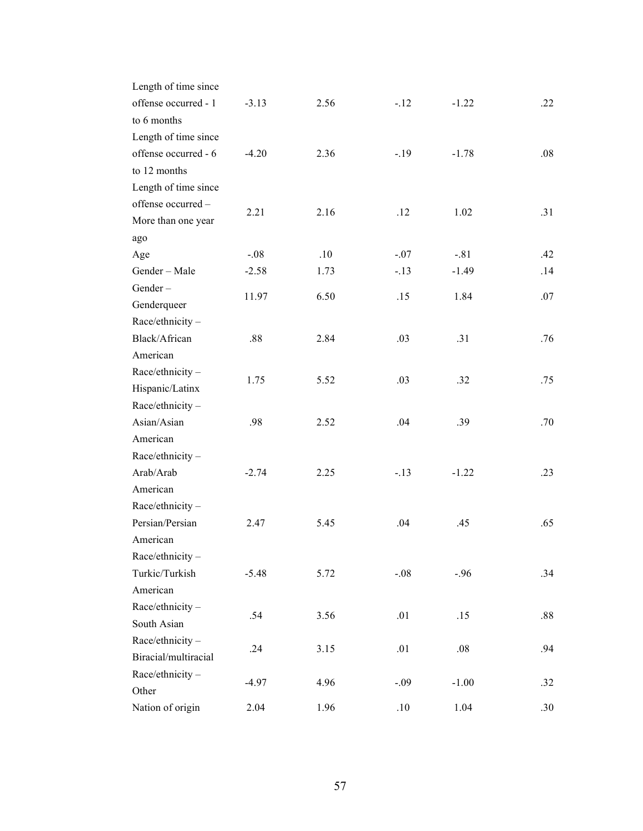| Length of time since<br>offense occurred - 1<br>to 6 months            | $-3.13$ | 2.56 | $-.12$ | $-1.22$ | .22     |
|------------------------------------------------------------------------|---------|------|--------|---------|---------|
| Length of time since<br>offense occurred - 6<br>to 12 months           | $-4.20$ | 2.36 | $-.19$ | $-1.78$ | .08     |
| Length of time since<br>offense occurred-<br>More than one year<br>ago | 2.21    | 2.16 | .12    | 1.02    | .31     |
| Age                                                                    | $-.08$  | .10  | $-.07$ | $-.81$  | .42     |
| Gender - Male                                                          | $-2.58$ | 1.73 | $-.13$ | $-1.49$ | .14     |
| Gender-<br>Genderqueer                                                 | 11.97   | 6.50 | .15    | 1.84    | .07     |
| Race/ethnicity-                                                        |         |      |        |         |         |
| Black/African                                                          | .88     | 2.84 | .03    | .31     | .76     |
| American                                                               |         |      |        |         |         |
| Race/ethnicity-<br>Hispanic/Latinx                                     | 1.75    | 5.52 | .03    | .32     | .75     |
| Race/ethnicity-                                                        |         |      |        |         |         |
| Asian/Asian                                                            | .98     | 2.52 | .04    | .39     | .70     |
| American                                                               |         |      |        |         |         |
| Race/ethnicity-                                                        |         |      |        |         |         |
| Arab/Arab                                                              | $-2.74$ | 2.25 | $-.13$ | $-1.22$ | .23     |
| American                                                               |         |      |        |         |         |
| Race/ethnicity-                                                        |         |      |        |         |         |
| Persian/Persian                                                        | 2.47    | 5.45 | .04    | .45     | .65     |
| American                                                               |         |      |        |         |         |
| Race/ethnicity-                                                        |         |      |        |         |         |
| Turkic/Turkish                                                         | $-5.48$ | 5.72 | $-.08$ | $-.96$  | .34     |
| American                                                               |         |      |        |         |         |
| Race/ethnicity-                                                        |         |      |        |         |         |
| South Asian                                                            | .54     | 3.56 | .01    | .15     | $.88\,$ |
| Race/ethnicity-                                                        |         |      |        |         |         |
| Biracial/multiracial                                                   | .24     | 3.15 | .01    | .08     | .94     |
| Race/ethnicity-                                                        | $-4.97$ | 4.96 | $-.09$ |         |         |
| Other                                                                  |         |      |        | $-1.00$ | .32     |
| Nation of origin                                                       | 2.04    | 1.96 | .10    | 1.04    | .30     |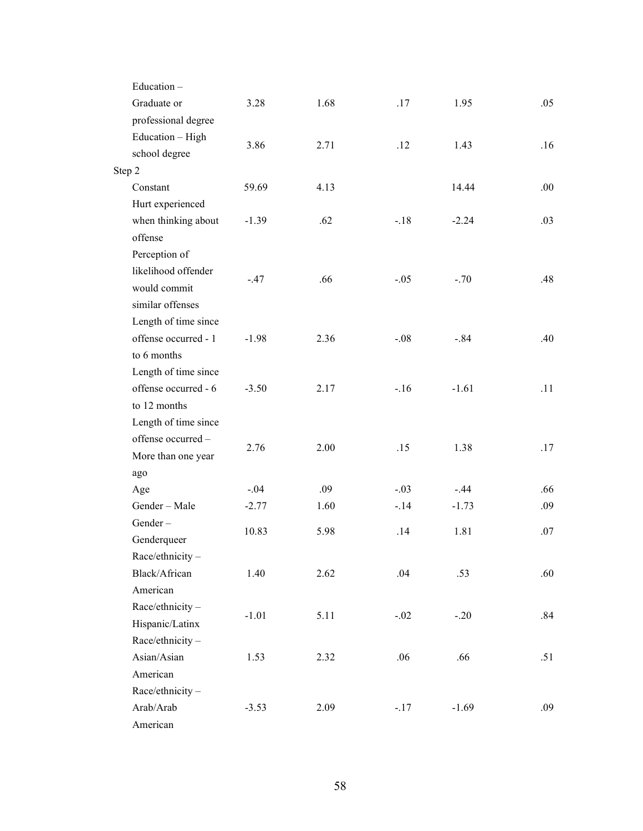| Education-           |         |      |        |         |     |
|----------------------|---------|------|--------|---------|-----|
| Graduate or          | 3.28    | 1.68 | .17    | 1.95    | .05 |
| professional degree  |         |      |        |         |     |
| Education - High     |         |      |        |         |     |
| school degree        | 3.86    | 2.71 | .12    | 1.43    | .16 |
| Step 2               |         |      |        |         |     |
| Constant             | 59.69   | 4.13 |        | 14.44   | .00 |
| Hurt experienced     |         |      |        |         |     |
| when thinking about  | $-1.39$ | .62  | $-.18$ | $-2.24$ | .03 |
| offense              |         |      |        |         |     |
| Perception of        |         |      |        |         |     |
| likelihood offender  |         | .66  |        |         | .48 |
| would commit         | $-.47$  |      | $-.05$ | $-.70$  |     |
| similar offenses     |         |      |        |         |     |
| Length of time since |         |      |        |         |     |
| offense occurred - 1 | $-1.98$ | 2.36 | $-.08$ | $-.84$  | .40 |
| to 6 months          |         |      |        |         |     |
| Length of time since |         |      |        |         |     |
| offense occurred - 6 | $-3.50$ | 2.17 | $-.16$ | $-1.61$ | .11 |
| to 12 months         |         |      |        |         |     |
| Length of time since |         |      |        |         |     |
| offense occurred-    | 2.76    | 2.00 | .15    | 1.38    | .17 |
| More than one year   |         |      |        |         |     |
| ago                  |         |      |        |         |     |
| Age                  | $-.04$  | .09  | $-.03$ | $-.44$  | .66 |
| Gender - Male        | $-2.77$ | 1.60 | $-.14$ | $-1.73$ | .09 |
| Gender-              | 10.83   | 5.98 | .14    | 1.81    | .07 |
| Genderqueer          |         |      |        |         |     |
| Race/ethnicity-      |         |      |        |         |     |
| Black/African        | 1.40    | 2.62 | .04    | .53     | .60 |
| American             |         |      |        |         |     |
| Race/ethnicity-      | $-1.01$ | 5.11 | $-.02$ | $-.20$  | .84 |
| Hispanic/Latinx      |         |      |        |         |     |
| Race/ethnicity-      |         |      |        |         |     |
| Asian/Asian          | 1.53    | 2.32 | .06    | .66     | .51 |
| American             |         |      |        |         |     |
| Race/ethnicity-      |         |      |        |         |     |
| Arab/Arab            | $-3.53$ | 2.09 | $-.17$ | $-1.69$ | .09 |
| American             |         |      |        |         |     |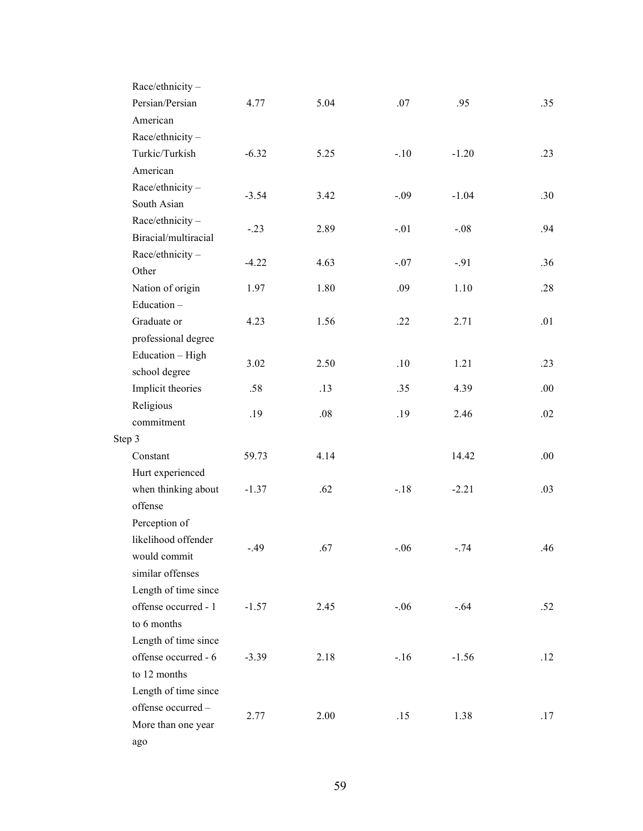| Race/ethnicity-      |         |      |        |         |      |
|----------------------|---------|------|--------|---------|------|
| Persian/Persian      | 4.77    | 5.04 | .07    | .95     | .35  |
| American             |         |      |        |         |      |
| Race/ethnicity-      |         |      |        |         |      |
| Turkic/Turkish       | $-6.32$ | 5.25 | $-.10$ | $-1.20$ | .23  |
| American             |         |      |        |         |      |
| Race/ethnicity-      | $-3.54$ | 3.42 | $-.09$ | $-1.04$ | .30  |
| South Asian          |         |      |        |         |      |
| Race/ethnicity-      | $-.23$  | 2.89 | $-.01$ | $-.08$  | .94  |
| Biracial/multiracial |         |      |        |         |      |
| Race/ethnicity-      | $-4.22$ | 4.63 | $-.07$ | $-.91$  | .36  |
| Other                |         |      |        |         |      |
| Nation of origin     | 1.97    | 1.80 | .09    | 1.10    | .28  |
| Education-           |         |      |        |         |      |
| Graduate or          | 4.23    | 1.56 | .22    | 2.71    | .01  |
| professional degree  |         |      |        |         |      |
| Education - High     |         |      |        |         |      |
| school degree        | 3.02    | 2.50 | .10    | 1.21    | .23  |
| Implicit theories    | .58     | .13  | .35    | 4.39    | .00. |
| Religious            |         |      |        |         |      |
| commitment           | .19     | .08  | .19    | 2.46    | .02  |
| Step 3               |         |      |        |         |      |
| Constant             | 59.73   | 4.14 |        | 14.42   | .00. |
| Hurt experienced     |         |      |        |         |      |
| when thinking about  | $-1.37$ | .62  | $-.18$ | $-2.21$ | .03  |
| offense              |         |      |        |         |      |
| Perception of        |         |      |        |         |      |
| likelihood offender  |         |      |        |         |      |
| would commit         | $-.49$  | .67  | $-.06$ | $-.74$  | .46  |
| similar offenses     |         |      |        |         |      |
| Length of time since |         |      |        |         |      |
| offense occurred - 1 | $-1.57$ | 2.45 | $-.06$ | $-.64$  | .52  |
| to 6 months          |         |      |        |         |      |
| Length of time since |         |      |        |         |      |
| offense occurred - 6 | $-3.39$ | 2.18 | $-.16$ | $-1.56$ | .12  |
| to 12 months         |         |      |        |         |      |
| Length of time since |         |      |        |         |      |
| offense occurred-    |         |      |        |         |      |
|                      | 2.77    | 2.00 | .15    | 1.38    | .17  |
| More than one year   |         |      |        |         |      |
| ago                  |         |      |        |         |      |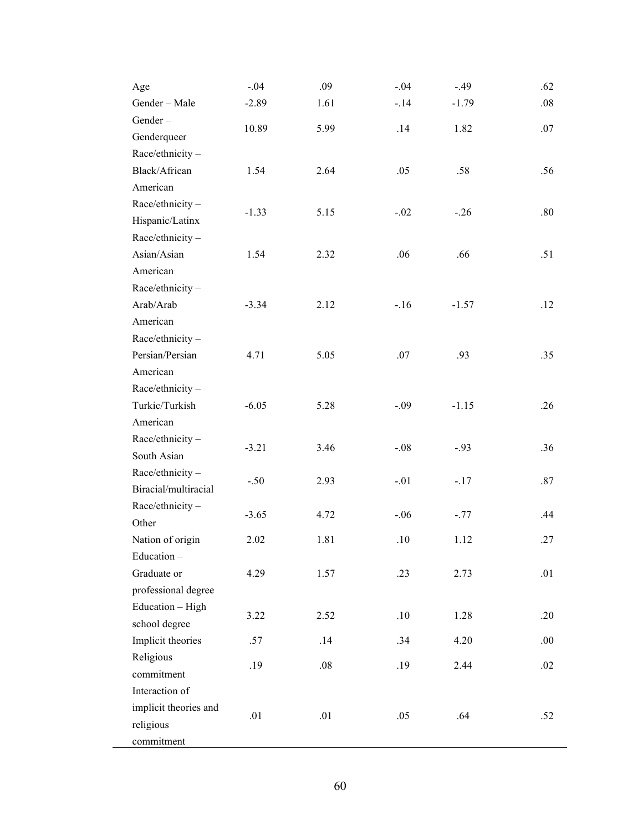| Age                   | $-.04$  | .09  | $-.04$ | $-.49$  | .62  |
|-----------------------|---------|------|--------|---------|------|
| Gender - Male         | $-2.89$ | 1.61 | $-.14$ | $-1.79$ | .08  |
| Gender-               |         |      |        |         |      |
| Genderqueer           | 10.89   | 5.99 | .14    | 1.82    | .07  |
| Race/ethnicity-       |         |      |        |         |      |
| Black/African         | 1.54    | 2.64 | .05    | .58     | .56  |
| American              |         |      |        |         |      |
| Race/ethnicity-       |         |      |        |         |      |
| Hispanic/Latinx       | $-1.33$ | 5.15 | $-.02$ | $-.26$  | .80  |
| Race/ethnicity-       |         |      |        |         |      |
| Asian/Asian           | 1.54    | 2.32 | .06    | .66     | .51  |
| American              |         |      |        |         |      |
| Race/ethnicity-       |         |      |        |         |      |
| Arab/Arab             | $-3.34$ | 2.12 | $-.16$ | $-1.57$ | .12  |
| American              |         |      |        |         |      |
| Race/ethnicity-       |         |      |        |         |      |
| Persian/Persian       | 4.71    | 5.05 | .07    | .93     | .35  |
| American              |         |      |        |         |      |
| Race/ethnicity-       |         |      |        |         |      |
| Turkic/Turkish        | $-6.05$ | 5.28 | $-.09$ | $-1.15$ | .26  |
| American              |         |      |        |         |      |
| Race/ethnicity-       |         |      |        |         |      |
| South Asian           | $-3.21$ | 3.46 | $-.08$ | $-.93$  | .36  |
| Race/ethnicity-       |         |      |        |         |      |
| Biracial/multiracial  | $-.50$  | 2.93 | $-.01$ | $-.17$  | .87  |
| Race/ethnicity-       |         |      |        |         |      |
| Other                 | $-3.65$ | 4.72 | $-.06$ | $-.77$  | .44  |
| Nation of origin      | 2.02    | 1.81 | .10    | 1.12    | .27  |
| Education-            |         |      |        |         |      |
| Graduate or           | 4.29    | 1.57 | .23    | 2.73    | .01  |
| professional degree   |         |      |        |         |      |
| Education - High      |         | 2.52 |        |         |      |
| school degree         | 3.22    |      | .10    | 1.28    | .20  |
| Implicit theories     | .57     | .14  | .34    | 4.20    | .00. |
| Religious             | .19     |      |        |         |      |
| commitment            |         | .08  | .19    | 2.44    | .02  |
| Interaction of        |         |      |        |         |      |
| implicit theories and |         |      |        |         |      |
| religious             | .01     | .01  | .05    | .64     | .52  |
| commitment            |         |      |        |         |      |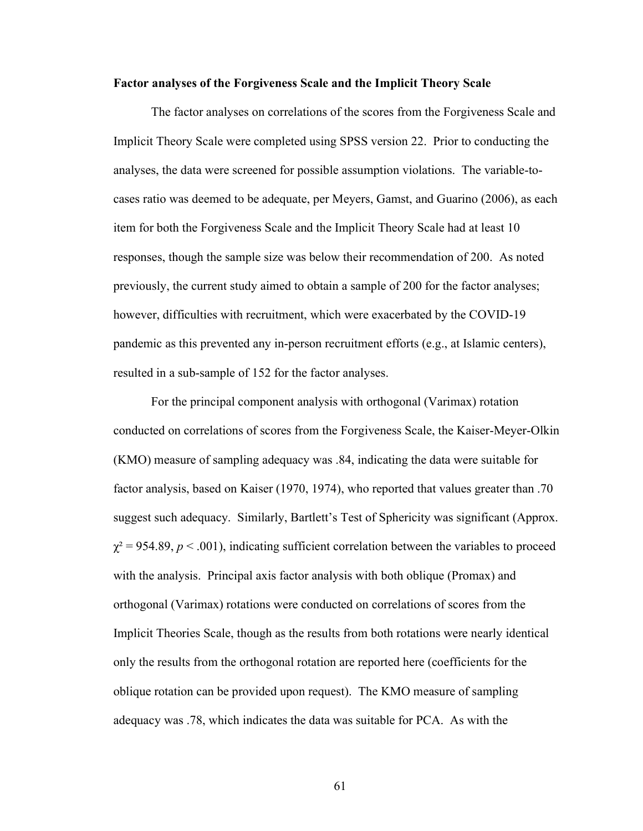#### Factor analyses of the Forgiveness Scale and the Implicit Theory Scale

The factor analyses on correlations of the scores from the Forgiveness Scale and Implicit Theory Scale were completed using SPSS version 22. Prior to conducting the analyses, the data were screened for possible assumption violations. The variable-tocases ratio was deemed to be adequate, per Meyers, Gamst, and Guarino (2006), as each item for both the Forgiveness Scale and the Implicit Theory Scale had at least 10 responses, though the sample size was below their recommendation of 200. As noted previously, the current study aimed to obtain a sample of 200 for the factor analyses; however, difficulties with recruitment, which were exacerbated by the COVID-19 pandemic as this prevented any in-person recruitment efforts (e.g., at Islamic centers), resulted in a sub-sample of 152 for the factor analyses.

For the principal component analysis with orthogonal (Varimax) rotation conducted on correlations of scores from the Forgiveness Scale, the Kaiser-Meyer-Olkin (KMO) measure of sampling adequacy was .84, indicating the data were suitable for factor analysis, based on Kaiser (1970, 1974), who reported that values greater than .70 suggest such adequacy. Similarly, Bartlett's Test of Sphericity was significant (Approx.  $\chi^2$  = 954.89, p < .001), indicating sufficient correlation between the variables to proceed with the analysis. Principal axis factor analysis with both oblique (Promax) and orthogonal (Varimax) rotations were conducted on correlations of scores from the Implicit Theories Scale, though as the results from both rotations were nearly identical only the results from the orthogonal rotation are reported here (coefficients for the oblique rotation can be provided upon request). The KMO measure of sampling adequacy was .78, which indicates the data was suitable for PCA. As with the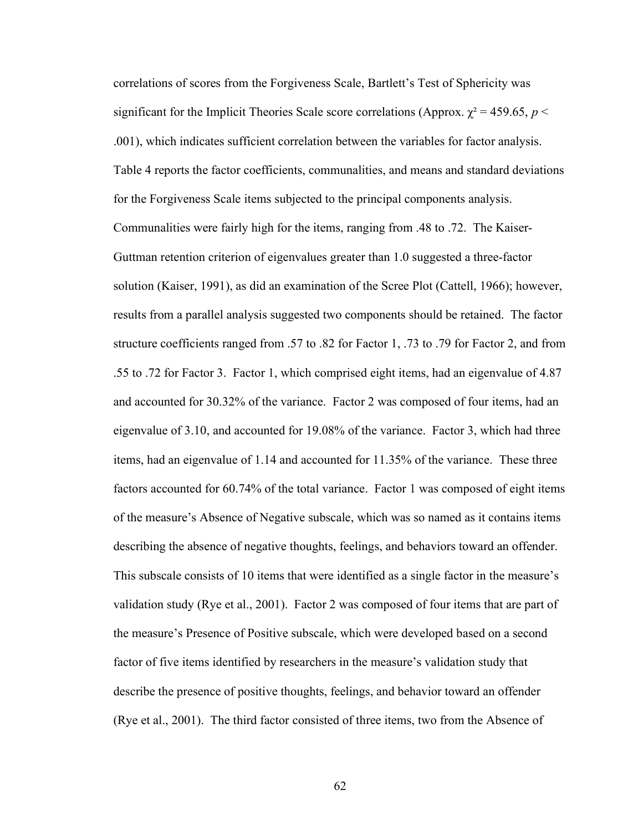correlations of scores from the Forgiveness Scale, Bartlett's Test of Sphericity was significant for the Implicit Theories Scale score correlations (Approx.  $\chi^2$  = 459.65, p < .001), which indicates sufficient correlation between the variables for factor analysis. Table 4 reports the factor coefficients, communalities, and means and standard deviations for the Forgiveness Scale items subjected to the principal components analysis. Communalities were fairly high for the items, ranging from .48 to .72. The Kaiser-Guttman retention criterion of eigenvalues greater than 1.0 suggested a three-factor solution (Kaiser, 1991), as did an examination of the Scree Plot (Cattell, 1966); however, results from a parallel analysis suggested two components should be retained. The factor structure coefficients ranged from .57 to .82 for Factor 1, .73 to .79 for Factor 2, and from .55 to .72 for Factor 3. Factor 1, which comprised eight items, had an eigenvalue of 4.87 and accounted for 30.32% of the variance. Factor 2 was composed of four items, had an eigenvalue of 3.10, and accounted for 19.08% of the variance. Factor 3, which had three items, had an eigenvalue of 1.14 and accounted for 11.35% of the variance. These three factors accounted for 60.74% of the total variance. Factor 1 was composed of eight items of the measure's Absence of Negative subscale, which was so named as it contains items describing the absence of negative thoughts, feelings, and behaviors toward an offender. This subscale consists of 10 items that were identified as a single factor in the measure's validation study (Rye et al., 2001). Factor 2 was composed of four items that are part of the measure's Presence of Positive subscale, which were developed based on a second factor of five items identified by researchers in the measure's validation study that describe the presence of positive thoughts, feelings, and behavior toward an offender (Rye et al., 2001). The third factor consisted of three items, two from the Absence of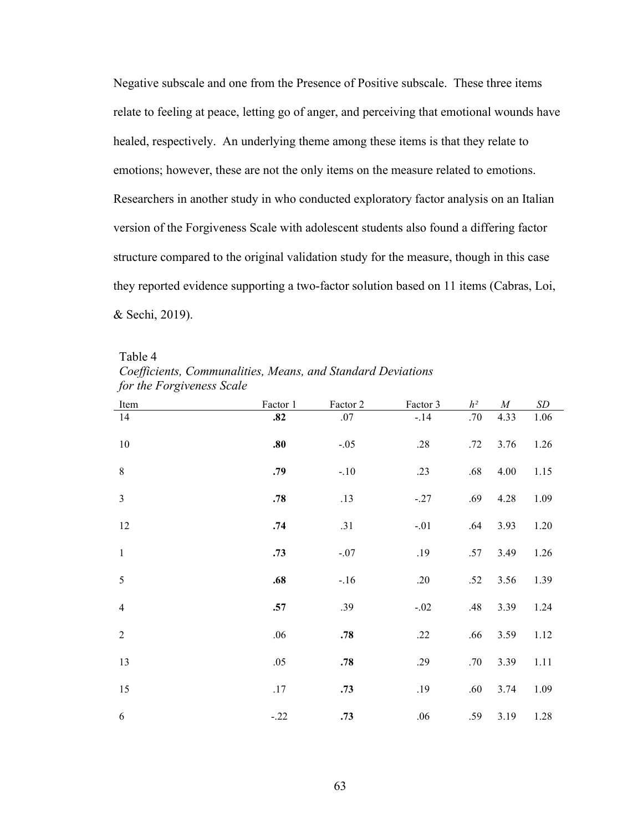Negative subscale and one from the Presence of Positive subscale. These three items relate to feeling at peace, letting go of anger, and perceiving that emotional wounds have healed, respectively. An underlying theme among these items is that they relate to emotions; however, these are not the only items on the measure related to emotions. Researchers in another study in who conducted exploratory factor analysis on an Italian version of the Forgiveness Scale with adolescent students also found a differing factor structure compared to the original validation study for the measure, though in this case they reported evidence supporting a two-factor solution based on 11 items (Cabras, Loi, & Sechi, 2019).

Table 4 Coefficients, Communalities, Means, and Standard Deviations for the Forgiveness Scale

| Item           | Factor 1 | Factor 2 | Factor 3 | $h^2$ | $\cal M$ | $\,SD$ |
|----------------|----------|----------|----------|-------|----------|--------|
| 14             | .82      | .07      | $-.14$   | .70   | 4.33     | 1.06   |
| $10\,$         | .80      | $-.05$   | .28      | .72   | 3.76     | 1.26   |
| $\,8\,$        | .79      | $-.10$   | .23      | .68   | 4.00     | 1.15   |
| $\mathfrak{Z}$ | .78      | .13      | $-.27$   | .69   | 4.28     | 1.09   |
| 12             | .74      | .31      | $-.01$   | .64   | 3.93     | 1.20   |
| $\mathbf{1}$   | .73      | $-.07$   | .19      | .57   | 3.49     | 1.26   |
| $\sqrt{5}$     | .68      | $-.16$   | .20      | .52   | 3.56     | 1.39   |
| $\overline{4}$ | .57      | .39      | $-.02$   | .48   | 3.39     | 1.24   |
| $\sqrt{2}$     | .06      | .78      | .22      | .66   | 3.59     | 1.12   |
| 13             | .05      | .78      | .29      | .70   | 3.39     | 1.11   |
| 15             | .17      | .73      | .19      | .60   | 3.74     | 1.09   |
| $\sqrt{6}$     | $-.22$   | .73      | .06      | .59   | 3.19     | 1.28   |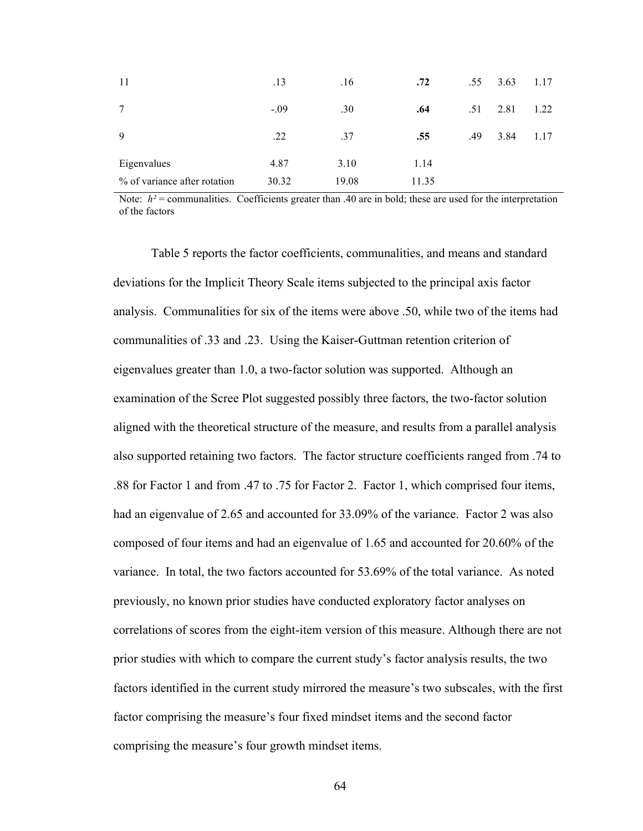| 11                           | .13    | .16   | .72   | .55 | 3.63 | 1.17 |
|------------------------------|--------|-------|-------|-----|------|------|
| 7                            | $-.09$ | .30   | .64   | .51 | 2.81 | 1.22 |
| 9                            | .22    | .37   | .55   | .49 | 3.84 | 1.17 |
| Eigenvalues                  | 4.87   | 3.10  | 1.14  |     |      |      |
| % of variance after rotation | 30.32  | 19.08 | 11.35 |     |      |      |

Note:  $h^2$  = communalities. Coefficients greater than .40 are in bold; these are used for the interpretation of the factors

Table 5 reports the factor coefficients, communalities, and means and standard deviations for the Implicit Theory Scale items subjected to the principal axis factor analysis. Communalities for six of the items were above .50, while two of the items had communalities of .33 and .23. Using the Kaiser-Guttman retention criterion of eigenvalues greater than 1.0, a two-factor solution was supported. Although an examination of the Scree Plot suggested possibly three factors, the two-factor solution aligned with the theoretical structure of the measure, and results from a parallel analysis also supported retaining two factors. The factor structure coefficients ranged from .74 to .88 for Factor 1 and from .47 to .75 for Factor 2. Factor 1, which comprised four items, had an eigenvalue of 2.65 and accounted for 33.09% of the variance. Factor 2 was also composed of four items and had an eigenvalue of 1.65 and accounted for 20.60% of the variance. In total, the two factors accounted for 53.69% of the total variance. As noted previously, no known prior studies have conducted exploratory factor analyses on correlations of scores from the eight-item version of this measure. Although there are not prior studies with which to compare the current study's factor analysis results, the two factors identified in the current study mirrored the measure's two subscales, with the first factor comprising the measure's four fixed mindset items and the second factor comprising the measure's four growth mindset items.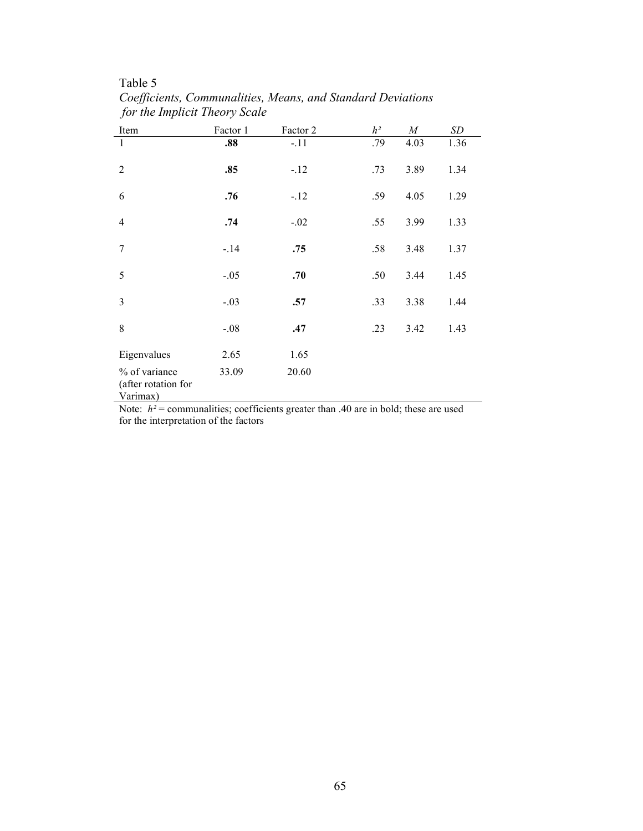## Table 5

Coefficients, Communalities, Means, and Standard Deviations for the Implicit Theory Scale

| Item                                                              | Factor 1          | Factor 2                         | $h^2$       | $\boldsymbol{M}$ | SD   |
|-------------------------------------------------------------------|-------------------|----------------------------------|-------------|------------------|------|
| 1                                                                 | .88               | $-.11$                           | .79         | 4.03             | 1.36 |
| $\overline{2}$                                                    | .85               | $-.12$                           | .73         | 3.89             | 1.34 |
| 6                                                                 | .76               | $-12$                            | .59         | 4.05             | 1.29 |
| $\overline{4}$                                                    | .74               | $-.02$                           | .55         | 3.99             | 1.33 |
| 7                                                                 | $-.14$            | .75                              | .58         | 3.48             | 1.37 |
| 5                                                                 | $-.05$            | .70                              | .50         | 3.44             | 1.45 |
| 3                                                                 | $-.03$            | .57                              | .33         | 3.38             | 1.44 |
| 8                                                                 | $-.08$            | .47                              | .23         | 3.42             | 1.43 |
| Eigenvalues                                                       | 2.65              | 1.65                             |             |                  |      |
| % of variance<br>(after rotation for<br>Varimax)<br>$\sim$ $\sim$ | 33.09<br>$\cdots$ | 20.60<br>$\sim$ $\sim$<br>$\sim$ | $\sim$<br>. |                  |      |

Note:  $h^2$  = communalities; coefficients greater than .40 are in bold; these are used for the interpretation of the factors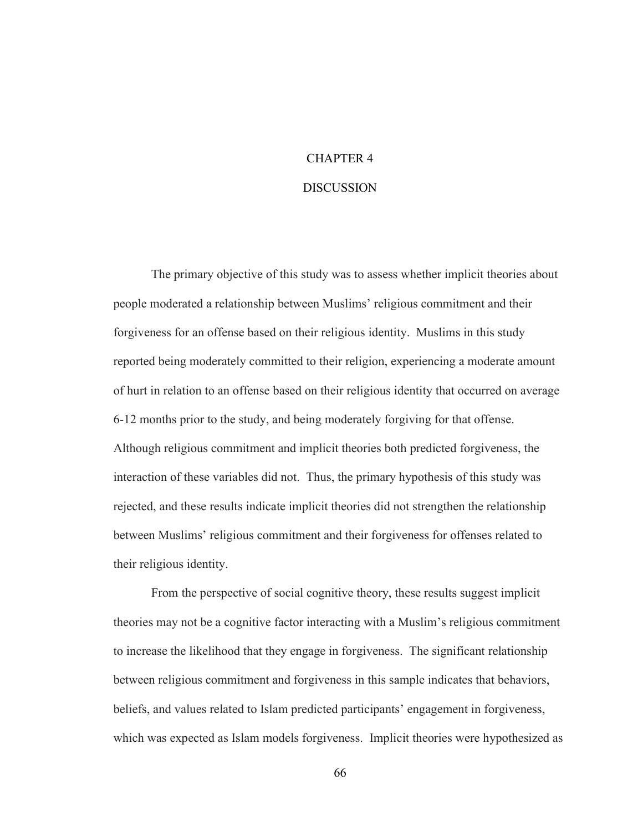# CHAPTER 4

#### DISCUSSION

 The primary objective of this study was to assess whether implicit theories about people moderated a relationship between Muslims' religious commitment and their forgiveness for an offense based on their religious identity. Muslims in this study reported being moderately committed to their religion, experiencing a moderate amount of hurt in relation to an offense based on their religious identity that occurred on average 6-12 months prior to the study, and being moderately forgiving for that offense. Although religious commitment and implicit theories both predicted forgiveness, the interaction of these variables did not. Thus, the primary hypothesis of this study was rejected, and these results indicate implicit theories did not strengthen the relationship between Muslims' religious commitment and their forgiveness for offenses related to their religious identity.

 From the perspective of social cognitive theory, these results suggest implicit theories may not be a cognitive factor interacting with a Muslim's religious commitment to increase the likelihood that they engage in forgiveness. The significant relationship between religious commitment and forgiveness in this sample indicates that behaviors, beliefs, and values related to Islam predicted participants' engagement in forgiveness, which was expected as Islam models forgiveness. Implicit theories were hypothesized as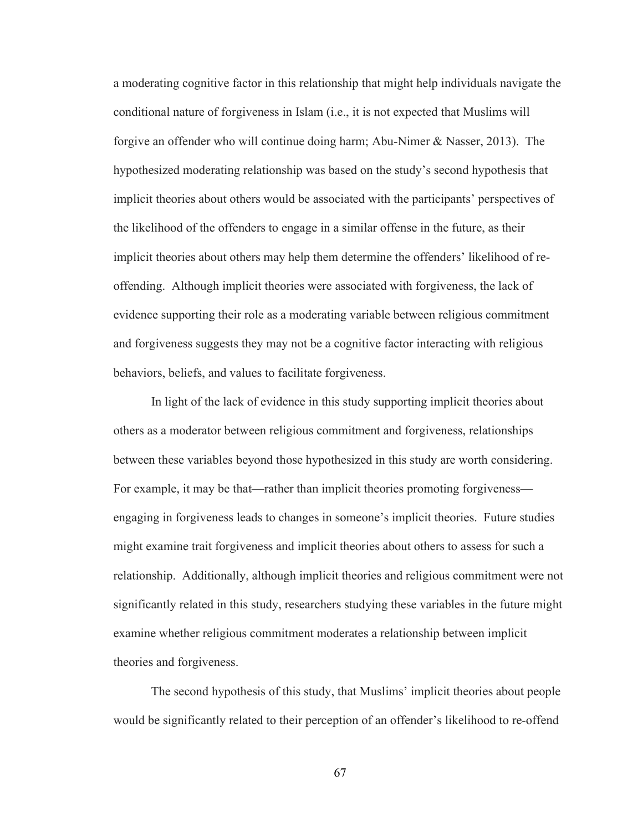a moderating cognitive factor in this relationship that might help individuals navigate the conditional nature of forgiveness in Islam (i.e., it is not expected that Muslims will forgive an offender who will continue doing harm; Abu-Nimer & Nasser, 2013). The hypothesized moderating relationship was based on the study's second hypothesis that implicit theories about others would be associated with the participants' perspectives of the likelihood of the offenders to engage in a similar offense in the future, as their implicit theories about others may help them determine the offenders' likelihood of reoffending. Although implicit theories were associated with forgiveness, the lack of evidence supporting their role as a moderating variable between religious commitment and forgiveness suggests they may not be a cognitive factor interacting with religious behaviors, beliefs, and values to facilitate forgiveness.

 In light of the lack of evidence in this study supporting implicit theories about others as a moderator between religious commitment and forgiveness, relationships between these variables beyond those hypothesized in this study are worth considering. For example, it may be that—rather than implicit theories promoting forgiveness engaging in forgiveness leads to changes in someone's implicit theories. Future studies might examine trait forgiveness and implicit theories about others to assess for such a relationship. Additionally, although implicit theories and religious commitment were not significantly related in this study, researchers studying these variables in the future might examine whether religious commitment moderates a relationship between implicit theories and forgiveness.

The second hypothesis of this study, that Muslims' implicit theories about people would be significantly related to their perception of an offender's likelihood to re-offend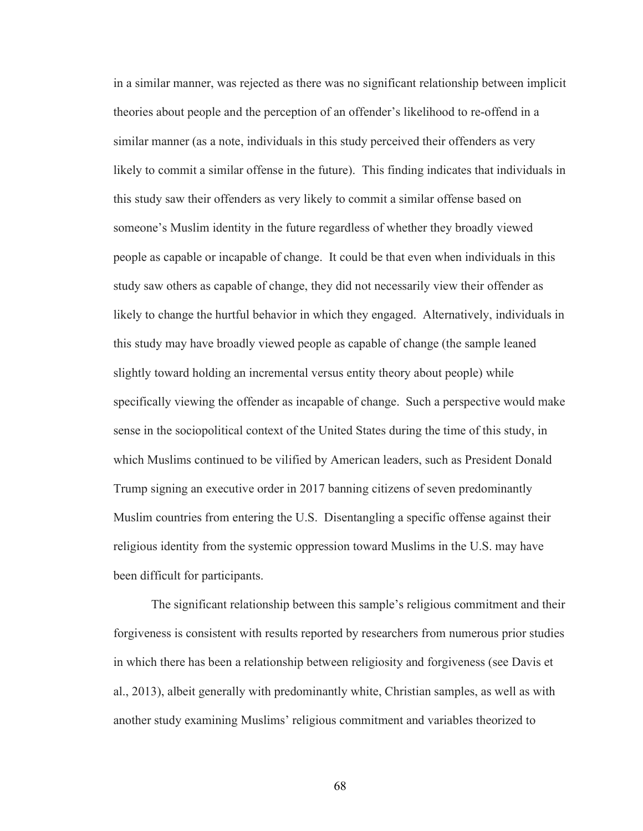in a similar manner, was rejected as there was no significant relationship between implicit theories about people and the perception of an offender's likelihood to re-offend in a similar manner (as a note, individuals in this study perceived their offenders as very likely to commit a similar offense in the future). This finding indicates that individuals in this study saw their offenders as very likely to commit a similar offense based on someone's Muslim identity in the future regardless of whether they broadly viewed people as capable or incapable of change. It could be that even when individuals in this study saw others as capable of change, they did not necessarily view their offender as likely to change the hurtful behavior in which they engaged. Alternatively, individuals in this study may have broadly viewed people as capable of change (the sample leaned slightly toward holding an incremental versus entity theory about people) while specifically viewing the offender as incapable of change. Such a perspective would make sense in the sociopolitical context of the United States during the time of this study, in which Muslims continued to be vilified by American leaders, such as President Donald Trump signing an executive order in 2017 banning citizens of seven predominantly Muslim countries from entering the U.S. Disentangling a specific offense against their religious identity from the systemic oppression toward Muslims in the U.S. may have been difficult for participants.

 The significant relationship between this sample's religious commitment and their forgiveness is consistent with results reported by researchers from numerous prior studies in which there has been a relationship between religiosity and forgiveness (see Davis et al., 2013), albeit generally with predominantly white, Christian samples, as well as with another study examining Muslims' religious commitment and variables theorized to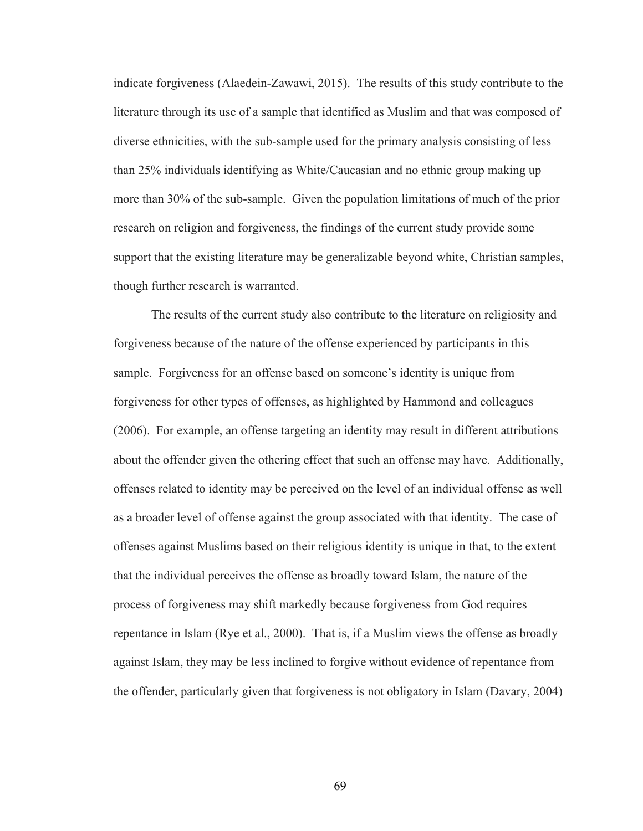indicate forgiveness (Alaedein-Zawawi, 2015). The results of this study contribute to the literature through its use of a sample that identified as Muslim and that was composed of diverse ethnicities, with the sub-sample used for the primary analysis consisting of less than 25% individuals identifying as White/Caucasian and no ethnic group making up more than 30% of the sub-sample. Given the population limitations of much of the prior research on religion and forgiveness, the findings of the current study provide some support that the existing literature may be generalizable beyond white, Christian samples, though further research is warranted.

 The results of the current study also contribute to the literature on religiosity and forgiveness because of the nature of the offense experienced by participants in this sample. Forgiveness for an offense based on someone's identity is unique from forgiveness for other types of offenses, as highlighted by Hammond and colleagues (2006). For example, an offense targeting an identity may result in different attributions about the offender given the othering effect that such an offense may have. Additionally, offenses related to identity may be perceived on the level of an individual offense as well as a broader level of offense against the group associated with that identity. The case of offenses against Muslims based on their religious identity is unique in that, to the extent that the individual perceives the offense as broadly toward Islam, the nature of the process of forgiveness may shift markedly because forgiveness from God requires repentance in Islam (Rye et al., 2000). That is, if a Muslim views the offense as broadly against Islam, they may be less inclined to forgive without evidence of repentance from the offender, particularly given that forgiveness is not obligatory in Islam (Davary, 2004)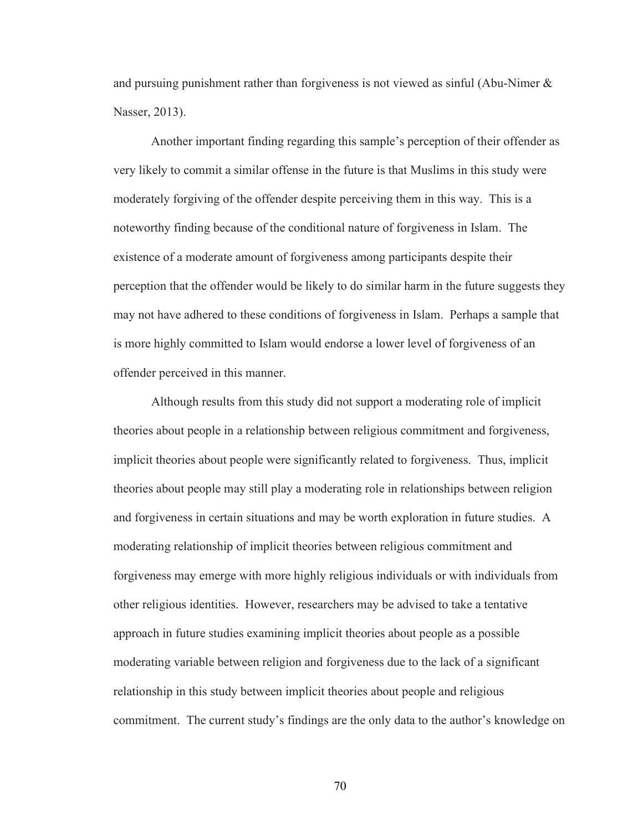and pursuing punishment rather than forgiveness is not viewed as sinful (Abu-Nimer  $\&$ Nasser, 2013).

Another important finding regarding this sample's perception of their offender as very likely to commit a similar offense in the future is that Muslims in this study were moderately forgiving of the offender despite perceiving them in this way. This is a noteworthy finding because of the conditional nature of forgiveness in Islam. The existence of a moderate amount of forgiveness among participants despite their perception that the offender would be likely to do similar harm in the future suggests they may not have adhered to these conditions of forgiveness in Islam. Perhaps a sample that is more highly committed to Islam would endorse a lower level of forgiveness of an offender perceived in this manner.

 Although results from this study did not support a moderating role of implicit theories about people in a relationship between religious commitment and forgiveness, implicit theories about people were significantly related to forgiveness. Thus, implicit theories about people may still play a moderating role in relationships between religion and forgiveness in certain situations and may be worth exploration in future studies. A moderating relationship of implicit theories between religious commitment and forgiveness may emerge with more highly religious individuals or with individuals from other religious identities. However, researchers may be advised to take a tentative approach in future studies examining implicit theories about people as a possible moderating variable between religion and forgiveness due to the lack of a significant relationship in this study between implicit theories about people and religious commitment. The current study's findings are the only data to the author's knowledge on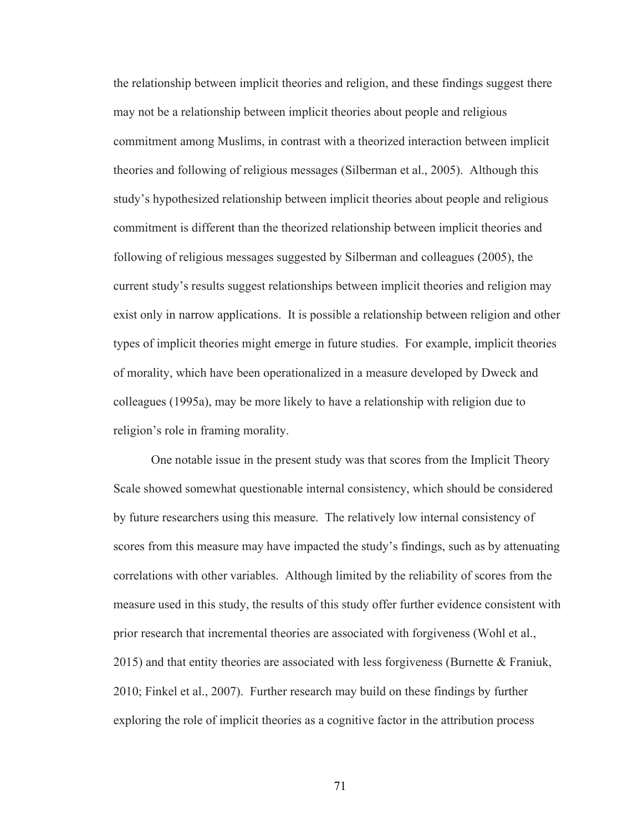the relationship between implicit theories and religion, and these findings suggest there may not be a relationship between implicit theories about people and religious commitment among Muslims, in contrast with a theorized interaction between implicit theories and following of religious messages (Silberman et al., 2005). Although this study's hypothesized relationship between implicit theories about people and religious commitment is different than the theorized relationship between implicit theories and following of religious messages suggested by Silberman and colleagues (2005), the current study's results suggest relationships between implicit theories and religion may exist only in narrow applications. It is possible a relationship between religion and other types of implicit theories might emerge in future studies. For example, implicit theories of morality, which have been operationalized in a measure developed by Dweck and colleagues (1995a), may be more likely to have a relationship with religion due to religion's role in framing morality.

One notable issue in the present study was that scores from the Implicit Theory Scale showed somewhat questionable internal consistency, which should be considered by future researchers using this measure. The relatively low internal consistency of scores from this measure may have impacted the study's findings, such as by attenuating correlations with other variables. Although limited by the reliability of scores from the measure used in this study, the results of this study offer further evidence consistent with prior research that incremental theories are associated with forgiveness (Wohl et al., 2015) and that entity theories are associated with less forgiveness (Burnette & Franiuk, 2010; Finkel et al., 2007). Further research may build on these findings by further exploring the role of implicit theories as a cognitive factor in the attribution process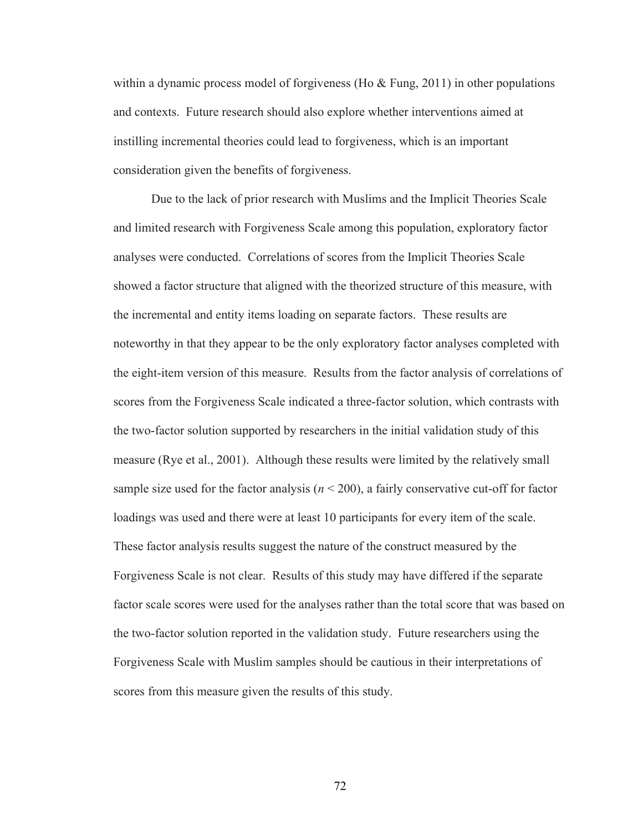within a dynamic process model of forgiveness (Ho  $\&$  Fung, 2011) in other populations and contexts. Future research should also explore whether interventions aimed at instilling incremental theories could lead to forgiveness, which is an important consideration given the benefits of forgiveness.

 Due to the lack of prior research with Muslims and the Implicit Theories Scale and limited research with Forgiveness Scale among this population, exploratory factor analyses were conducted. Correlations of scores from the Implicit Theories Scale showed a factor structure that aligned with the theorized structure of this measure, with the incremental and entity items loading on separate factors. These results are noteworthy in that they appear to be the only exploratory factor analyses completed with the eight-item version of this measure. Results from the factor analysis of correlations of scores from the Forgiveness Scale indicated a three-factor solution, which contrasts with the two-factor solution supported by researchers in the initial validation study of this measure (Rye et al., 2001). Although these results were limited by the relatively small sample size used for the factor analysis ( $n < 200$ ), a fairly conservative cut-off for factor loadings was used and there were at least 10 participants for every item of the scale. These factor analysis results suggest the nature of the construct measured by the Forgiveness Scale is not clear. Results of this study may have differed if the separate factor scale scores were used for the analyses rather than the total score that was based on the two-factor solution reported in the validation study. Future researchers using the Forgiveness Scale with Muslim samples should be cautious in their interpretations of scores from this measure given the results of this study.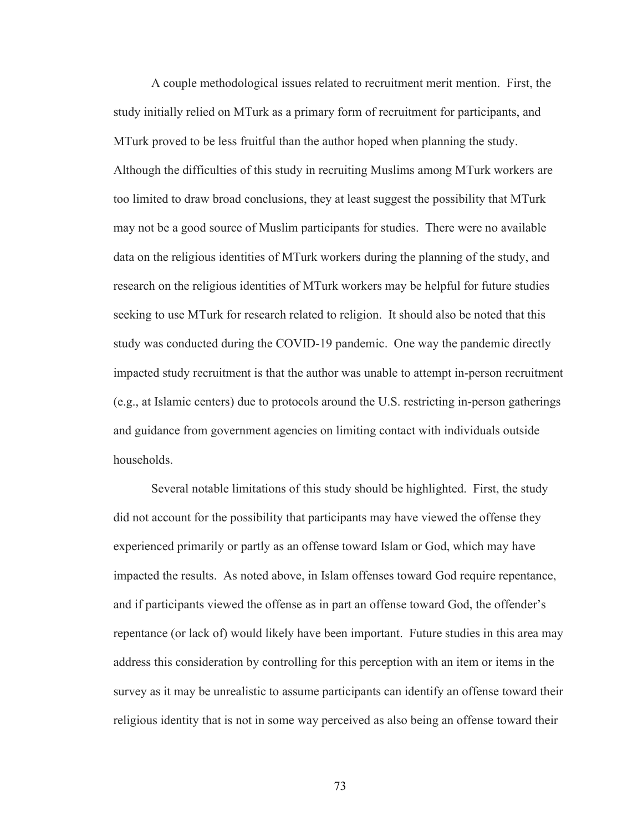A couple methodological issues related to recruitment merit mention. First, the study initially relied on MTurk as a primary form of recruitment for participants, and MTurk proved to be less fruitful than the author hoped when planning the study. Although the difficulties of this study in recruiting Muslims among MTurk workers are too limited to draw broad conclusions, they at least suggest the possibility that MTurk may not be a good source of Muslim participants for studies. There were no available data on the religious identities of MTurk workers during the planning of the study, and research on the religious identities of MTurk workers may be helpful for future studies seeking to use MTurk for research related to religion. It should also be noted that this study was conducted during the COVID-19 pandemic. One way the pandemic directly impacted study recruitment is that the author was unable to attempt in-person recruitment (e.g., at Islamic centers) due to protocols around the U.S. restricting in-person gatherings and guidance from government agencies on limiting contact with individuals outside households.

 Several notable limitations of this study should be highlighted. First, the study did not account for the possibility that participants may have viewed the offense they experienced primarily or partly as an offense toward Islam or God, which may have impacted the results. As noted above, in Islam offenses toward God require repentance, and if participants viewed the offense as in part an offense toward God, the offender's repentance (or lack of) would likely have been important. Future studies in this area may address this consideration by controlling for this perception with an item or items in the survey as it may be unrealistic to assume participants can identify an offense toward their religious identity that is not in some way perceived as also being an offense toward their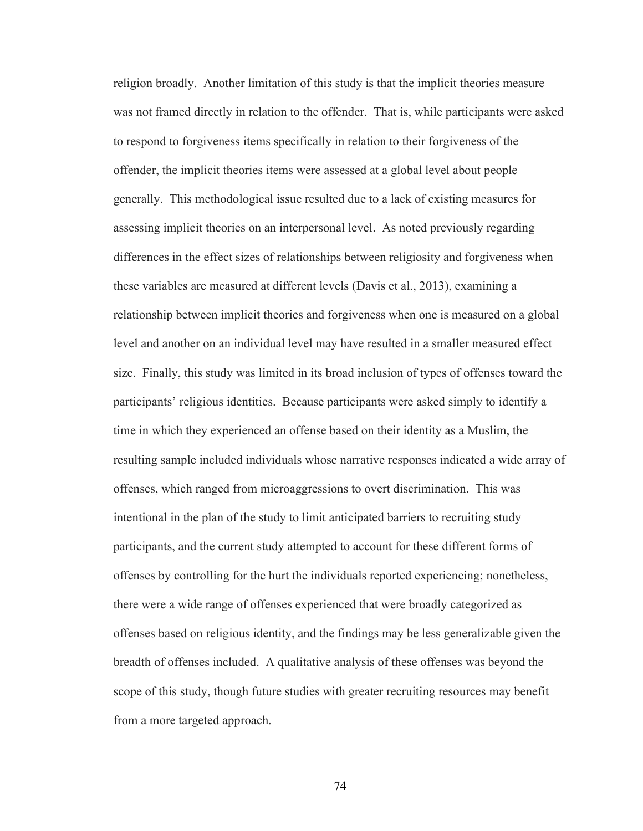religion broadly. Another limitation of this study is that the implicit theories measure was not framed directly in relation to the offender. That is, while participants were asked to respond to forgiveness items specifically in relation to their forgiveness of the offender, the implicit theories items were assessed at a global level about people generally. This methodological issue resulted due to a lack of existing measures for assessing implicit theories on an interpersonal level. As noted previously regarding differences in the effect sizes of relationships between religiosity and forgiveness when these variables are measured at different levels (Davis et al., 2013), examining a relationship between implicit theories and forgiveness when one is measured on a global level and another on an individual level may have resulted in a smaller measured effect size. Finally, this study was limited in its broad inclusion of types of offenses toward the participants' religious identities. Because participants were asked simply to identify a time in which they experienced an offense based on their identity as a Muslim, the resulting sample included individuals whose narrative responses indicated a wide array of offenses, which ranged from microaggressions to overt discrimination. This was intentional in the plan of the study to limit anticipated barriers to recruiting study participants, and the current study attempted to account for these different forms of offenses by controlling for the hurt the individuals reported experiencing; nonetheless, there were a wide range of offenses experienced that were broadly categorized as offenses based on religious identity, and the findings may be less generalizable given the breadth of offenses included. A qualitative analysis of these offenses was beyond the scope of this study, though future studies with greater recruiting resources may benefit from a more targeted approach.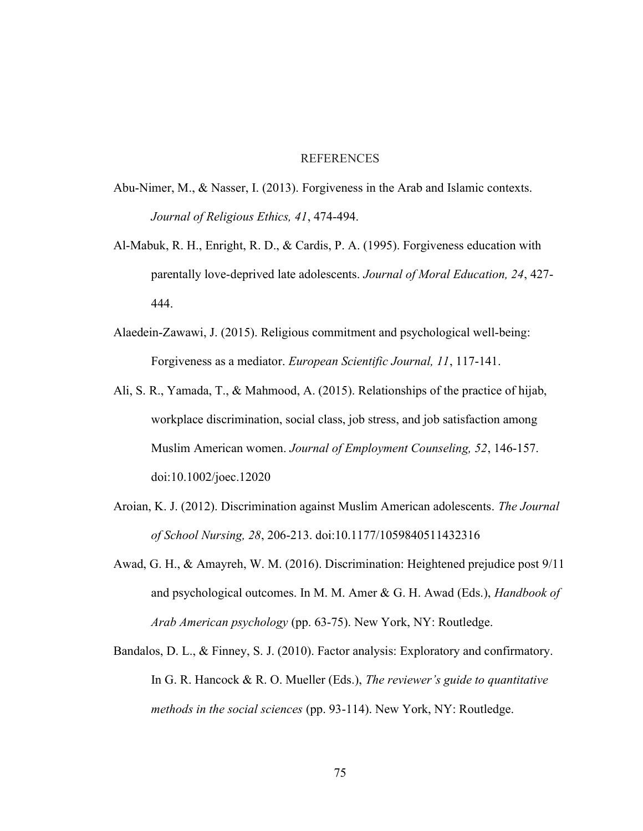#### REFERENCES

- Abu-Nimer, M., & Nasser, I. (2013). Forgiveness in the Arab and Islamic contexts. Journal of Religious Ethics, 41, 474-494.
- Al‐Mabuk, R. H., Enright, R. D., & Cardis, P. A. (1995). Forgiveness education with parentally love-deprived late adolescents. Journal of Moral Education, 24, 427-444.
- Alaedein-Zawawi, J. (2015). Religious commitment and psychological well-being: Forgiveness as a mediator. European Scientific Journal, 11, 117-141.
- Ali, S. R., Yamada, T., & Mahmood, A. (2015). Relationships of the practice of hijab, workplace discrimination, social class, job stress, and job satisfaction among Muslim American women. Journal of Employment Counseling, 52, 146-157. doi:10.1002/joec.12020
- Aroian, K. J. (2012). Discrimination against Muslim American adolescents. The Journal of School Nursing, 28, 206-213. doi:10.1177/1059840511432316
- Awad, G. H., & Amayreh, W. M. (2016). Discrimination: Heightened prejudice post 9/11 and psychological outcomes. In M. M. Amer & G. H. Awad (Eds.), *Handbook of* Arab American psychology (pp. 63-75). New York, NY: Routledge.
- Bandalos, D. L., & Finney, S. J. (2010). Factor analysis: Exploratory and confirmatory. In G. R. Hancock & R. O. Mueller (Eds.), The reviewer's guide to quantitative methods in the social sciences (pp. 93-114). New York, NY: Routledge.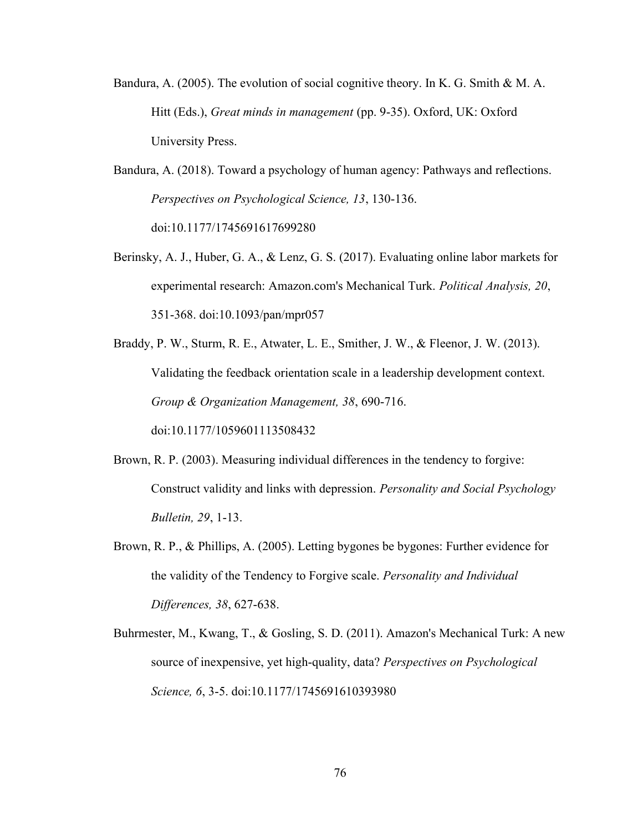- Bandura, A. (2005). The evolution of social cognitive theory. In K. G. Smith & M. A. Hitt (Eds.), Great minds in management (pp. 9-35). Oxford, UK: Oxford University Press.
- Bandura, A. (2018). Toward a psychology of human agency: Pathways and reflections. Perspectives on Psychological Science, 13, 130-136. doi:10.1177/1745691617699280
- Berinsky, A. J., Huber, G. A., & Lenz, G. S. (2017). Evaluating online labor markets for experimental research: Amazon.com's Mechanical Turk. Political Analysis, 20, 351-368. doi:10.1093/pan/mpr057
- Braddy, P. W., Sturm, R. E., Atwater, L. E., Smither, J. W., & Fleenor, J. W. (2013). Validating the feedback orientation scale in a leadership development context. Group & Organization Management, 38, 690-716. doi:10.1177/1059601113508432
- Brown, R. P. (2003). Measuring individual differences in the tendency to forgive: Construct validity and links with depression. Personality and Social Psychology Bulletin, 29, 1-13.
- Brown, R. P., & Phillips, A. (2005). Letting bygones be bygones: Further evidence for the validity of the Tendency to Forgive scale. Personality and Individual Differences, 38, 627-638.
- Buhrmester, M., Kwang, T., & Gosling, S. D. (2011). Amazon's Mechanical Turk: A new source of inexpensive, yet high-quality, data? Perspectives on Psychological Science, 6, 3-5. doi:10.1177/1745691610393980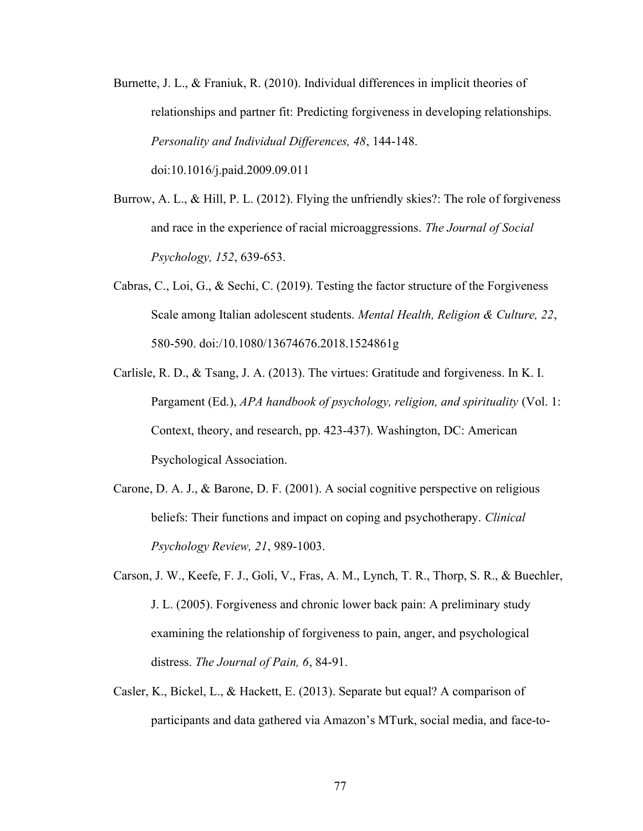- Burnette, J. L., & Franiuk, R. (2010). Individual differences in implicit theories of relationships and partner fit: Predicting forgiveness in developing relationships. Personality and Individual Differences, 48, 144-148.
	- doi:10.1016/j.paid.2009.09.011
- Burrow, A. L., & Hill, P. L. (2012). Flying the unfriendly skies?: The role of forgiveness and race in the experience of racial microaggressions. The Journal of Social Psychology, 152, 639-653.
- Cabras, C., Loi, G., & Sechi, C. (2019). Testing the factor structure of the Forgiveness Scale among Italian adolescent students. Mental Health, Religion & Culture, 22, 580-590. doi:/10.1080/13674676.2018.1524861g
- Carlisle, R. D., & Tsang, J. A. (2013). The virtues: Gratitude and forgiveness. In K. I. Pargament (Ed.), APA handbook of psychology, religion, and spirituality (Vol. 1: Context, theory, and research, pp. 423-437). Washington, DC: American Psychological Association.
- Carone, D. A. J., & Barone, D. F. (2001). A social cognitive perspective on religious beliefs: Their functions and impact on coping and psychotherapy. *Clinical* Psychology Review, 21, 989-1003.
- Carson, J. W., Keefe, F. J., Goli, V., Fras, A. M., Lynch, T. R., Thorp, S. R., & Buechler, J. L. (2005). Forgiveness and chronic lower back pain: A preliminary study examining the relationship of forgiveness to pain, anger, and psychological distress. The Journal of Pain, 6, 84-91.
- Casler, K., Bickel, L., & Hackett, E. (2013). Separate but equal? A comparison of participants and data gathered via Amazon's MTurk, social media, and face-to-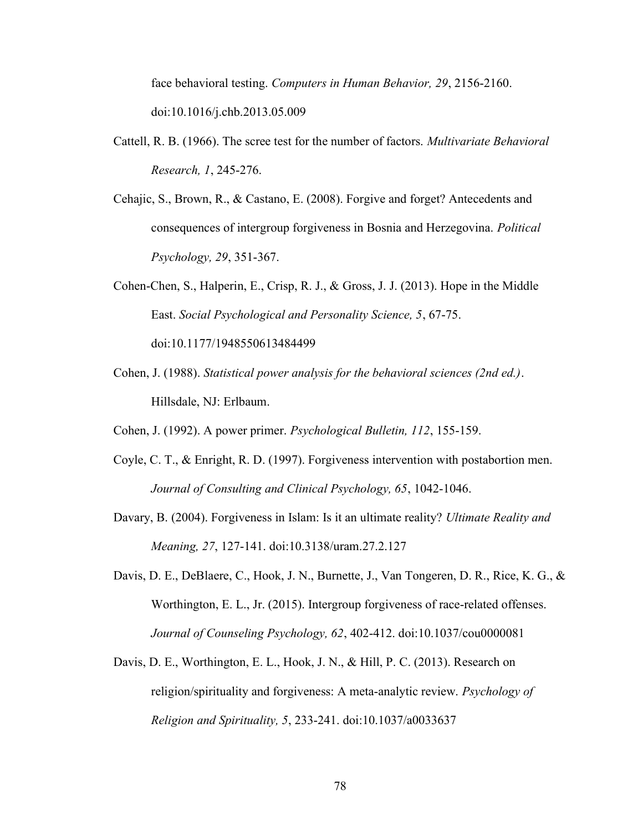face behavioral testing. Computers in Human Behavior, 29, 2156-2160. doi:10.1016/j.chb.2013.05.009

- Cattell, R. B. (1966). The scree test for the number of factors. Multivariate Behavioral Research, 1, 245-276.
- Cehajic, S., Brown, R., & Castano, E. (2008). Forgive and forget? Antecedents and consequences of intergroup forgiveness in Bosnia and Herzegovina. Political Psychology, 29, 351-367.
- Cohen-Chen, S., Halperin, E., Crisp, R. J., & Gross, J. J. (2013). Hope in the Middle East. Social Psychological and Personality Science, 5, 67-75. doi:10.1177/1948550613484499
- Cohen, J. (1988). Statistical power analysis for the behavioral sciences (2nd ed.). Hillsdale, NJ: Erlbaum.
- Cohen, J. (1992). A power primer. Psychological Bulletin, 112, 155-159.
- Coyle, C. T., & Enright, R. D. (1997). Forgiveness intervention with postabortion men. Journal of Consulting and Clinical Psychology, 65, 1042-1046.
- Davary, B. (2004). Forgiveness in Islam: Is it an ultimate reality? Ultimate Reality and Meaning, 27, 127-141. doi:10.3138/uram.27.2.127
- Davis, D. E., DeBlaere, C., Hook, J. N., Burnette, J., Van Tongeren, D. R., Rice, K. G., & Worthington, E. L., Jr. (2015). Intergroup forgiveness of race-related offenses. Journal of Counseling Psychology, 62, 402-412. doi:10.1037/cou0000081
- Davis, D. E., Worthington, E. L., Hook, J. N., & Hill, P. C. (2013). Research on religion/spirituality and forgiveness: A meta-analytic review. Psychology of Religion and Spirituality, 5, 233-241. doi:10.1037/a0033637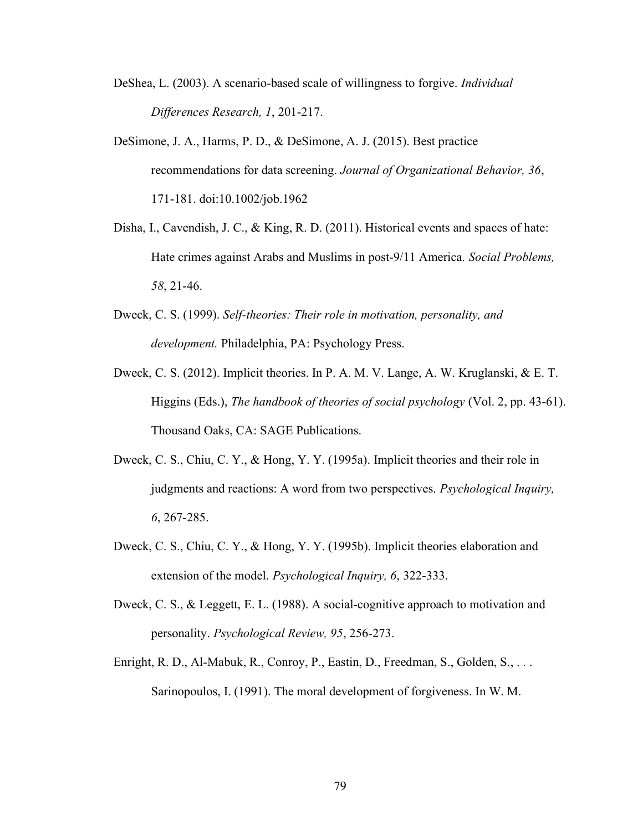- DeShea, L. (2003). A scenario-based scale of willingness to forgive. Individual Differences Research, 1, 201-217.
- DeSimone, J. A., Harms, P. D., & DeSimone, A. J. (2015). Best practice recommendations for data screening. Journal of Organizational Behavior, 36, 171-181. doi:10.1002/job.1962
- Disha, I., Cavendish, J. C., & King, R. D. (2011). Historical events and spaces of hate: Hate crimes against Arabs and Muslims in post-9/11 America. Social Problems, 58, 21-46.
- Dweck, C. S. (1999). Self-theories: Their role in motivation, personality, and development. Philadelphia, PA: Psychology Press.
- Dweck, C. S. (2012). Implicit theories. In P. A. M. V. Lange, A. W. Kruglanski, & E. T. Higgins (Eds.), The handbook of theories of social psychology (Vol. 2, pp. 43-61). Thousand Oaks, CA: SAGE Publications.
- Dweck, C. S., Chiu, C. Y., & Hong, Y. Y. (1995a). Implicit theories and their role in judgments and reactions: A word from two perspectives. Psychological Inquiry, 6, 267-285.
- Dweck, C. S., Chiu, C. Y., & Hong, Y. Y. (1995b). Implicit theories elaboration and extension of the model. *Psychological Inquiry*, 6, 322-333.
- Dweck, C. S., & Leggett, E. L. (1988). A social-cognitive approach to motivation and personality. Psychological Review, 95, 256-273.
- Enright, R. D., Al-Mabuk, R., Conroy, P., Eastin, D., Freedman, S., Golden, S., . . . Sarinopoulos, I. (1991). The moral development of forgiveness. In W. M.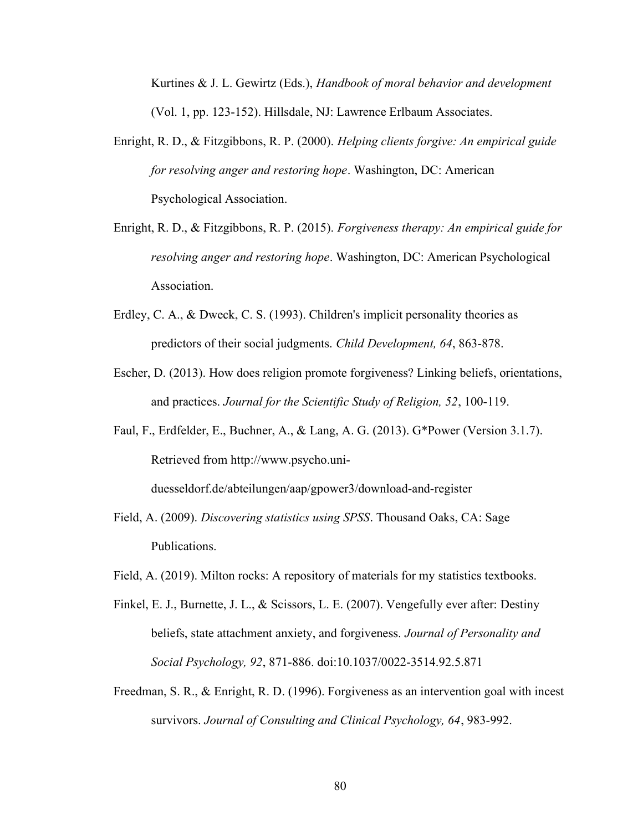Kurtines & J. L. Gewirtz (Eds.), Handbook of moral behavior and development (Vol. 1, pp. 123-152). Hillsdale, NJ: Lawrence Erlbaum Associates.

- Enright, R. D., & Fitzgibbons, R. P. (2000). Helping clients forgive: An empirical guide for resolving anger and restoring hope. Washington, DC: American Psychological Association.
- Enright, R. D., & Fitzgibbons, R. P. (2015). Forgiveness therapy: An empirical guide for resolving anger and restoring hope. Washington, DC: American Psychological Association.
- Erdley, C. A., & Dweck, C. S. (1993). Children's implicit personality theories as predictors of their social judgments. Child Development, 64, 863-878.
- Escher, D. (2013). How does religion promote forgiveness? Linking beliefs, orientations, and practices. Journal for the Scientific Study of Religion, 52, 100-119.
- Faul, F., Erdfelder, E., Buchner, A., & Lang, A. G. (2013). G\*Power (Version 3.1.7). Retrieved from http://www.psycho.uni-

duesseldorf.de/abteilungen/aap/gpower3/download-and-register

- Field, A. (2009). Discovering statistics using SPSS. Thousand Oaks, CA: Sage Publications.
- Field, A. (2019). Milton rocks: A repository of materials for my statistics textbooks.
- Finkel, E. J., Burnette, J. L., & Scissors, L. E. (2007). Vengefully ever after: Destiny beliefs, state attachment anxiety, and forgiveness. Journal of Personality and Social Psychology, 92, 871-886. doi:10.1037/0022-3514.92.5.871
- Freedman, S. R., & Enright, R. D. (1996). Forgiveness as an intervention goal with incest survivors. Journal of Consulting and Clinical Psychology, 64, 983-992.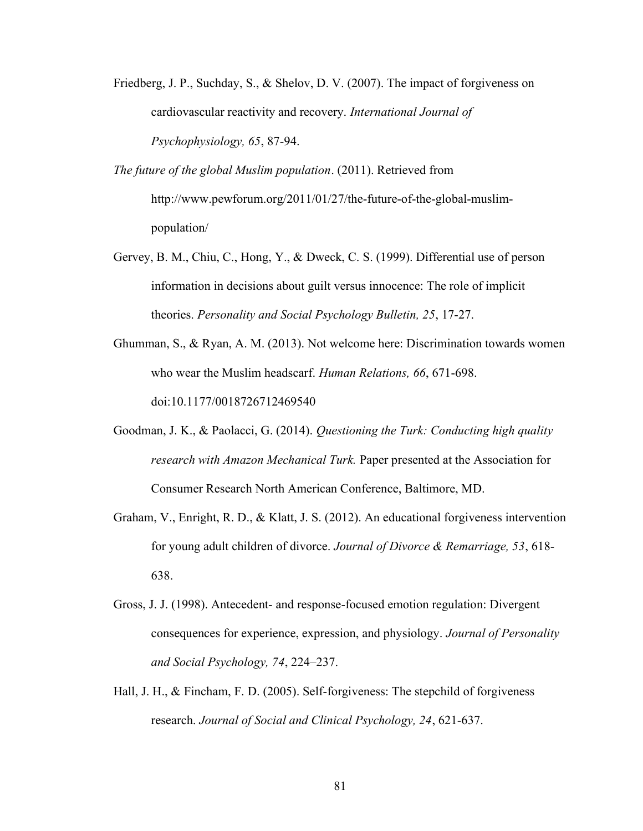- Friedberg, J. P., Suchday, S., & Shelov, D. V. (2007). The impact of forgiveness on cardiovascular reactivity and recovery. International Journal of Psychophysiology, 65, 87-94.
- The future of the global Muslim population. (2011). Retrieved from http://www.pewforum.org/2011/01/27/the-future-of-the-global-muslimpopulation/
- Gervey, B. M., Chiu, C., Hong, Y., & Dweck, C. S. (1999). Differential use of person information in decisions about guilt versus innocence: The role of implicit theories. Personality and Social Psychology Bulletin, 25, 17-27.
- Ghumman, S., & Ryan, A. M. (2013). Not welcome here: Discrimination towards women who wear the Muslim headscarf. Human Relations, 66, 671-698. doi:10.1177/0018726712469540
- Goodman, J. K., & Paolacci, G. (2014). Questioning the Turk: Conducting high quality research with Amazon Mechanical Turk. Paper presented at the Association for Consumer Research North American Conference, Baltimore, MD.
- Graham, V., Enright, R. D., & Klatt, J. S. (2012). An educational forgiveness intervention for young adult children of divorce. Journal of Divorce & Remarriage, 53, 618- 638.
- Gross, J. J. (1998). Antecedent- and response-focused emotion regulation: Divergent consequences for experience, expression, and physiology. Journal of Personality and Social Psychology, 74, 224–237.
- Hall, J. H., & Fincham, F. D. (2005). Self-forgiveness: The stepchild of forgiveness research. Journal of Social and Clinical Psychology, 24, 621-637.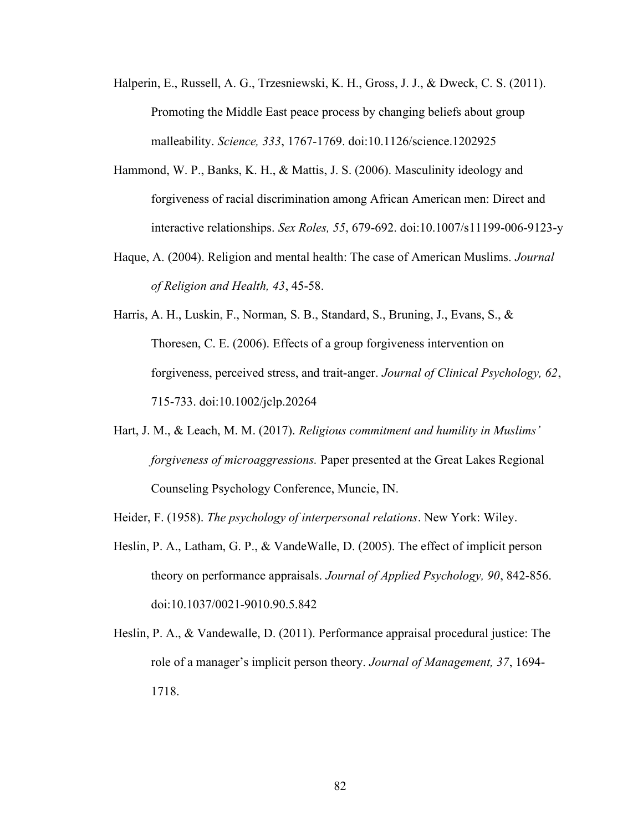- Halperin, E., Russell, A. G., Trzesniewski, K. H., Gross, J. J., & Dweck, C. S. (2011). Promoting the Middle East peace process by changing beliefs about group malleability. Science, 333, 1767-1769. doi:10.1126/science.1202925
- Hammond, W. P., Banks, K. H., & Mattis, J. S. (2006). Masculinity ideology and forgiveness of racial discrimination among African American men: Direct and interactive relationships. Sex Roles, 55, 679-692. doi:10.1007/s11199-006-9123-y
- Haque, A. (2004). Religion and mental health: The case of American Muslims. Journal of Religion and Health, 43, 45-58.
- Harris, A. H., Luskin, F., Norman, S. B., Standard, S., Bruning, J., Evans, S., & Thoresen, C. E. (2006). Effects of a group forgiveness intervention on forgiveness, perceived stress, and trait-anger. Journal of Clinical Psychology, 62, 715-733. doi:10.1002/jclp.20264
- Hart, J. M., & Leach, M. M. (2017). Religious commitment and humility in Muslims' forgiveness of microaggressions. Paper presented at the Great Lakes Regional Counseling Psychology Conference, Muncie, IN.
- Heider, F. (1958). The psychology of interpersonal relations. New York: Wiley.
- Heslin, P. A., Latham, G. P., & VandeWalle, D. (2005). The effect of implicit person theory on performance appraisals. Journal of Applied Psychology, 90, 842-856. doi:10.1037/0021-9010.90.5.842
- Heslin, P. A., & Vandewalle, D. (2011). Performance appraisal procedural justice: The role of a manager's implicit person theory. Journal of Management, 37, 1694-1718.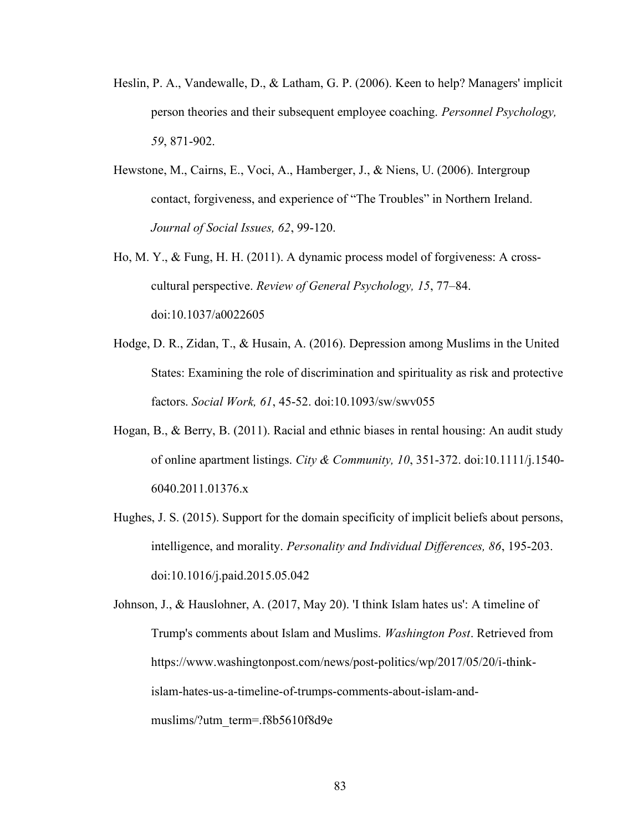- Heslin, P. A., Vandewalle, D., & Latham, G. P. (2006). Keen to help? Managers' implicit person theories and their subsequent employee coaching. Personnel Psychology, 59, 871-902.
- Hewstone, M., Cairns, E., Voci, A., Hamberger, J., & Niens, U. (2006). Intergroup contact, forgiveness, and experience of "The Troubles" in Northern Ireland. Journal of Social Issues, 62, 99-120.
- Ho, M. Y., & Fung, H. H. (2011). A dynamic process model of forgiveness: A crosscultural perspective. Review of General Psychology, 15, 77–84. doi:10.1037/a0022605
- Hodge, D. R., Zidan, T., & Husain, A. (2016). Depression among Muslims in the United States: Examining the role of discrimination and spirituality as risk and protective factors. Social Work, 61, 45-52. doi:10.1093/sw/swv055
- Hogan, B., & Berry, B. (2011). Racial and ethnic biases in rental housing: An audit study of online apartment listings. City & Community, 10, 351-372. doi:10.1111/j.1540-6040.2011.01376.x
- Hughes, J. S. (2015). Support for the domain specificity of implicit beliefs about persons, intelligence, and morality. Personality and Individual Differences, 86, 195-203. doi:10.1016/j.paid.2015.05.042

Johnson, J., & Hauslohner, A. (2017, May 20). 'I think Islam hates us': A timeline of Trump's comments about Islam and Muslims. Washington Post. Retrieved from https://www.washingtonpost.com/news/post-politics/wp/2017/05/20/i-thinkislam-hates-us-a-timeline-of-trumps-comments-about-islam-andmuslims/?utm\_term=.f8b5610f8d9e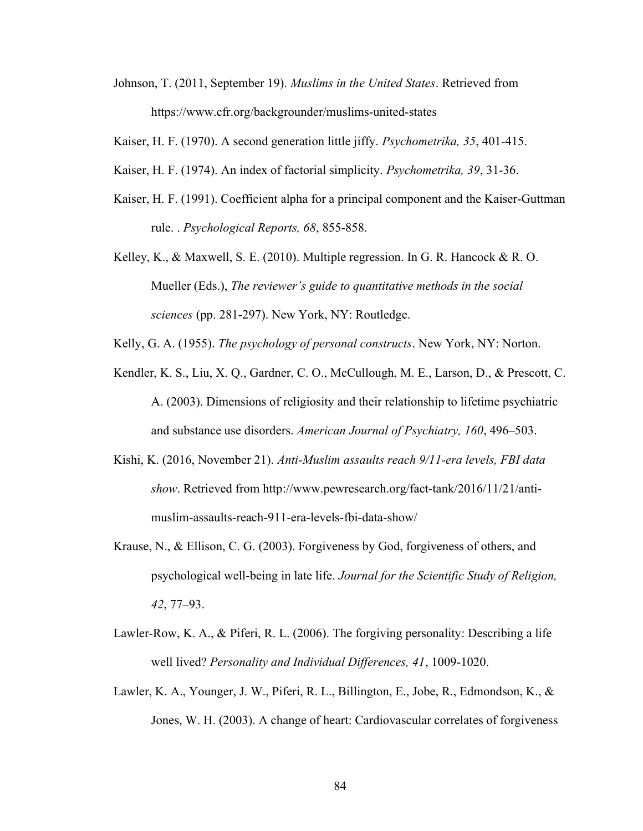Johnson, T. (2011, September 19). Muslims in the United States. Retrieved from https://www.cfr.org/backgrounder/muslims-united-states

Kaiser, H. F. (1970). A second generation little jiffy. Psychometrika, 35, 401-415.

- Kaiser, H. F. (1974). An index of factorial simplicity. Psychometrika, 39, 31-36.
- Kaiser, H. F. (1991). Coefficient alpha for a principal component and the Kaiser-Guttman rule. . Psychological Reports, 68, 855-858.
- Kelley, K., & Maxwell, S. E. (2010). Multiple regression. In G. R. Hancock & R. O. Mueller (Eds.), The reviewer's guide to quantitative methods in the social sciences (pp. 281-297). New York, NY: Routledge.
- Kelly, G. A. (1955). The psychology of personal constructs. New York, NY: Norton.
- Kendler, K. S., Liu, X. Q., Gardner, C. O., McCullough, M. E., Larson, D., & Prescott, C. A. (2003). Dimensions of religiosity and their relationship to lifetime psychiatric and substance use disorders. American Journal of Psychiatry, 160, 496–503.
- Kishi, K. (2016, November 21). Anti-Muslim assaults reach 9/11-era levels, FBI data show. Retrieved from http://www.pewresearch.org/fact-tank/2016/11/21/antimuslim-assaults-reach-911-era-levels-fbi-data-show/
- Krause, N., & Ellison, C. G. (2003). Forgiveness by God, forgiveness of others, and psychological well-being in late life. Journal for the Scientific Study of Religion, 42, 77–93.
- Lawler-Row, K. A., & Piferi, R. L. (2006). The forgiving personality: Describing a life well lived? Personality and Individual Differences, 41, 1009-1020.
- Lawler, K. A., Younger, J. W., Piferi, R. L., Billington, E., Jobe, R., Edmondson, K., & Jones, W. H. (2003). A change of heart: Cardiovascular correlates of forgiveness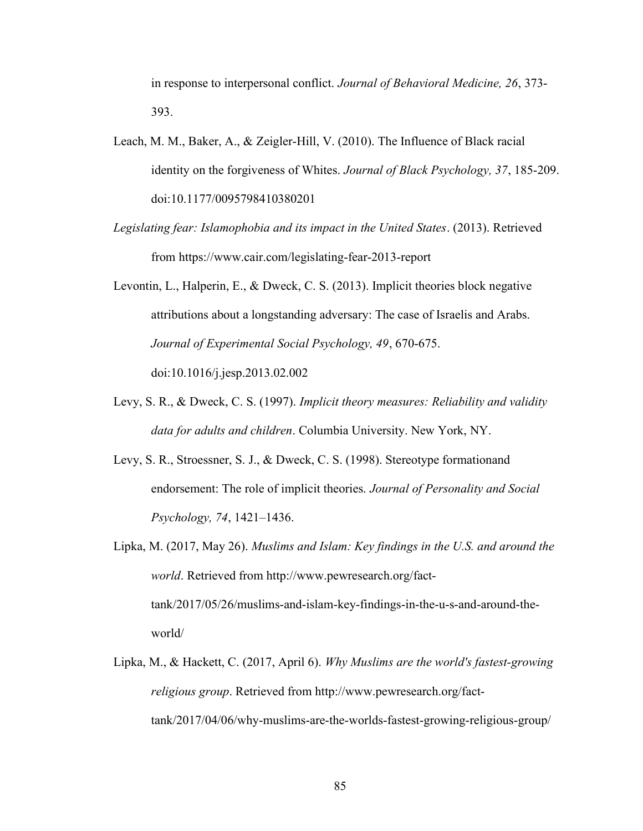in response to interpersonal conflict. Journal of Behavioral Medicine, 26, 373- 393.

- Leach, M. M., Baker, A., & Zeigler-Hill, V. (2010). The Influence of Black racial identity on the forgiveness of Whites. Journal of Black Psychology, 37, 185-209. doi:10.1177/0095798410380201
- Legislating fear: Islamophobia and its impact in the United States. (2013). Retrieved from https://www.cair.com/legislating-fear-2013-report
- Levontin, L., Halperin, E., & Dweck, C. S. (2013). Implicit theories block negative attributions about a longstanding adversary: The case of Israelis and Arabs. Journal of Experimental Social Psychology, 49, 670-675. doi:10.1016/j.jesp.2013.02.002
- Levy, S. R., & Dweck, C. S. (1997). Implicit theory measures: Reliability and validity data for adults and children. Columbia University. New York, NY.
- Levy, S. R., Stroessner, S. J., & Dweck, C. S. (1998). Stereotype formationand endorsement: The role of implicit theories. Journal of Personality and Social Psychology, 74, 1421–1436.
- Lipka, M. (2017, May 26). Muslims and Islam: Key findings in the U.S. and around the world. Retrieved from http://www.pewresearch.org/facttank/2017/05/26/muslims-and-islam-key-findings-in-the-u-s-and-around-theworld/
- Lipka, M., & Hackett, C. (2017, April 6). Why Muslims are the world's fastest-growing religious group. Retrieved from http://www.pewresearch.org/facttank/2017/04/06/why-muslims-are-the-worlds-fastest-growing-religious-group/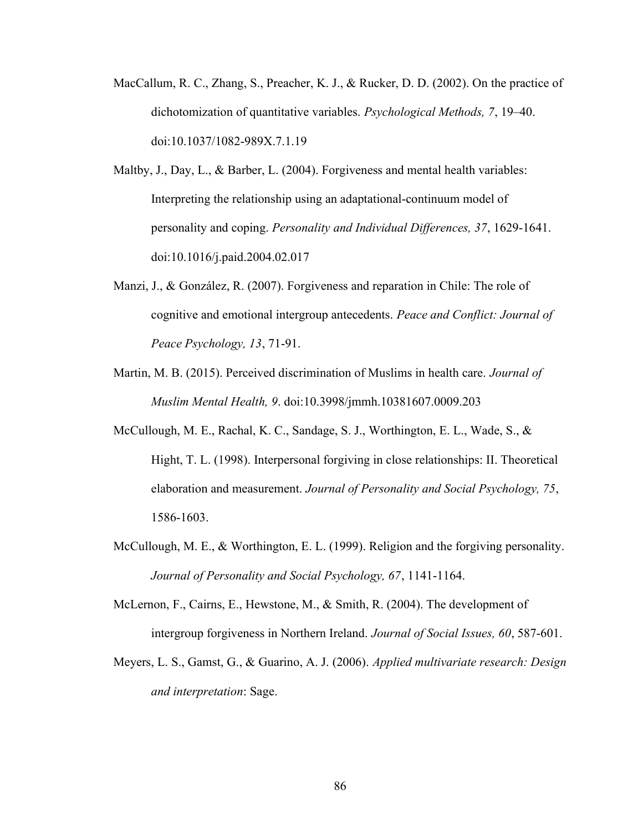- MacCallum, R. C., Zhang, S., Preacher, K. J., & Rucker, D. D. (2002). On the practice of dichotomization of quantitative variables. Psychological Methods, 7, 19–40. doi:10.1037/1082-989X.7.1.19
- Maltby, J., Day, L., & Barber, L. (2004). Forgiveness and mental health variables: Interpreting the relationship using an adaptational-continuum model of personality and coping. Personality and Individual Differences, 37, 1629-1641. doi:10.1016/j.paid.2004.02.017
- Manzi, J., & González, R. (2007). Forgiveness and reparation in Chile: The role of cognitive and emotional intergroup antecedents. Peace and Conflict: Journal of Peace Psychology, 13, 71-91.
- Martin, M. B. (2015). Perceived discrimination of Muslims in health care. *Journal of* Muslim Mental Health, 9. doi:10.3998/jmmh.10381607.0009.203
- McCullough, M. E., Rachal, K. C., Sandage, S. J., Worthington, E. L., Wade, S., & Hight, T. L. (1998). Interpersonal forgiving in close relationships: II. Theoretical elaboration and measurement. Journal of Personality and Social Psychology, 75, 1586-1603.
- McCullough, M. E., & Worthington, E. L. (1999). Religion and the forgiving personality. Journal of Personality and Social Psychology, 67, 1141-1164.
- McLernon, F., Cairns, E., Hewstone, M., & Smith, R. (2004). The development of intergroup forgiveness in Northern Ireland. Journal of Social Issues, 60, 587-601.
- Meyers, L. S., Gamst, G., & Guarino, A. J. (2006). Applied multivariate research: Design and interpretation: Sage.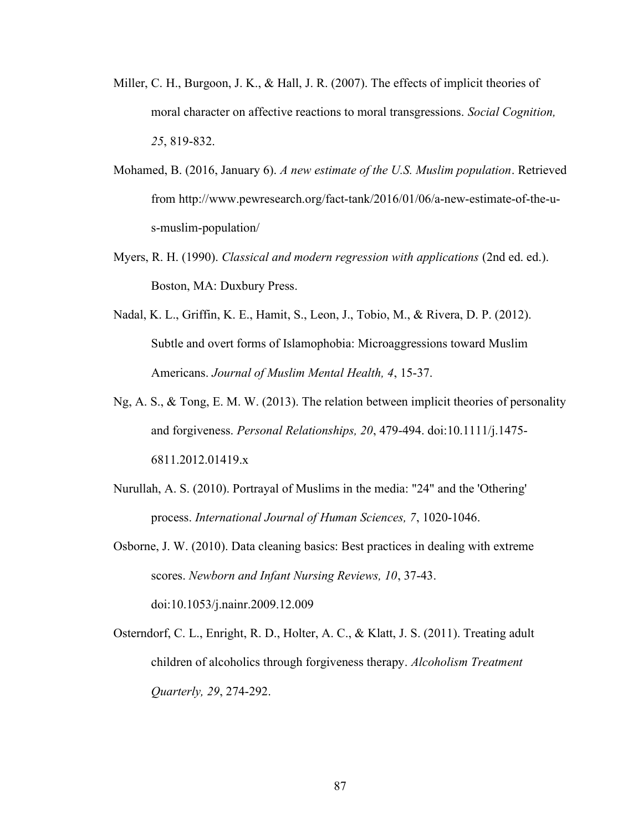- Miller, C. H., Burgoon, J. K., & Hall, J. R. (2007). The effects of implicit theories of moral character on affective reactions to moral transgressions. Social Cognition, 25, 819-832.
- Mohamed, B. (2016, January 6). A new estimate of the U.S. Muslim population. Retrieved from http://www.pewresearch.org/fact-tank/2016/01/06/a-new-estimate-of-the-us-muslim-population/
- Myers, R. H. (1990). *Classical and modern regression with applications* (2nd ed. ed.). Boston, MA: Duxbury Press.
- Nadal, K. L., Griffin, K. E., Hamit, S., Leon, J., Tobio, M., & Rivera, D. P. (2012). Subtle and overt forms of Islamophobia: Microaggressions toward Muslim Americans. Journal of Muslim Mental Health, 4, 15-37.
- Ng, A. S., & Tong, E. M. W. (2013). The relation between implicit theories of personality and forgiveness. Personal Relationships, 20, 479-494. doi:10.1111/j.1475- 6811.2012.01419.x
- Nurullah, A. S. (2010). Portrayal of Muslims in the media: "24" and the 'Othering' process. International Journal of Human Sciences, 7, 1020-1046.
- Osborne, J. W. (2010). Data cleaning basics: Best practices in dealing with extreme scores. Newborn and Infant Nursing Reviews, 10, 37-43. doi:10.1053/j.nainr.2009.12.009
- Osterndorf, C. L., Enright, R. D., Holter, A. C., & Klatt, J. S. (2011). Treating adult children of alcoholics through forgiveness therapy. Alcoholism Treatment Quarterly, 29, 274-292.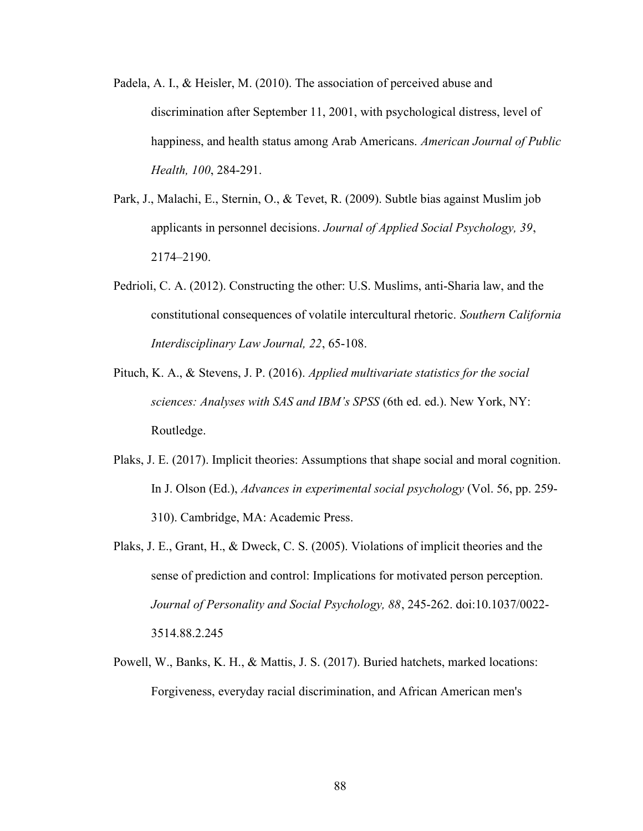- Padela, A. I., & Heisler, M. (2010). The association of perceived abuse and discrimination after September 11, 2001, with psychological distress, level of happiness, and health status among Arab Americans. American Journal of Public Health, 100, 284-291.
- Park, J., Malachi, E., Sternin, O., & Tevet, R. (2009). Subtle bias against Muslim job applicants in personnel decisions. Journal of Applied Social Psychology, 39, 2174–2190.
- Pedrioli, C. A. (2012). Constructing the other: U.S. Muslims, anti-Sharia law, and the constitutional consequences of volatile intercultural rhetoric. Southern California Interdisciplinary Law Journal, 22, 65-108.
- Pituch, K. A., & Stevens, J. P. (2016). Applied multivariate statistics for the social sciences: Analyses with SAS and IBM's SPSS (6th ed. ed.). New York, NY: Routledge.
- Plaks, J. E. (2017). Implicit theories: Assumptions that shape social and moral cognition. In J. Olson (Ed.), Advances in experimental social psychology (Vol. 56, pp. 259- 310). Cambridge, MA: Academic Press.
- Plaks, J. E., Grant, H., & Dweck, C. S. (2005). Violations of implicit theories and the sense of prediction and control: Implications for motivated person perception. Journal of Personality and Social Psychology, 88, 245-262. doi:10.1037/0022- 3514.88.2.245
- Powell, W., Banks, K. H., & Mattis, J. S. (2017). Buried hatchets, marked locations: Forgiveness, everyday racial discrimination, and African American men's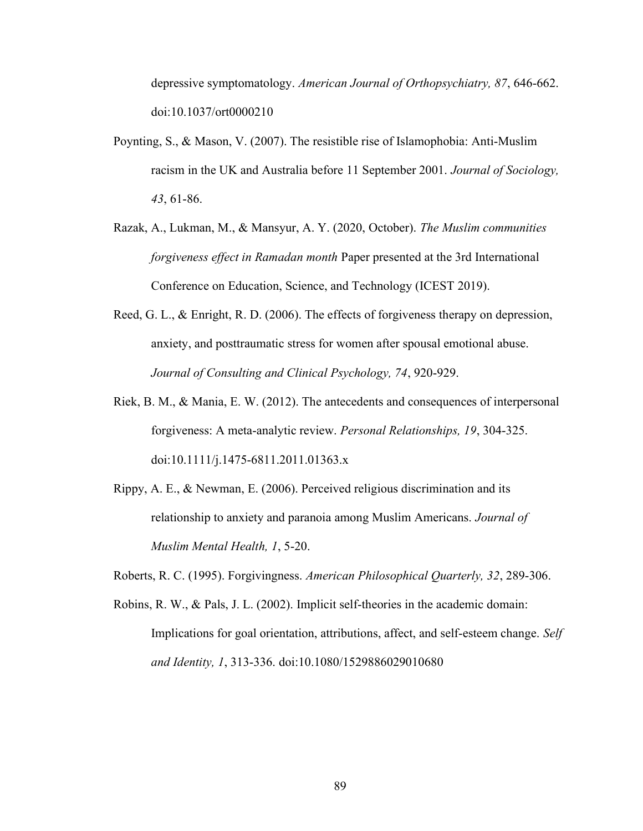depressive symptomatology. American Journal of Orthopsychiatry, 87, 646-662. doi:10.1037/ort0000210

- Poynting, S., & Mason, V. (2007). The resistible rise of Islamophobia: Anti-Muslim racism in the UK and Australia before 11 September 2001. Journal of Sociology, 43, 61-86.
- Razak, A., Lukman, M., & Mansyur, A. Y. (2020, October). The Muslim communities forgiveness effect in Ramadan month Paper presented at the 3rd International Conference on Education, Science, and Technology (ICEST 2019).
- Reed, G. L., & Enright, R. D. (2006). The effects of forgiveness therapy on depression, anxiety, and posttraumatic stress for women after spousal emotional abuse. Journal of Consulting and Clinical Psychology, 74, 920-929.
- Riek, B. M., & Mania, E. W. (2012). The antecedents and consequences of interpersonal forgiveness: A meta-analytic review. Personal Relationships, 19, 304-325. doi:10.1111/j.1475-6811.2011.01363.x
- Rippy, A. E., & Newman, E. (2006). Perceived religious discrimination and its relationship to anxiety and paranoia among Muslim Americans. Journal of Muslim Mental Health, 1, 5-20.
- Roberts, R. C. (1995). Forgivingness. American Philosophical Quarterly, 32, 289-306.
- Robins, R. W., & Pals, J. L. (2002). Implicit self-theories in the academic domain: Implications for goal orientation, attributions, affect, and self-esteem change. Self and Identity, 1, 313-336. doi:10.1080/1529886029010680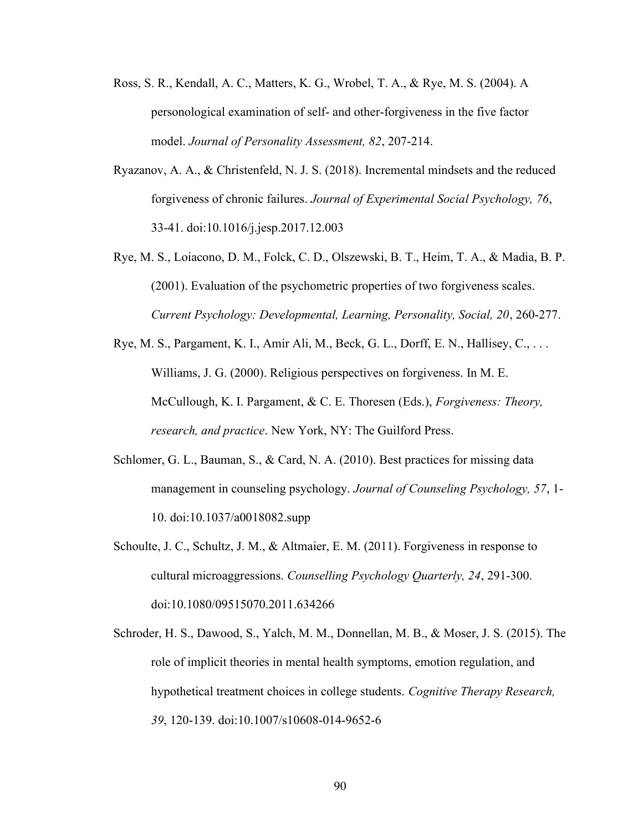- Ross, S. R., Kendall, A. C., Matters, K. G., Wrobel, T. A., & Rye, M. S. (2004). A personological examination of self- and other-forgiveness in the five factor model. Journal of Personality Assessment, 82, 207-214.
- Ryazanov, A. A., & Christenfeld, N. J. S. (2018). Incremental mindsets and the reduced forgiveness of chronic failures. Journal of Experimental Social Psychology, 76, 33-41. doi:10.1016/j.jesp.2017.12.003
- Rye, M. S., Loiacono, D. M., Folck, C. D., Olszewski, B. T., Heim, T. A., & Madia, B. P. (2001). Evaluation of the psychometric properties of two forgiveness scales. Current Psychology: Developmental, Learning, Personality, Social, 20, 260-277.
- Rye, M. S., Pargament, K. I., Amir Ali, M., Beck, G. L., Dorff, E. N., Hallisey, C., . . . Williams, J. G. (2000). Religious perspectives on forgiveness. In M. E. McCullough, K. I. Pargament, & C. E. Thoresen (Eds.), Forgiveness: Theory, research, and practice. New York, NY: The Guilford Press.
- Schlomer, G. L., Bauman, S., & Card, N. A. (2010). Best practices for missing data management in counseling psychology. Journal of Counseling Psychology, 57, 1- 10. doi:10.1037/a0018082.supp
- Schoulte, J. C., Schultz, J. M., & Altmaier, E. M. (2011). Forgiveness in response to cultural microaggressions. Counselling Psychology Quarterly, 24, 291-300. doi:10.1080/09515070.2011.634266
- Schroder, H. S., Dawood, S., Yalch, M. M., Donnellan, M. B., & Moser, J. S. (2015). The role of implicit theories in mental health symptoms, emotion regulation, and hypothetical treatment choices in college students. Cognitive Therapy Research, 39, 120-139. doi:10.1007/s10608-014-9652-6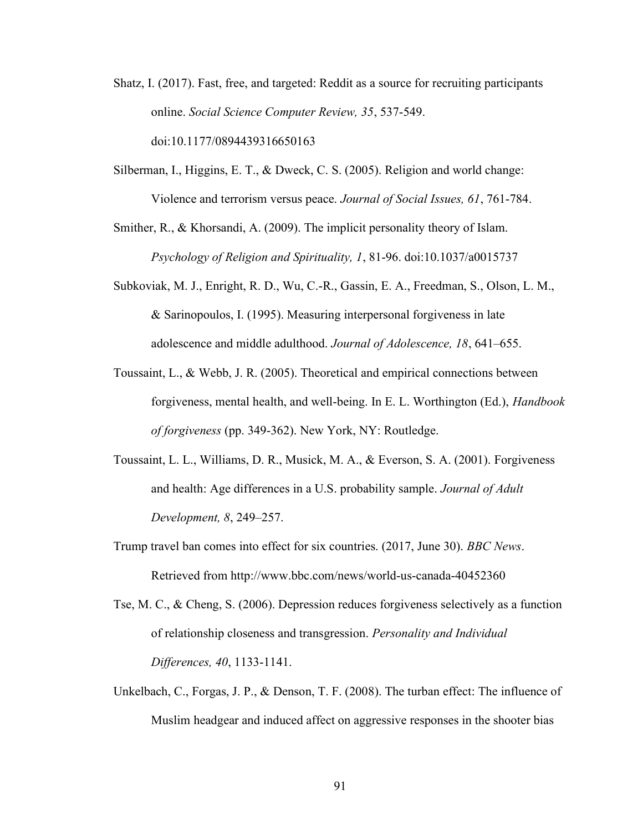- Shatz, I. (2017). Fast, free, and targeted: Reddit as a source for recruiting participants online. Social Science Computer Review, 35, 537-549. doi:10.1177/0894439316650163
- Silberman, I., Higgins, E. T., & Dweck, C. S. (2005). Religion and world change: Violence and terrorism versus peace. Journal of Social Issues, 61, 761-784.

Smither, R., & Khorsandi, A. (2009). The implicit personality theory of Islam. Psychology of Religion and Spirituality, 1, 81-96. doi:10.1037/a0015737

- Subkoviak, M. J., Enright, R. D., Wu, C.-R., Gassin, E. A., Freedman, S., Olson, L. M., & Sarinopoulos, I. (1995). Measuring interpersonal forgiveness in late adolescence and middle adulthood. Journal of Adolescence, 18, 641–655.
- Toussaint, L., & Webb, J. R. (2005). Theoretical and empirical connections between forgiveness, mental health, and well-being. In E. L. Worthington (Ed.), Handbook of forgiveness (pp. 349-362). New York, NY: Routledge.
- Toussaint, L. L., Williams, D. R., Musick, M. A., & Everson, S. A. (2001). Forgiveness and health: Age differences in a U.S. probability sample. Journal of Adult Development, 8, 249–257.
- Trump travel ban comes into effect for six countries. (2017, June 30). BBC News. Retrieved from http://www.bbc.com/news/world-us-canada-40452360
- Tse, M. C., & Cheng, S. (2006). Depression reduces forgiveness selectively as a function of relationship closeness and transgression. Personality and Individual Differences, 40, 1133-1141.
- Unkelbach, C., Forgas, J. P., & Denson, T. F. (2008). The turban effect: The influence of Muslim headgear and induced affect on aggressive responses in the shooter bias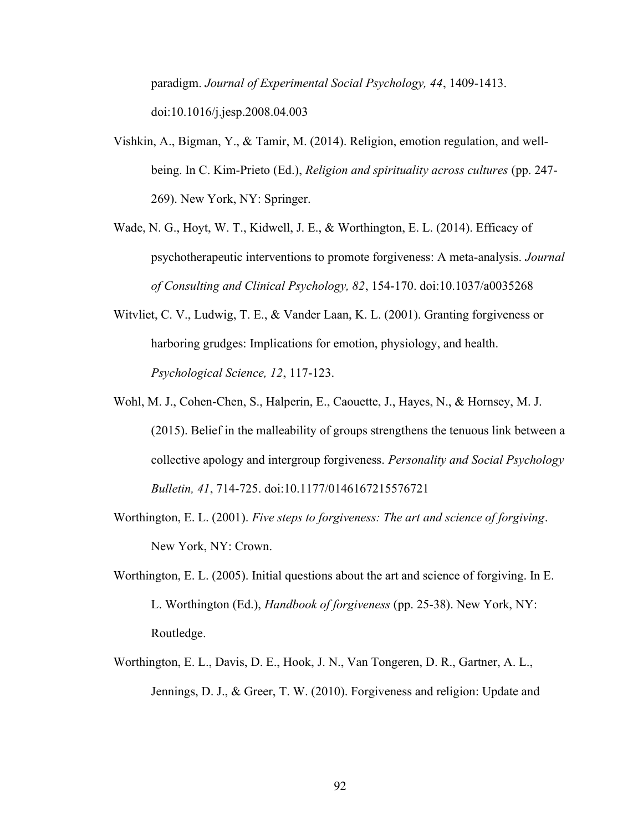paradigm. Journal of Experimental Social Psychology, 44, 1409-1413. doi:10.1016/j.jesp.2008.04.003

- Vishkin, A., Bigman, Y., & Tamir, M. (2014). Religion, emotion regulation, and wellbeing. In C. Kim-Prieto (Ed.), Religion and spirituality across cultures (pp. 247- 269). New York, NY: Springer.
- Wade, N. G., Hoyt, W. T., Kidwell, J. E., & Worthington, E. L. (2014). Efficacy of psychotherapeutic interventions to promote forgiveness: A meta-analysis. Journal of Consulting and Clinical Psychology, 82, 154-170. doi:10.1037/a0035268
- Witvliet, C. V., Ludwig, T. E., & Vander Laan, K. L. (2001). Granting forgiveness or harboring grudges: Implications for emotion, physiology, and health. Psychological Science, 12, 117-123.
- Wohl, M. J., Cohen-Chen, S., Halperin, E., Caouette, J., Hayes, N., & Hornsey, M. J. (2015). Belief in the malleability of groups strengthens the tenuous link between a collective apology and intergroup forgiveness. Personality and Social Psychology Bulletin, 41, 714-725. doi:10.1177/0146167215576721
- Worthington, E. L. (2001). Five steps to forgiveness: The art and science of forgiving. New York, NY: Crown.
- Worthington, E. L. (2005). Initial questions about the art and science of forgiving. In E. L. Worthington (Ed.), Handbook of forgiveness (pp. 25-38). New York, NY: Routledge.
- Worthington, E. L., Davis, D. E., Hook, J. N., Van Tongeren, D. R., Gartner, A. L., Jennings, D. J., & Greer, T. W. (2010). Forgiveness and religion: Update and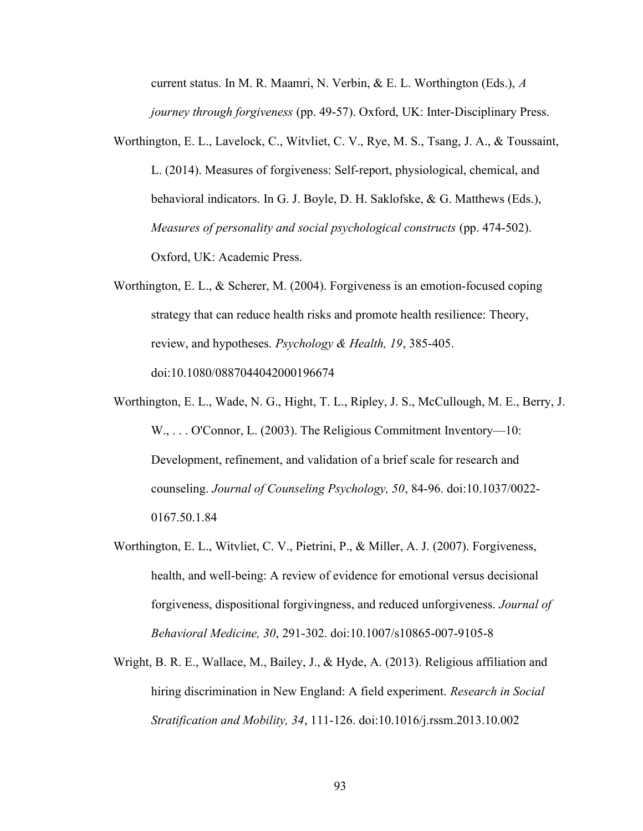current status. In M. R. Maamri, N. Verbin, & E. L. Worthington (Eds.), A journey through forgiveness (pp. 49-57). Oxford, UK: Inter-Disciplinary Press.

- Worthington, E. L., Lavelock, C., Witvliet, C. V., Rye, M. S., Tsang, J. A., & Toussaint, L. (2014). Measures of forgiveness: Self-report, physiological, chemical, and behavioral indicators. In G. J. Boyle, D. H. Saklofske, & G. Matthews (Eds.), Measures of personality and social psychological constructs (pp. 474-502). Oxford, UK: Academic Press.
- Worthington, E. L., & Scherer, M. (2004). Forgiveness is an emotion-focused coping strategy that can reduce health risks and promote health resilience: Theory, review, and hypotheses. Psychology & Health, 19, 385-405. doi:10.1080/0887044042000196674
- Worthington, E. L., Wade, N. G., Hight, T. L., Ripley, J. S., McCullough, M. E., Berry, J. W., ... O'Connor, L. (2003). The Religious Commitment Inventory—10: Development, refinement, and validation of a brief scale for research and counseling. Journal of Counseling Psychology, 50, 84-96. doi:10.1037/0022- 0167.50.1.84
- Worthington, E. L., Witvliet, C. V., Pietrini, P., & Miller, A. J. (2007). Forgiveness, health, and well-being: A review of evidence for emotional versus decisional forgiveness, dispositional forgivingness, and reduced unforgiveness. Journal of Behavioral Medicine, 30, 291-302. doi:10.1007/s10865-007-9105-8
- Wright, B. R. E., Wallace, M., Bailey, J., & Hyde, A. (2013). Religious affiliation and hiring discrimination in New England: A field experiment. Research in Social Stratification and Mobility, 34, 111-126. doi:10.1016/j.rssm.2013.10.002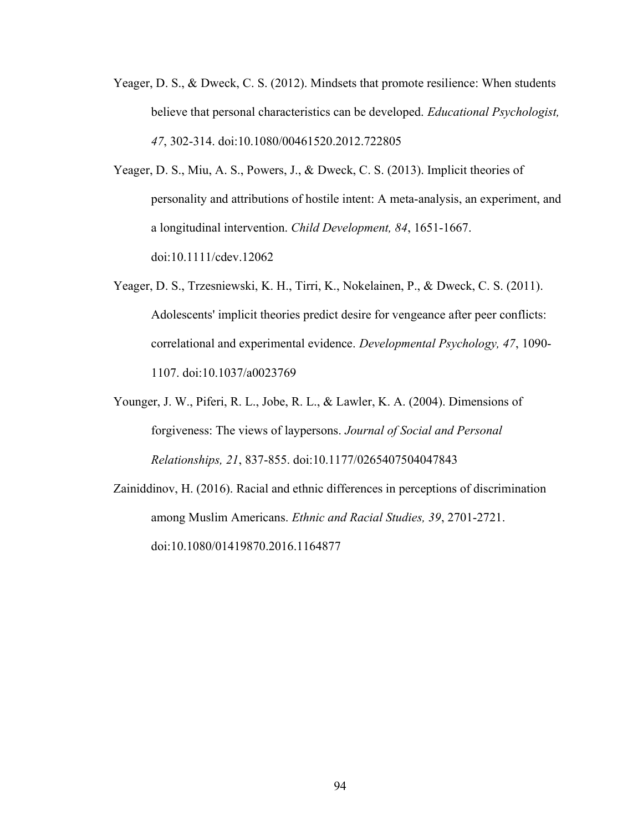- Yeager, D. S., & Dweck, C. S. (2012). Mindsets that promote resilience: When students believe that personal characteristics can be developed. *Educational Psychologist*, 47, 302-314. doi:10.1080/00461520.2012.722805
- Yeager, D. S., Miu, A. S., Powers, J., & Dweck, C. S. (2013). Implicit theories of personality and attributions of hostile intent: A meta-analysis, an experiment, and a longitudinal intervention. Child Development, 84, 1651-1667. doi:10.1111/cdev.12062
- Yeager, D. S., Trzesniewski, K. H., Tirri, K., Nokelainen, P., & Dweck, C. S. (2011). Adolescents' implicit theories predict desire for vengeance after peer conflicts: correlational and experimental evidence. Developmental Psychology, 47, 1090- 1107. doi:10.1037/a0023769
- Younger, J. W., Piferi, R. L., Jobe, R. L., & Lawler, K. A. (2004). Dimensions of forgiveness: The views of laypersons. Journal of Social and Personal Relationships, 21, 837-855. doi:10.1177/0265407504047843
- Zainiddinov, H. (2016). Racial and ethnic differences in perceptions of discrimination among Muslim Americans. Ethnic and Racial Studies, 39, 2701-2721. doi:10.1080/01419870.2016.1164877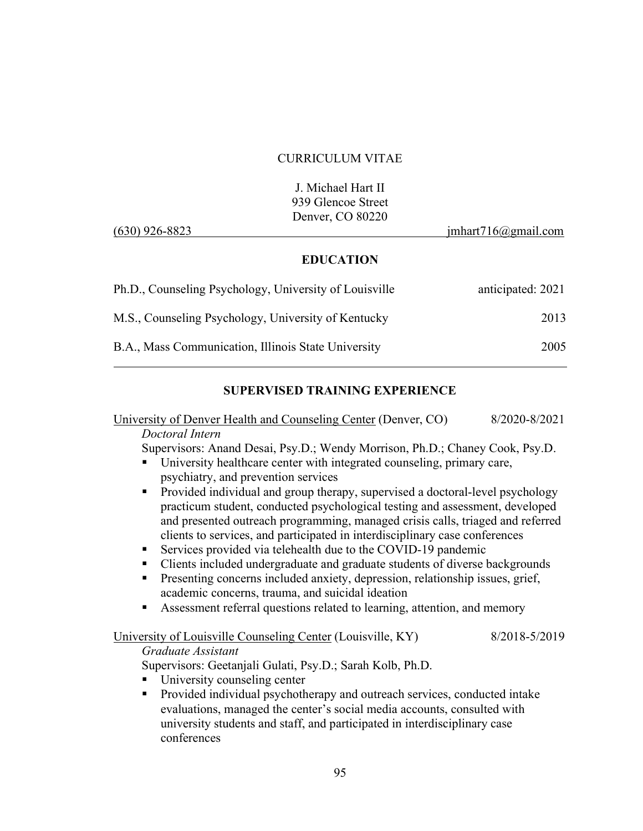#### CURRICULUM VITAE

|                  | J. Michael Hart II |                     |
|------------------|--------------------|---------------------|
|                  | 939 Glencoe Street |                     |
|                  | Denver, CO 80220   |                     |
| $(630)$ 926-8823 |                    | imhart716@gmail.com |

## EDUCATION

| Ph.D., Counseling Psychology, University of Louisville | anticipated: 2021 |
|--------------------------------------------------------|-------------------|
| M.S., Counseling Psychology, University of Kentucky    | 2013              |
| B.A., Mass Communication, Illinois State University    | 2005              |

## SUPERVISED TRAINING EXPERIENCE

University of Denver Health and Counseling Center (Denver, CO) 8/2020-8/2021 Doctoral Intern

Supervisors: Anand Desai, Psy.D.; Wendy Morrison, Ph.D.; Chaney Cook, Psy.D.

- University healthcare center with integrated counseling, primary care, psychiatry, and prevention services
- **Provided individual and group therapy, supervised a doctoral-level psychology** practicum student, conducted psychological testing and assessment, developed and presented outreach programming, managed crisis calls, triaged and referred clients to services, and participated in interdisciplinary case conferences
- Services provided via telehealth due to the COVID-19 pandemic
- Clients included undergraduate and graduate students of diverse backgrounds
- **Presenting concerns included anxiety, depression, relationship issues, grief,** academic concerns, trauma, and suicidal ideation
- Assessment referral questions related to learning, attention, and memory

#### University of Louisville Counseling Center (Louisville, KY) 8/2018-5/2019 Graduate Assistant

Supervisors: Geetanjali Gulati, Psy.D.; Sarah Kolb, Ph.D.

- University counseling center
- **Provided individual psychotherapy and outreach services, conducted intake** evaluations, managed the center's social media accounts, consulted with university students and staff, and participated in interdisciplinary case conferences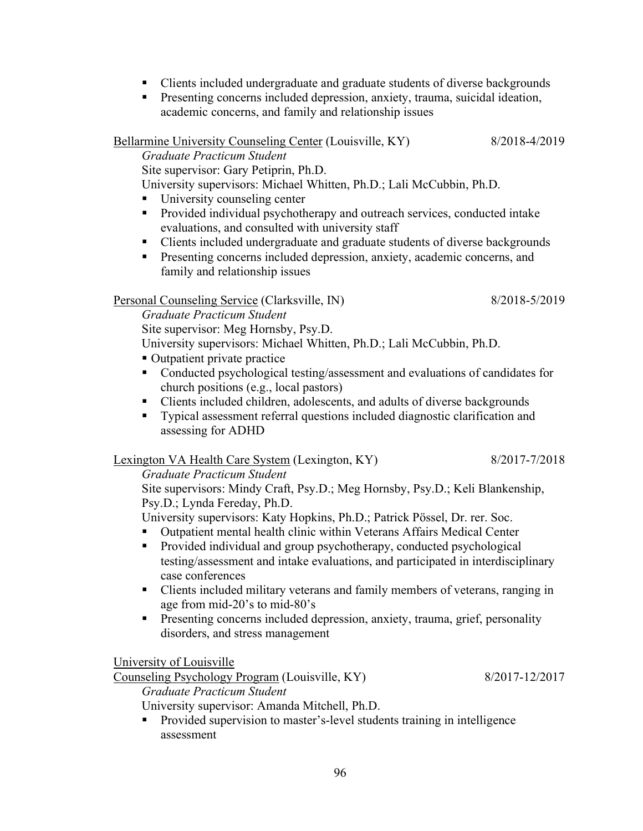- Clients included undergraduate and graduate students of diverse backgrounds
- **Presenting concerns included depression, anxiety, trauma, suicidal ideation,** academic concerns, and family and relationship issues

Bellarmine University Counseling Center (Louisville, KY) 8/2018-4/2019

Graduate Practicum Student

Site supervisor: Gary Petiprin, Ph.D.

University supervisors: Michael Whitten, Ph.D.; Lali McCubbin, Ph.D.

- University counseling center
- **Provided individual psychotherapy and outreach services, conducted intake** evaluations, and consulted with university staff
- Clients included undergraduate and graduate students of diverse backgrounds
- **Presenting concerns included depression, anxiety, academic concerns, and** family and relationship issues

## Personal Counseling Service (Clarksville, IN) 8/2018-5/2019

Graduate Practicum Student

Site supervisor: Meg Hornsby, Psy.D.

University supervisors: Michael Whitten, Ph.D.; Lali McCubbin, Ph.D.

- Outpatient private practice
- Conducted psychological testing/assessment and evaluations of candidates for church positions (e.g., local pastors)
- Clients included children, adolescents, and adults of diverse backgrounds
- Typical assessment referral questions included diagnostic clarification and assessing for ADHD

# Lexington VA Health Care System (Lexington, KY) 8/2017-7/2018

## Graduate Practicum Student

Site supervisors: Mindy Craft, Psy.D.; Meg Hornsby, Psy.D.; Keli Blankenship, Psy.D.; Lynda Fereday, Ph.D.

University supervisors: Katy Hopkins, Ph.D.; Patrick Pössel, Dr. rer. Soc.

- Outpatient mental health clinic within Veterans Affairs Medical Center
- **Provided individual and group psychotherapy, conducted psychological** testing/assessment and intake evaluations, and participated in interdisciplinary case conferences
- Clients included military veterans and family members of veterans, ranging in age from mid-20's to mid-80's
- **Presenting concerns included depression, anxiety, trauma, grief, personality** disorders, and stress management

University of Louisville

Counseling Psychology Program (Louisville, KY) 8/2017-12/2017

Graduate Practicum Student

University supervisor: Amanda Mitchell, Ph.D.

 Provided supervision to master's-level students training in intelligence assessment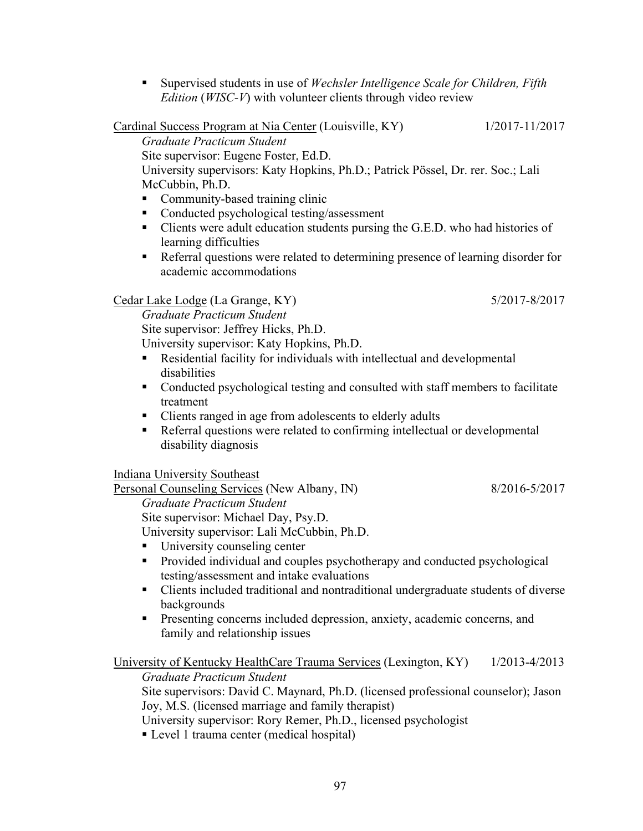**Supervised students in use of Wechsler Intelligence Scale for Children, Fifth** *Edition* ( $WISC-V$ ) with volunteer clients through video review

Cardinal Success Program at Nia Center (Louisville, KY) 1/2017-11/2017 Graduate Practicum Student Site supervisor: Eugene Foster, Ed.D. University supervisors: Katy Hopkins, Ph.D.; Patrick Pössel, Dr. rer. Soc.; Lali McCubbin, Ph.D.

- Community-based training clinic
- Conducted psychological testing/assessment
- Clients were adult education students pursing the G.E.D. who had histories of learning difficulties
- Referral questions were related to determining presence of learning disorder for academic accommodations

## Cedar Lake Lodge (La Grange, KY) 5/2017-8/2017

Graduate Practicum Student

Site supervisor: Jeffrey Hicks, Ph.D.

- University supervisor: Katy Hopkins, Ph.D.
- Residential facility for individuals with intellectual and developmental disabilities
- Conducted psychological testing and consulted with staff members to facilitate treatment
- Clients ranged in age from adolescents to elderly adults
- Referral questions were related to confirming intellectual or developmental disability diagnosis

Indiana University Southeast

Personal Counseling Services (New Albany, IN) 8/2016-5/2017

Graduate Practicum Student

Site supervisor: Michael Day, Psy.D. University supervisor: Lali McCubbin, Ph.D.

University counseling center

- **Provided individual and couples psychotherapy and conducted psychological** testing/assessment and intake evaluations
- Clients included traditional and nontraditional undergraduate students of diverse backgrounds
- **Presenting concerns included depression, anxiety, academic concerns, and** family and relationship issues

## University of Kentucky HealthCare Trauma Services (Lexington, KY) 1/2013-4/2013

Graduate Practicum Student Site supervisors: David C. Maynard, Ph.D. (licensed professional counselor); Jason Joy, M.S. (licensed marriage and family therapist)

University supervisor: Rory Remer, Ph.D., licensed psychologist

■ Level 1 trauma center (medical hospital)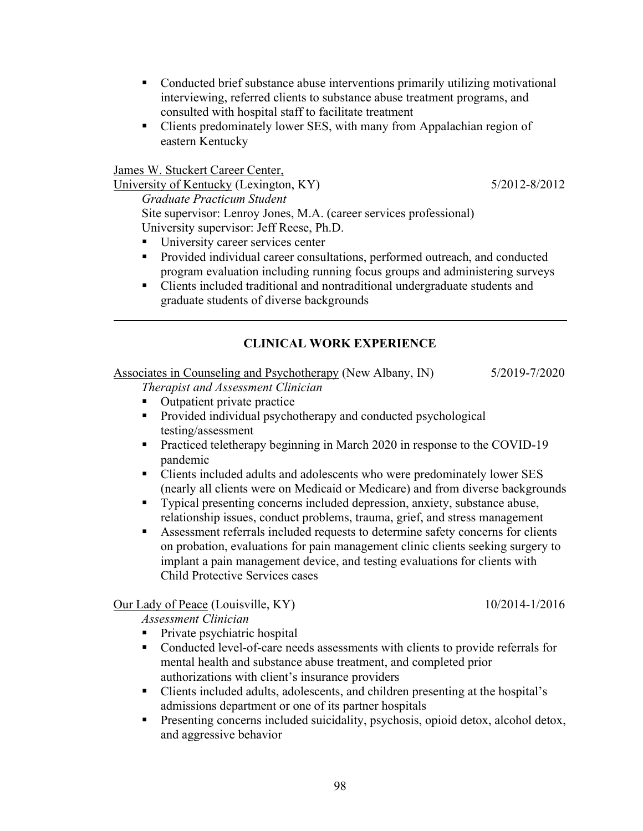- Conducted brief substance abuse interventions primarily utilizing motivational interviewing, referred clients to substance abuse treatment programs, and consulted with hospital staff to facilitate treatment
- Clients predominately lower SES, with many from Appalachian region of eastern Kentucky

James W. Stuckert Career Center,

l

University of Kentucky (Lexington, KY) 5/2012-8/2012 Graduate Practicum Student Site supervisor: Lenroy Jones, M.A. (career services professional) University supervisor: Jeff Reese, Ph.D.

- University career services center
- **Provided individual career consultations, performed outreach, and conducted** program evaluation including running focus groups and administering surveys
- Clients included traditional and nontraditional undergraduate students and graduate students of diverse backgrounds

## CLINICAL WORK EXPERIENCE

Associates in Counseling and Psychotherapy (New Albany, IN) 5/2019-7/2020

Therapist and Assessment Clinician

- Outpatient private practice
- **Provided individual psychotherapy and conducted psychological** testing/assessment
- Practiced teletherapy beginning in March 2020 in response to the COVID-19 pandemic
- Clients included adults and adolescents who were predominately lower SES (nearly all clients were on Medicaid or Medicare) and from diverse backgrounds
- Typical presenting concerns included depression, anxiety, substance abuse, relationship issues, conduct problems, trauma, grief, and stress management
- Assessment referrals included requests to determine safety concerns for clients on probation, evaluations for pain management clinic clients seeking surgery to implant a pain management device, and testing evaluations for clients with Child Protective Services cases

Our Lady of Peace (Louisville, KY) 10/2014-1/2016

Assessment Clinician

- Private psychiatric hospital
- Conducted level-of-care needs assessments with clients to provide referrals for mental health and substance abuse treatment, and completed prior authorizations with client's insurance providers
- Clients included adults, adolescents, and children presenting at the hospital's admissions department or one of its partner hospitals
- Presenting concerns included suicidality, psychosis, opioid detox, alcohol detox, and aggressive behavior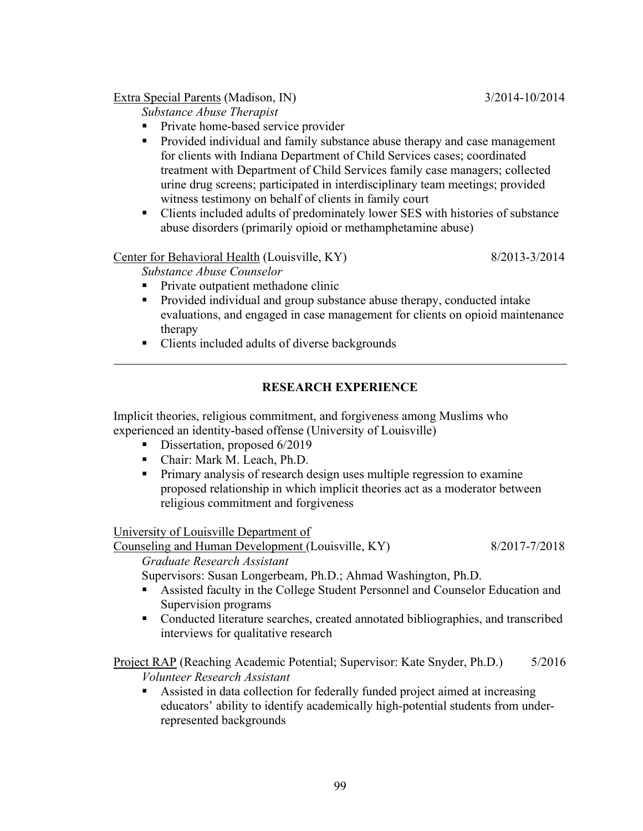## Extra Special Parents (Madison, IN) 3/2014-10/2014

Substance Abuse Therapist

- Private home-based service provider
- **Provided individual and family substance abuse therapy and case management** for clients with Indiana Department of Child Services cases; coordinated treatment with Department of Child Services family case managers; collected urine drug screens; participated in interdisciplinary team meetings; provided witness testimony on behalf of clients in family court
- Clients included adults of predominately lower SES with histories of substance abuse disorders (primarily opioid or methamphetamine abuse)

## Center for Behavioral Health (Louisville, KY) 8/2013-3/2014

Substance Abuse Counselor

 $\overline{a}$ 

- Private outpatient methadone clinic
- **Provided individual and group substance abuse therapy, conducted intake** evaluations, and engaged in case management for clients on opioid maintenance therapy
- Clients included adults of diverse backgrounds

## RESEARCH EXPERIENCE

Implicit theories, religious commitment, and forgiveness among Muslims who experienced an identity-based offense (University of Louisville)

- Dissertation, proposed 6/2019
- Chair: Mark M. Leach, Ph.D.
- **Primary analysis of research design uses multiple regression to examine** proposed relationship in which implicit theories act as a moderator between religious commitment and forgiveness

University of Louisville Department of

Counseling and Human Development (Louisville, KY) 8/2017-7/2018 Graduate Research Assistant

Supervisors: Susan Longerbeam, Ph.D.; Ahmad Washington, Ph.D.

- Assisted faculty in the College Student Personnel and Counselor Education and Supervision programs
- Conducted literature searches, created annotated bibliographies, and transcribed interviews for qualitative research

Project RAP (Reaching Academic Potential; Supervisor: Kate Snyder, Ph.D.) 5/2016 Volunteer Research Assistant

 Assisted in data collection for federally funded project aimed at increasing educators' ability to identify academically high-potential students from underrepresented backgrounds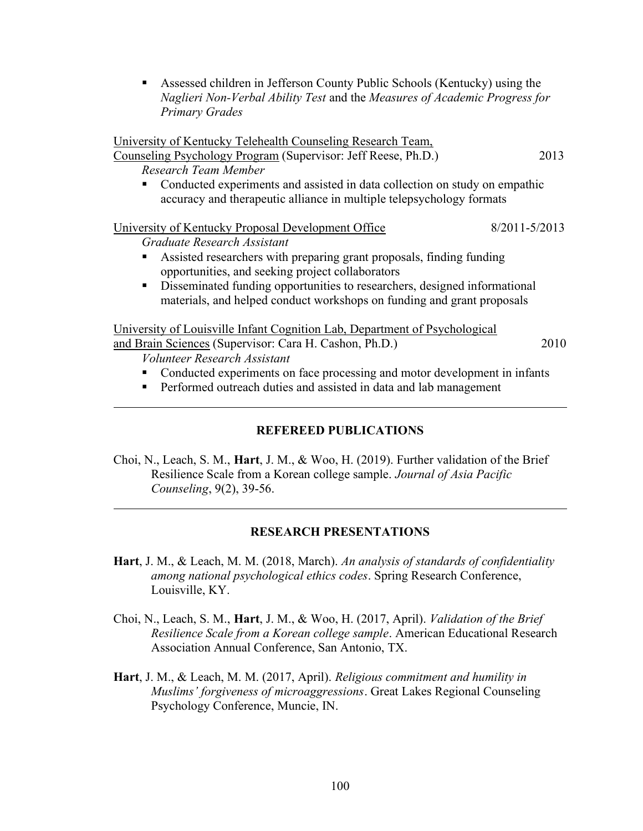Assessed children in Jefferson County Public Schools (Kentucky) using the Naglieri Non-Verbal Ability Test and the Measures of Academic Progress for Primary Grades

University of Kentucky Telehealth Counseling Research Team, Counseling Psychology Program (Supervisor: Jeff Reese, Ph.D.) 2013 Research Team Member Conducted experiments and assisted in data collection on study on empathic accuracy and therapeutic alliance in multiple telepsychology formats University of Kentucky Proposal Development Office 8/2011-5/2013 Graduate Research Assistant Assisted researchers with preparing grant proposals, finding funding opportunities, and seeking project collaborators Disseminated funding opportunities to researchers, designed informational materials, and helped conduct workshops on funding and grant proposals University of Louisville Infant Cognition Lab, Department of Psychological and Brain Sciences (Supervisor: Cara H. Cashon, Ph.D.) 2010 Volunteer Research Assistant Conducted experiments on face processing and motor development in infants Performed outreach duties and assisted in data and lab management l

## REFEREED PUBLICATIONS

Choi, N., Leach, S. M., Hart, J. M., & Woo, H. (2019). Further validation of the Brief Resilience Scale from a Korean college sample. Journal of Asia Pacific Counseling, 9(2), 39-56.

 $\overline{a}$ 

## RESEARCH PRESENTATIONS

- Hart, J. M., & Leach, M. M. (2018, March). An analysis of standards of confidentiality among national psychological ethics codes. Spring Research Conference, Louisville, KY.
- Choi, N., Leach, S. M., Hart, J. M., & Woo, H. (2017, April). Validation of the Brief Resilience Scale from a Korean college sample. American Educational Research Association Annual Conference, San Antonio, TX.
- Hart, J. M., & Leach, M. M. (2017, April). Religious commitment and humility in Muslims' forgiveness of microaggressions. Great Lakes Regional Counseling Psychology Conference, Muncie, IN.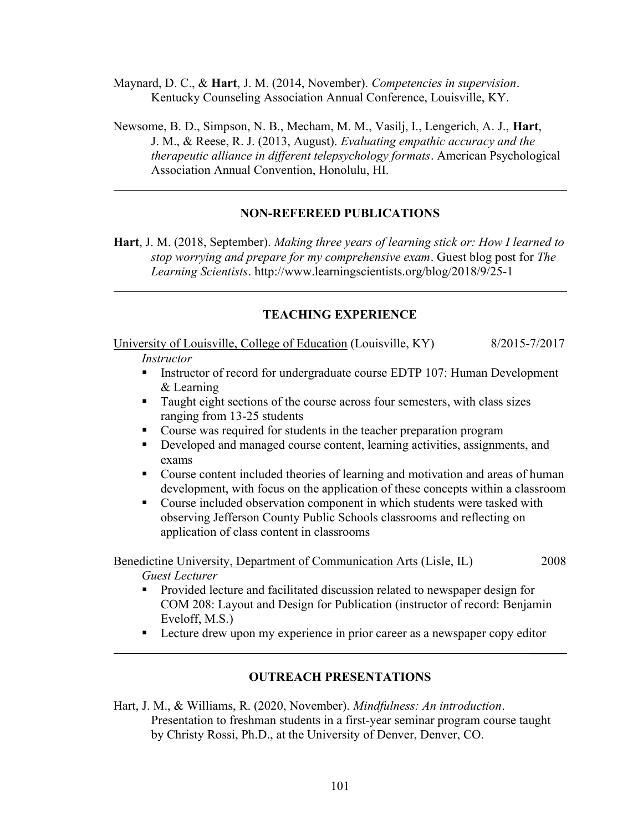Maynard, D. C., & **Hart**, J. M. (2014, November). Competencies in supervision. Kentucky Counseling Association Annual Conference, Louisville, KY.

Newsome, B. D., Simpson, N. B., Mecham, M. M., Vasilj, I., Lengerich, A. J., Hart, J. M., & Reese, R. J. (2013, August). Evaluating empathic accuracy and the therapeutic alliance in different telepsychology formats. American Psychological Association Annual Convention, Honolulu, HI.

### NON-REFEREED PUBLICATIONS

Hart, J. M. (2018, September). Making three years of learning stick or: How I learned to stop worrying and prepare for my comprehensive exam. Guest blog post for The Learning Scientists. http://www.learningscientists.org/blog/2018/9/25-1

#### TEACHING EXPERIENCE

University of Louisville, College of Education (Louisville, KY) 8/2015-7/2017

### **Instructor**

l

 $\overline{a}$ 

- **Instructor of record for undergraduate course EDTP 107: Human Development** & Learning
- Taught eight sections of the course across four semesters, with class sizes ranging from 13-25 students
- Course was required for students in the teacher preparation program
- Developed and managed course content, learning activities, assignments, and exams
- Course content included theories of learning and motivation and areas of human development, with focus on the application of these concepts within a classroom
- Course included observation component in which students were tasked with observing Jefferson County Public Schools classrooms and reflecting on application of class content in classrooms

Benedictine University, Department of Communication Arts (Lisle, IL) 2008 Guest Lecturer

- Provided lecture and facilitated discussion related to newspaper design for COM 208: Layout and Design for Publication (instructor of record: Benjamin Eveloff, M.S.)
- **Lecture drew upon my experience in prior career as a newspaper copy editor** \_\_\_\_\_\_

#### OUTREACH PRESENTATIONS

Hart, J. M., & Williams, R. (2020, November). Mindfulness: An introduction. Presentation to freshman students in a first-year seminar program course taught by Christy Rossi, Ph.D., at the University of Denver, Denver, CO.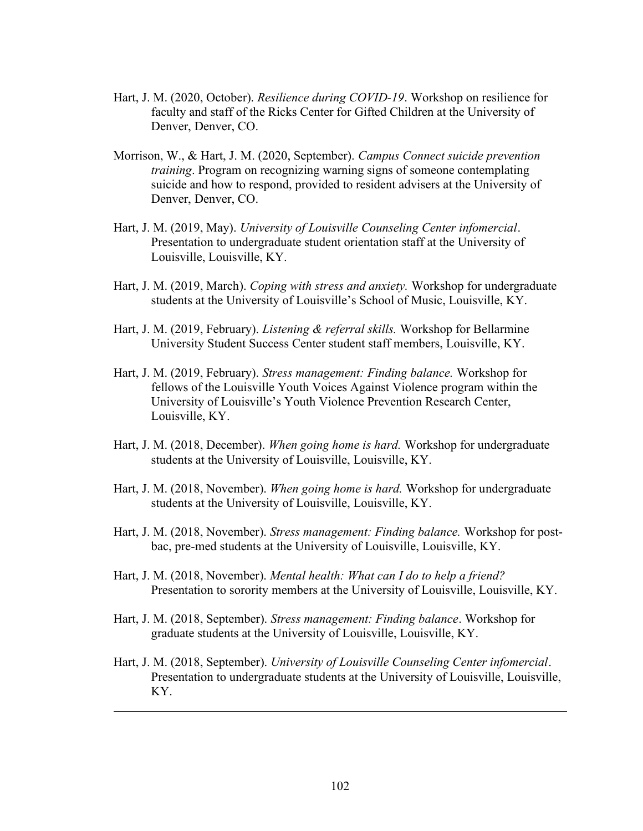- Hart, J. M. (2020, October). Resilience during COVID-19. Workshop on resilience for faculty and staff of the Ricks Center for Gifted Children at the University of Denver, Denver, CO.
- Morrison, W., & Hart, J. M. (2020, September). Campus Connect suicide prevention training. Program on recognizing warning signs of someone contemplating suicide and how to respond, provided to resident advisers at the University of Denver, Denver, CO.
- Hart, J. M. (2019, May). University of Louisville Counseling Center infomercial. Presentation to undergraduate student orientation staff at the University of Louisville, Louisville, KY.
- Hart, J. M. (2019, March). Coping with stress and anxiety. Workshop for undergraduate students at the University of Louisville's School of Music, Louisville, KY.
- Hart, J. M. (2019, February). *Listening & referral skills*. Workshop for Bellarmine University Student Success Center student staff members, Louisville, KY.
- Hart, J. M. (2019, February). Stress management: Finding balance. Workshop for fellows of the Louisville Youth Voices Against Violence program within the University of Louisville's Youth Violence Prevention Research Center, Louisville, KY.
- Hart, J. M. (2018, December). When going home is hard. Workshop for undergraduate students at the University of Louisville, Louisville, KY.
- Hart, J. M. (2018, November). When going home is hard. Workshop for undergraduate students at the University of Louisville, Louisville, KY.
- Hart, J. M. (2018, November). Stress management: Finding balance. Workshop for postbac, pre-med students at the University of Louisville, Louisville, KY.
- Hart, J. M. (2018, November). Mental health: What can I do to help a friend? Presentation to sorority members at the University of Louisville, Louisville, KY.
- Hart, J. M. (2018, September). Stress management: Finding balance. Workshop for graduate students at the University of Louisville, Louisville, KY.

l

Hart, J. M. (2018, September). University of Louisville Counseling Center infomercial. Presentation to undergraduate students at the University of Louisville, Louisville, KY.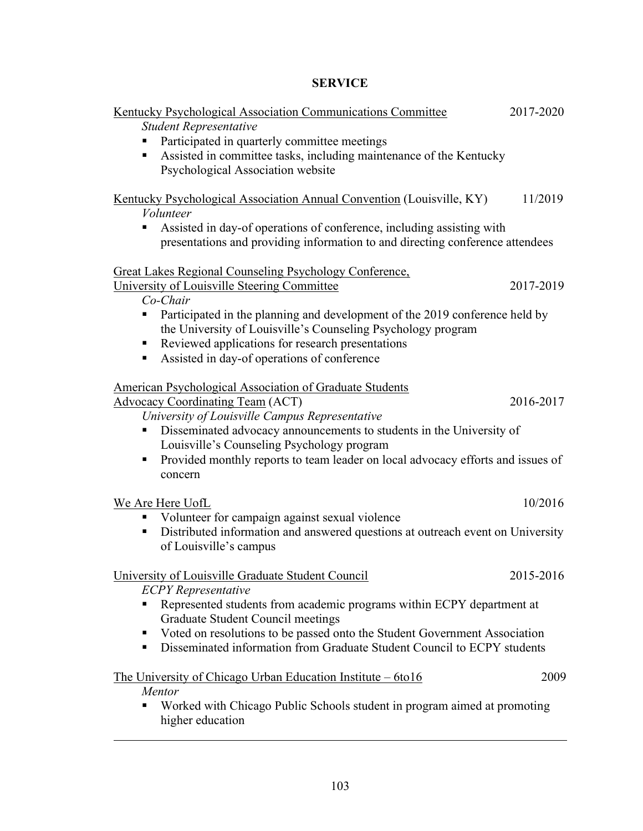# SERVICE

| Kentucky Psychological Association Communications Committee<br><b>Student Representative</b><br>Participated in quarterly committee meetings<br>Assisted in committee tasks, including maintenance of the Kentucky<br>п,<br>Psychological Association website<br>Kentucky Psychological Association Annual Convention (Louisville, KY)<br>11/2019<br>Volunteer<br>Assisted in day-of operations of conference, including assisting with<br>presentations and providing information to and directing conference attendees<br><b>Great Lakes Regional Counseling Psychology Conference,</b><br>University of Louisville Steering Committee<br>2017-2019<br>Co-Chair<br>Participated in the planning and development of the 2019 conference held by<br>the University of Louisville's Counseling Psychology program<br>Reviewed applications for research presentations<br>٠<br>Assisted in day-of operations of conference<br>٠<br><b>American Psychological Association of Graduate Students</b><br><b>Advocacy Coordinating Team (ACT)</b><br>2016-2017<br>University of Louisville Campus Representative<br>Disseminated advocacy announcements to students in the University of<br>Louisville's Counseling Psychology program<br>Provided monthly reports to team leader on local advocacy efforts and issues of<br>٠<br>concern<br>10/2016<br>We Are Here UofL<br>Volunteer for campaign against sexual violence<br>Distributed information and answered questions at outreach event on University<br>п<br>of Louisville's campus<br>University of Louisville Graduate Student Council<br>2015-2016<br><b>ECPY</b> Representative<br>Represented students from academic programs within ECPY department at<br>Graduate Student Council meetings |  |  |
|----------------------------------------------------------------------------------------------------------------------------------------------------------------------------------------------------------------------------------------------------------------------------------------------------------------------------------------------------------------------------------------------------------------------------------------------------------------------------------------------------------------------------------------------------------------------------------------------------------------------------------------------------------------------------------------------------------------------------------------------------------------------------------------------------------------------------------------------------------------------------------------------------------------------------------------------------------------------------------------------------------------------------------------------------------------------------------------------------------------------------------------------------------------------------------------------------------------------------------------------------------------------------------------------------------------------------------------------------------------------------------------------------------------------------------------------------------------------------------------------------------------------------------------------------------------------------------------------------------------------------------------------------------------------------------------------------------------------------------------------------|--|--|
|                                                                                                                                                                                                                                                                                                                                                                                                                                                                                                                                                                                                                                                                                                                                                                                                                                                                                                                                                                                                                                                                                                                                                                                                                                                                                                                                                                                                                                                                                                                                                                                                                                                                                                                                                    |  |  |
|                                                                                                                                                                                                                                                                                                                                                                                                                                                                                                                                                                                                                                                                                                                                                                                                                                                                                                                                                                                                                                                                                                                                                                                                                                                                                                                                                                                                                                                                                                                                                                                                                                                                                                                                                    |  |  |
|                                                                                                                                                                                                                                                                                                                                                                                                                                                                                                                                                                                                                                                                                                                                                                                                                                                                                                                                                                                                                                                                                                                                                                                                                                                                                                                                                                                                                                                                                                                                                                                                                                                                                                                                                    |  |  |
|                                                                                                                                                                                                                                                                                                                                                                                                                                                                                                                                                                                                                                                                                                                                                                                                                                                                                                                                                                                                                                                                                                                                                                                                                                                                                                                                                                                                                                                                                                                                                                                                                                                                                                                                                    |  |  |
|                                                                                                                                                                                                                                                                                                                                                                                                                                                                                                                                                                                                                                                                                                                                                                                                                                                                                                                                                                                                                                                                                                                                                                                                                                                                                                                                                                                                                                                                                                                                                                                                                                                                                                                                                    |  |  |
|                                                                                                                                                                                                                                                                                                                                                                                                                                                                                                                                                                                                                                                                                                                                                                                                                                                                                                                                                                                                                                                                                                                                                                                                                                                                                                                                                                                                                                                                                                                                                                                                                                                                                                                                                    |  |  |
|                                                                                                                                                                                                                                                                                                                                                                                                                                                                                                                                                                                                                                                                                                                                                                                                                                                                                                                                                                                                                                                                                                                                                                                                                                                                                                                                                                                                                                                                                                                                                                                                                                                                                                                                                    |  |  |
|                                                                                                                                                                                                                                                                                                                                                                                                                                                                                                                                                                                                                                                                                                                                                                                                                                                                                                                                                                                                                                                                                                                                                                                                                                                                                                                                                                                                                                                                                                                                                                                                                                                                                                                                                    |  |  |
|                                                                                                                                                                                                                                                                                                                                                                                                                                                                                                                                                                                                                                                                                                                                                                                                                                                                                                                                                                                                                                                                                                                                                                                                                                                                                                                                                                                                                                                                                                                                                                                                                                                                                                                                                    |  |  |
|                                                                                                                                                                                                                                                                                                                                                                                                                                                                                                                                                                                                                                                                                                                                                                                                                                                                                                                                                                                                                                                                                                                                                                                                                                                                                                                                                                                                                                                                                                                                                                                                                                                                                                                                                    |  |  |
|                                                                                                                                                                                                                                                                                                                                                                                                                                                                                                                                                                                                                                                                                                                                                                                                                                                                                                                                                                                                                                                                                                                                                                                                                                                                                                                                                                                                                                                                                                                                                                                                                                                                                                                                                    |  |  |
|                                                                                                                                                                                                                                                                                                                                                                                                                                                                                                                                                                                                                                                                                                                                                                                                                                                                                                                                                                                                                                                                                                                                                                                                                                                                                                                                                                                                                                                                                                                                                                                                                                                                                                                                                    |  |  |
|                                                                                                                                                                                                                                                                                                                                                                                                                                                                                                                                                                                                                                                                                                                                                                                                                                                                                                                                                                                                                                                                                                                                                                                                                                                                                                                                                                                                                                                                                                                                                                                                                                                                                                                                                    |  |  |
|                                                                                                                                                                                                                                                                                                                                                                                                                                                                                                                                                                                                                                                                                                                                                                                                                                                                                                                                                                                                                                                                                                                                                                                                                                                                                                                                                                                                                                                                                                                                                                                                                                                                                                                                                    |  |  |
|                                                                                                                                                                                                                                                                                                                                                                                                                                                                                                                                                                                                                                                                                                                                                                                                                                                                                                                                                                                                                                                                                                                                                                                                                                                                                                                                                                                                                                                                                                                                                                                                                                                                                                                                                    |  |  |
|                                                                                                                                                                                                                                                                                                                                                                                                                                                                                                                                                                                                                                                                                                                                                                                                                                                                                                                                                                                                                                                                                                                                                                                                                                                                                                                                                                                                                                                                                                                                                                                                                                                                                                                                                    |  |  |
|                                                                                                                                                                                                                                                                                                                                                                                                                                                                                                                                                                                                                                                                                                                                                                                                                                                                                                                                                                                                                                                                                                                                                                                                                                                                                                                                                                                                                                                                                                                                                                                                                                                                                                                                                    |  |  |
|                                                                                                                                                                                                                                                                                                                                                                                                                                                                                                                                                                                                                                                                                                                                                                                                                                                                                                                                                                                                                                                                                                                                                                                                                                                                                                                                                                                                                                                                                                                                                                                                                                                                                                                                                    |  |  |
|                                                                                                                                                                                                                                                                                                                                                                                                                                                                                                                                                                                                                                                                                                                                                                                                                                                                                                                                                                                                                                                                                                                                                                                                                                                                                                                                                                                                                                                                                                                                                                                                                                                                                                                                                    |  |  |
|                                                                                                                                                                                                                                                                                                                                                                                                                                                                                                                                                                                                                                                                                                                                                                                                                                                                                                                                                                                                                                                                                                                                                                                                                                                                                                                                                                                                                                                                                                                                                                                                                                                                                                                                                    |  |  |
|                                                                                                                                                                                                                                                                                                                                                                                                                                                                                                                                                                                                                                                                                                                                                                                                                                                                                                                                                                                                                                                                                                                                                                                                                                                                                                                                                                                                                                                                                                                                                                                                                                                                                                                                                    |  |  |
|                                                                                                                                                                                                                                                                                                                                                                                                                                                                                                                                                                                                                                                                                                                                                                                                                                                                                                                                                                                                                                                                                                                                                                                                                                                                                                                                                                                                                                                                                                                                                                                                                                                                                                                                                    |  |  |
|                                                                                                                                                                                                                                                                                                                                                                                                                                                                                                                                                                                                                                                                                                                                                                                                                                                                                                                                                                                                                                                                                                                                                                                                                                                                                                                                                                                                                                                                                                                                                                                                                                                                                                                                                    |  |  |
|                                                                                                                                                                                                                                                                                                                                                                                                                                                                                                                                                                                                                                                                                                                                                                                                                                                                                                                                                                                                                                                                                                                                                                                                                                                                                                                                                                                                                                                                                                                                                                                                                                                                                                                                                    |  |  |
|                                                                                                                                                                                                                                                                                                                                                                                                                                                                                                                                                                                                                                                                                                                                                                                                                                                                                                                                                                                                                                                                                                                                                                                                                                                                                                                                                                                                                                                                                                                                                                                                                                                                                                                                                    |  |  |
|                                                                                                                                                                                                                                                                                                                                                                                                                                                                                                                                                                                                                                                                                                                                                                                                                                                                                                                                                                                                                                                                                                                                                                                                                                                                                                                                                                                                                                                                                                                                                                                                                                                                                                                                                    |  |  |
|                                                                                                                                                                                                                                                                                                                                                                                                                                                                                                                                                                                                                                                                                                                                                                                                                                                                                                                                                                                                                                                                                                                                                                                                                                                                                                                                                                                                                                                                                                                                                                                                                                                                                                                                                    |  |  |
|                                                                                                                                                                                                                                                                                                                                                                                                                                                                                                                                                                                                                                                                                                                                                                                                                                                                                                                                                                                                                                                                                                                                                                                                                                                                                                                                                                                                                                                                                                                                                                                                                                                                                                                                                    |  |  |
|                                                                                                                                                                                                                                                                                                                                                                                                                                                                                                                                                                                                                                                                                                                                                                                                                                                                                                                                                                                                                                                                                                                                                                                                                                                                                                                                                                                                                                                                                                                                                                                                                                                                                                                                                    |  |  |
|                                                                                                                                                                                                                                                                                                                                                                                                                                                                                                                                                                                                                                                                                                                                                                                                                                                                                                                                                                                                                                                                                                                                                                                                                                                                                                                                                                                                                                                                                                                                                                                                                                                                                                                                                    |  |  |
|                                                                                                                                                                                                                                                                                                                                                                                                                                                                                                                                                                                                                                                                                                                                                                                                                                                                                                                                                                                                                                                                                                                                                                                                                                                                                                                                                                                                                                                                                                                                                                                                                                                                                                                                                    |  |  |
|                                                                                                                                                                                                                                                                                                                                                                                                                                                                                                                                                                                                                                                                                                                                                                                                                                                                                                                                                                                                                                                                                                                                                                                                                                                                                                                                                                                                                                                                                                                                                                                                                                                                                                                                                    |  |  |
|                                                                                                                                                                                                                                                                                                                                                                                                                                                                                                                                                                                                                                                                                                                                                                                                                                                                                                                                                                                                                                                                                                                                                                                                                                                                                                                                                                                                                                                                                                                                                                                                                                                                                                                                                    |  |  |
|                                                                                                                                                                                                                                                                                                                                                                                                                                                                                                                                                                                                                                                                                                                                                                                                                                                                                                                                                                                                                                                                                                                                                                                                                                                                                                                                                                                                                                                                                                                                                                                                                                                                                                                                                    |  |  |
|                                                                                                                                                                                                                                                                                                                                                                                                                                                                                                                                                                                                                                                                                                                                                                                                                                                                                                                                                                                                                                                                                                                                                                                                                                                                                                                                                                                                                                                                                                                                                                                                                                                                                                                                                    |  |  |
| Voted on resolutions to be passed onto the Student Government Association<br>٠                                                                                                                                                                                                                                                                                                                                                                                                                                                                                                                                                                                                                                                                                                                                                                                                                                                                                                                                                                                                                                                                                                                                                                                                                                                                                                                                                                                                                                                                                                                                                                                                                                                                     |  |  |
| Disseminated information from Graduate Student Council to ECPY students<br>٠                                                                                                                                                                                                                                                                                                                                                                                                                                                                                                                                                                                                                                                                                                                                                                                                                                                                                                                                                                                                                                                                                                                                                                                                                                                                                                                                                                                                                                                                                                                                                                                                                                                                       |  |  |
|                                                                                                                                                                                                                                                                                                                                                                                                                                                                                                                                                                                                                                                                                                                                                                                                                                                                                                                                                                                                                                                                                                                                                                                                                                                                                                                                                                                                                                                                                                                                                                                                                                                                                                                                                    |  |  |
| The University of Chicago Urban Education Institute $-6t \cdot 16$<br>2009                                                                                                                                                                                                                                                                                                                                                                                                                                                                                                                                                                                                                                                                                                                                                                                                                                                                                                                                                                                                                                                                                                                                                                                                                                                                                                                                                                                                                                                                                                                                                                                                                                                                         |  |  |
| Mentor                                                                                                                                                                                                                                                                                                                                                                                                                                                                                                                                                                                                                                                                                                                                                                                                                                                                                                                                                                                                                                                                                                                                                                                                                                                                                                                                                                                                                                                                                                                                                                                                                                                                                                                                             |  |  |
| Worked with Chicago Public Schools student in program aimed at promoting                                                                                                                                                                                                                                                                                                                                                                                                                                                                                                                                                                                                                                                                                                                                                                                                                                                                                                                                                                                                                                                                                                                                                                                                                                                                                                                                                                                                                                                                                                                                                                                                                                                                           |  |  |
|                                                                                                                                                                                                                                                                                                                                                                                                                                                                                                                                                                                                                                                                                                                                                                                                                                                                                                                                                                                                                                                                                                                                                                                                                                                                                                                                                                                                                                                                                                                                                                                                                                                                                                                                                    |  |  |
| higher education                                                                                                                                                                                                                                                                                                                                                                                                                                                                                                                                                                                                                                                                                                                                                                                                                                                                                                                                                                                                                                                                                                                                                                                                                                                                                                                                                                                                                                                                                                                                                                                                                                                                                                                                   |  |  |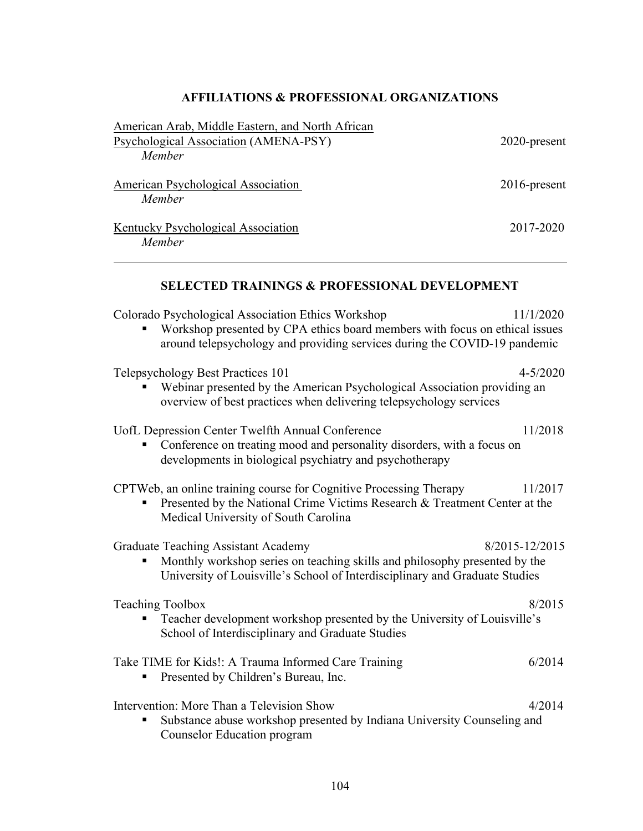# AFFILIATIONS & PROFESSIONAL ORGANIZATIONS

| American Arab, Middle Eastern, and North African<br>Psychological Association (AMENA-PSY)<br>Member                                                                                                            | 2020-present    |
|----------------------------------------------------------------------------------------------------------------------------------------------------------------------------------------------------------------|-----------------|
| <b>American Psychological Association</b><br>Member                                                                                                                                                            | $2016$ -present |
| Kentucky Psychological Association<br>Member                                                                                                                                                                   | 2017-2020       |
| <b>SELECTED TRAININGS &amp; PROFESSIONAL DEVELOPMENT</b>                                                                                                                                                       |                 |
| Colorado Psychological Association Ethics Workshop<br>Workshop presented by CPA ethics board members with focus on ethical issues<br>around telepsychology and providing services during the COVID-19 pandemic | 11/1/2020       |
| Telepsychology Best Practices 101<br>Webinar presented by the American Psychological Association providing an<br>overview of best practices when delivering telepsychology services                            | $4 - 5/2020$    |
| UofL Depression Center Twelfth Annual Conference<br>Conference on treating mood and personality disorders, with a focus on<br>developments in biological psychiatry and psychotherapy                          | 11/2018         |
| CPTWeb, an online training course for Cognitive Processing Therapy<br>Presented by the National Crime Victims Research & Treatment Center at the<br>Medical University of South Carolina                       | 11/2017         |
| <b>Graduate Teaching Assistant Academy</b>                                                                                                                                                                     | 8/2015-12/2015  |

**Monthly workshop series on teaching skills and philosophy presented by the** University of Louisville's School of Interdisciplinary and Graduate Studies

| <b>Teaching Toolbox</b><br>• Teacher development workshop presented by the University of Louisville's<br>School of Interdisciplinary and Graduate Studies             | 8/2015 |
|-----------------------------------------------------------------------------------------------------------------------------------------------------------------------|--------|
| Take TIME for Kids!: A Trauma Informed Care Training<br>• Presented by Children's Bureau, Inc.                                                                        | 6/2014 |
| Intervention: More Than a Television Show<br>Substance abuse workshop presented by Indiana University Counseling and<br>$\blacksquare$<br>Counselor Education program | 4/2014 |